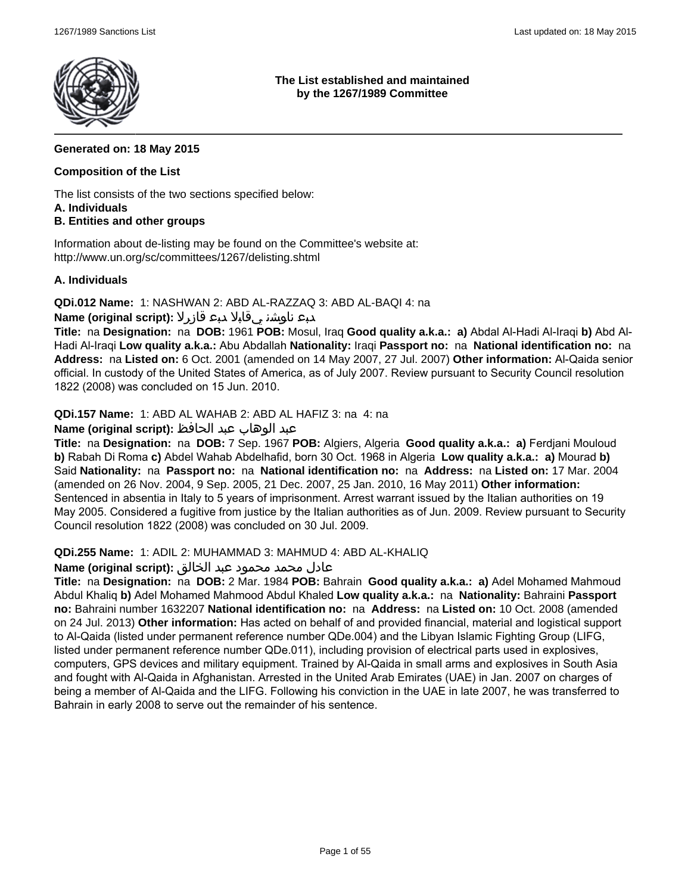

**The List established and maintained by the 1267/1989 Committee**

### **Generated on: 18 May 2015**

#### **Composition of the List**

The list consists of the two sections specified below: **A. Individuals**

### **B. Entities and other groups**

Information about de-listing may be found on the Committee's website at: http://www.un.org/sc/committees/1267/delisting.shtml

#### **A. Individuals**

**QDi.012 Name:** 1: NASHWAN 2: ABD AL-RAZZAQ 3: ABD AL-BAQI 4: na

### دبع ناوشن يقابلا دبع قازرلا **:(script original (Name**

**Title:** na **Designation:** na **DOB:** 1961 **POB:** Mosul, Iraq **Good quality a.k.a.: a)** Abdal Al-Hadi Al-Iraqi **b)** Abd Al-Hadi Al-Iraqi **Low quality a.k.a.:** Abu Abdallah **Nationality:** Iraqi **Passport no:** na **National identification no:** na **Address:** na **Listed on:** 6 Oct. 2001 (amended on 14 May 2007, 27 Jul. 2007) **Other information:** Al-Qaida senior official. In custody of the United States of America, as of July 2007. Review pursuant to Security Council resolution 1822 (2008) was concluded on 15 Jun. 2010.

**QDi.157 Name:** 1: ABD AL WAHAB 2: ABD AL HAFIZ 3: na 4: na

### عبد الوهاب عبد الحافظ **:(script original (Name**

**Title:** na **Designation:** na **DOB:** 7 Sep. 1967 **POB:** Algiers, Algeria **Good quality a.k.a.: a)** Ferdjani Mouloud **b)** Rabah Di Roma **c)** Abdel Wahab Abdelhafid, born 30 Oct. 1968 in Algeria **Low quality a.k.a.: a)** Mourad **b)** Said **Nationality:** na **Passport no:** na **National identification no:** na **Address:** na **Listed on:** 17 Mar. 2004 (amended on 26 Nov. 2004, 9 Sep. 2005, 21 Dec. 2007, 25 Jan. 2010, 16 May 2011) **Other information:** Sentenced in absentia in Italy to 5 years of imprisonment. Arrest warrant issued by the Italian authorities on 19 May 2005. Considered a fugitive from justice by the Italian authorities as of Jun. 2009. Review pursuant to Security Council resolution 1822 (2008) was concluded on 30 Jul. 2009.

#### **QDi.255 Name:** 1: ADIL 2: MUHAMMAD 3: MAHMUD 4: ABD AL-KHALIQ

#### عادل محمد محمود عبد الخالق **:(script original (Name**

**Title:** na **Designation:** na **DOB:** 2 Mar. 1984 **POB:** Bahrain **Good quality a.k.a.: a)** Adel Mohamed Mahmoud Abdul Khaliq **b)** Adel Mohamed Mahmood Abdul Khaled **Low quality a.k.a.:** na **Nationality:** Bahraini **Passport no:** Bahraini number 1632207 **National identification no:** na **Address:** na **Listed on:** 10 Oct. 2008 (amended on 24 Jul. 2013) **Other information:** Has acted on behalf of and provided financial, material and logistical support to Al-Qaida (listed under permanent reference number QDe.004) and the Libyan Islamic Fighting Group (LIFG, listed under permanent reference number QDe.011), including provision of electrical parts used in explosives, computers, GPS devices and military equipment. Trained by Al-Qaida in small arms and explosives in South Asia and fought with Al-Qaida in Afghanistan. Arrested in the United Arab Emirates (UAE) in Jan. 2007 on charges of being a member of Al-Qaida and the LIFG. Following his conviction in the UAE in late 2007, he was transferred to Bahrain in early 2008 to serve out the remainder of his sentence.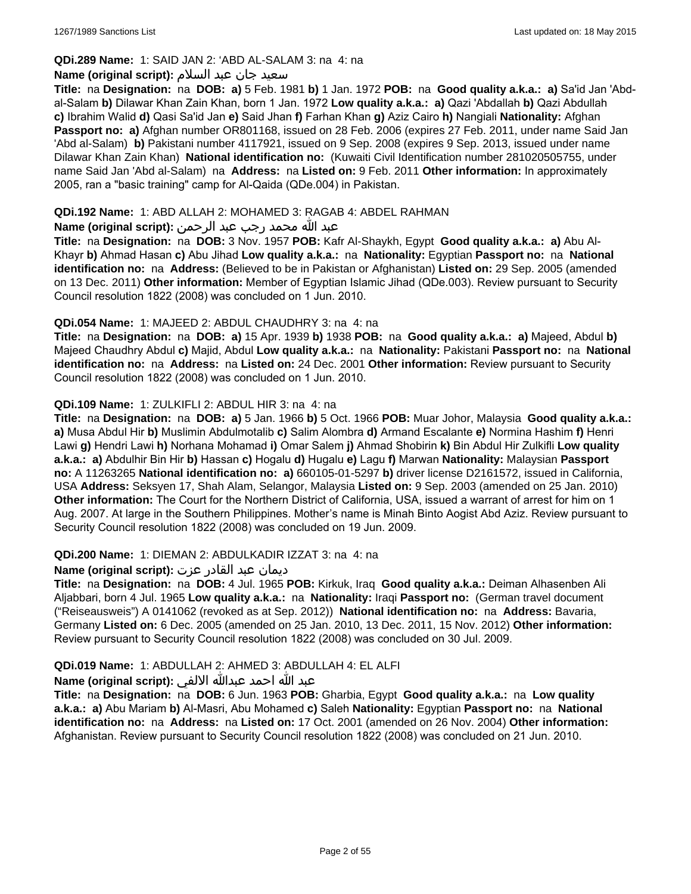# **QDi.289 Name:** 1: SAID JAN 2: 'ABD AL-SALAM 3: na 4: na

#### سعید جان عبد السلام **:(script original (Name**

**Title:** na **Designation:** na **DOB: a)** 5 Feb. 1981 **b)** 1 Jan. 1972 **POB:** na **Good quality a.k.a.: a)** Sa'id Jan 'Abdal-Salam **b)** Dilawar Khan Zain Khan, born 1 Jan. 1972 **Low quality a.k.a.: a)** Qazi 'Abdallah **b)** Qazi Abdullah **c)** Ibrahim Walid **d)** Qasi Sa'id Jan **e)** Said Jhan **f)** Farhan Khan **g)** Aziz Cairo **h)** Nangiali **Nationality:** Afghan **Passport no: a)** Afghan number OR801168, issued on 28 Feb. 2006 (expires 27 Feb. 2011, under name Said Jan 'Abd al-Salam) **b)** Pakistani number 4117921, issued on 9 Sep. 2008 (expires 9 Sep. 2013, issued under name Dilawar Khan Zain Khan) **National identification no:** (Kuwaiti Civil Identification number 281020505755, under name Said Jan 'Abd al-Salam) na **Address:** na **Listed on:** 9 Feb. 2011 **Other information:** In approximately 2005, ran a "basic training" camp for Al-Qaida (QDe.004) in Pakistan.

### **QDi.192 Name:** 1: ABD ALLAH 2: MOHAMED 3: RAGAB 4: ABDEL RAHMAN

### عبد الله محمد رجب عبد الرحمن **:(script original (Name**

**Title:** na **Designation:** na **DOB:** 3 Nov. 1957 **POB:** Kafr Al-Shaykh, Egypt **Good quality a.k.a.: a)** Abu Al-Khayr **b)** Ahmad Hasan **c)** Abu Jihad **Low quality a.k.a.:** na **Nationality:** Egyptian **Passport no:** na **National identification no:** na **Address:** (Believed to be in Pakistan or Afghanistan) **Listed on:** 29 Sep. 2005 (amended on 13 Dec. 2011) **Other information:** Member of Egyptian Islamic Jihad (QDe.003). Review pursuant to Security Council resolution 1822 (2008) was concluded on 1 Jun. 2010.

### **QDi.054 Name:** 1: MAJEED 2: ABDUL CHAUDHRY 3: na 4: na

**Title:** na **Designation:** na **DOB: a)** 15 Apr. 1939 **b)** 1938 **POB:** na **Good quality a.k.a.: a)** Majeed, Abdul **b)** Majeed Chaudhry Abdul **c)** Majid, Abdul **Low quality a.k.a.:** na **Nationality:** Pakistani **Passport no:** na **National identification no:** na **Address:** na **Listed on:** 24 Dec. 2001 **Other information:** Review pursuant to Security Council resolution 1822 (2008) was concluded on 1 Jun. 2010.

### **QDi.109 Name:** 1: ZULKIFLI 2: ABDUL HIR 3: na 4: na

**Title:** na **Designation:** na **DOB: a)** 5 Jan. 1966 **b)** 5 Oct. 1966 **POB:** Muar Johor, Malaysia **Good quality a.k.a.: a)** Musa Abdul Hir **b)** Muslimin Abdulmotalib **c)** Salim Alombra **d)** Armand Escalante **e)** Normina Hashim **f)** Henri Lawi **g)** Hendri Lawi **h)** Norhana Mohamad **i)** Omar Salem **j)** Ahmad Shobirin **k)** Bin Abdul Hir Zulkifli **Low quality a.k.a.: a)** Abdulhir Bin Hir **b)** Hassan **c)** Hogalu **d)** Hugalu **e)** Lagu **f)** Marwan **Nationality:** Malaysian **Passport no:** A 11263265 **National identification no: a)** 660105-01-5297 **b)** driver license D2161572, issued in California, USA **Address:** Seksyen 17, Shah Alam, Selangor, Malaysia **Listed on:** 9 Sep. 2003 (amended on 25 Jan. 2010) **Other information:** The Court for the Northern District of California, USA, issued a warrant of arrest for him on 1 Aug. 2007. At large in the Southern Philippines. Mother's name is Minah Binto Aogist Abd Aziz. Review pursuant to Security Council resolution 1822 (2008) was concluded on 19 Jun. 2009.

#### **QDi.200 Name:** 1: DIEMAN 2: ABDULKADIR IZZAT 3: na 4: na

#### ديمان عبد القادر عزت **:(script original (Name**

**Title:** na **Designation:** na **DOB:** 4 Jul. 1965 **POB:** Kirkuk, Iraq **Good quality a.k.a.:** Deiman Alhasenben Ali Aljabbari, born 4 Jul. 1965 **Low quality a.k.a.:** na **Nationality:** Iraqi **Passport no:** (German travel document ("Reiseausweis") A 0141062 (revoked as at Sep. 2012)) **National identification no:** na **Address:** Bavaria, Germany **Listed on:** 6 Dec. 2005 (amended on 25 Jan. 2010, 13 Dec. 2011, 15 Nov. 2012) **Other information:** Review pursuant to Security Council resolution 1822 (2008) was concluded on 30 Jul. 2009.

### **QDi.019 Name:** 1: ABDULLAH 2: AHMED 3: ABDULLAH 4: EL ALFI

#### عبد الله احمد عبدالله الالفي **:(script original (Name**

**Title:** na **Designation:** na **DOB:** 6 Jun. 1963 **POB:** Gharbia, Egypt **Good quality a.k.a.:** na **Low quality a.k.a.: a)** Abu Mariam **b)** Al-Masri, Abu Mohamed **c)** Saleh **Nationality:** Egyptian **Passport no:** na **National identification no:** na **Address:** na **Listed on:** 17 Oct. 2001 (amended on 26 Nov. 2004) **Other information:** Afghanistan. Review pursuant to Security Council resolution 1822 (2008) was concluded on 21 Jun. 2010.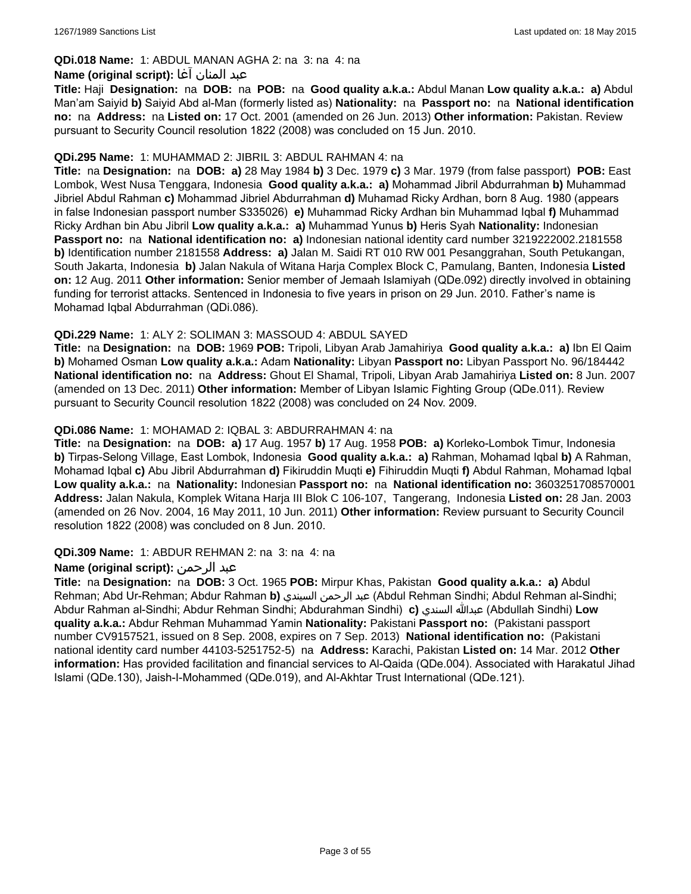### **QDi.018 Name:** 1: ABDUL MANAN AGHA 2: na 3: na 4: na

#### عبد المنان آغا **:(script original (Name**

**Title:** Haji **Designation:** na **DOB:** na **POB:** na **Good quality a.k.a.:** Abdul Manan **Low quality a.k.a.: a)** Abdul Man'am Saiyid **b)** Saiyid Abd al-Man (formerly listed as) **Nationality:** na **Passport no:** na **National identification no:** na **Address:** na **Listed on:** 17 Oct. 2001 (amended on 26 Jun. 2013) **Other information:** Pakistan. Review pursuant to Security Council resolution 1822 (2008) was concluded on 15 Jun. 2010.

#### **QDi.295 Name:** 1: MUHAMMAD 2: JIBRIL 3: ABDUL RAHMAN 4: na

**Title:** na **Designation:** na **DOB: a)** 28 May 1984 **b)** 3 Dec. 1979 **c)** 3 Mar. 1979 (from false passport) **POB:** East Lombok, West Nusa Tenggara, Indonesia **Good quality a.k.a.: a)** Mohammad Jibril Abdurrahman **b)** Muhammad Jibriel Abdul Rahman **c)** Mohammad Jibriel Abdurrahman **d)** Muhamad Ricky Ardhan, born 8 Aug. 1980 (appears in false Indonesian passport number S335026) **e)** Muhammad Ricky Ardhan bin Muhammad Iqbal **f)** Muhammad Ricky Ardhan bin Abu Jibril **Low quality a.k.a.: a)** Muhammad Yunus **b)** Heris Syah **Nationality:** Indonesian **Passport no:** na **National identification no: a)** Indonesian national identity card number 3219222002.2181558 **b)** Identification number 2181558 **Address: a)** Jalan M. Saidi RT 010 RW 001 Pesanggrahan, South Petukangan, South Jakarta, Indonesia **b)** Jalan Nakula of Witana Harja Complex Block C, Pamulang, Banten, Indonesia **Listed on:** 12 Aug. 2011 **Other information:** Senior member of Jemaah Islamiyah (QDe.092) directly involved in obtaining funding for terrorist attacks. Sentenced in Indonesia to five years in prison on 29 Jun. 2010. Father's name is Mohamad Iqbal Abdurrahman (QDi.086).

### **QDi.229 Name:** 1: ALY 2: SOLIMAN 3: MASSOUD 4: ABDUL SAYED

**Title:** na **Designation:** na **DOB:** 1969 **POB:** Tripoli, Libyan Arab Jamahiriya **Good quality a.k.a.: a)** Ibn El Qaim **b)** Mohamed Osman **Low quality a.k.a.:** Adam **Nationality:** Libyan **Passport no:** Libyan Passport No. 96/184442 **National identification no:** na **Address:** Ghout El Shamal, Tripoli, Libyan Arab Jamahiriya **Listed on:** 8 Jun. 2007 (amended on 13 Dec. 2011) **Other information:** Member of Libyan Islamic Fighting Group (QDe.011). Review pursuant to Security Council resolution 1822 (2008) was concluded on 24 Nov. 2009.

### **QDi.086 Name:** 1: MOHAMAD 2: IQBAL 3: ABDURRAHMAN 4: na

**Title:** na **Designation:** na **DOB: a)** 17 Aug. 1957 **b)** 17 Aug. 1958 **POB: a)** Korleko-Lombok Timur, Indonesia **b)** Tirpas-Selong Village, East Lombok, Indonesia **Good quality a.k.a.: a)** Rahman, Mohamad Iqbal **b)** A Rahman, Mohamad Iqbal **c)** Abu Jibril Abdurrahman **d)** Fikiruddin Muqti **e)** Fihiruddin Muqti **f)** Abdul Rahman, Mohamad Iqbal **Low quality a.k.a.:** na **Nationality:** Indonesian **Passport no:** na **National identification no:** 3603251708570001 **Address:** Jalan Nakula, Komplek Witana Harja III Blok C 106-107, Tangerang, Indonesia **Listed on:** 28 Jan. 2003 (amended on 26 Nov. 2004, 16 May 2011, 10 Jun. 2011) **Other information:** Review pursuant to Security Council resolution 1822 (2008) was concluded on 8 Jun. 2010.

#### **QDi.309 Name:** 1: ABDUR REHMAN 2: na 3: na 4: na

### **Name (original script):** الرحمن عبد

**Title:** na **Designation:** na **DOB:** 3 Oct. 1965 **POB:** Mirpur Khas, Pakistan **Good quality a.k.a.: a)** Abdul Rehman; Abd Ur-Rehman; Abdur Rahman **b)** السيندي الرحمن عبد) Abdul Rehman Sindhi; Abdul Rehman al-Sindhi; Abdur Rahman al-Sindhi; Abdur Rehman Sindhi; Abdurahman Sindhi) **c)** السندي عبدالله) Abdullah Sindhi) **Low quality a.k.a.:** Abdur Rehman Muhammad Yamin **Nationality:** Pakistani **Passport no:** (Pakistani passport number CV9157521, issued on 8 Sep. 2008, expires on 7 Sep. 2013) **National identification no:** (Pakistani national identity card number 44103-5251752-5) na **Address:** Karachi, Pakistan **Listed on:** 14 Mar. 2012 **Other information:** Has provided facilitation and financial services to Al-Qaida (QDe.004). Associated with Harakatul Jihad Islami (QDe.130), Jaish-I-Mohammed (QDe.019), and Al-Akhtar Trust International (QDe.121).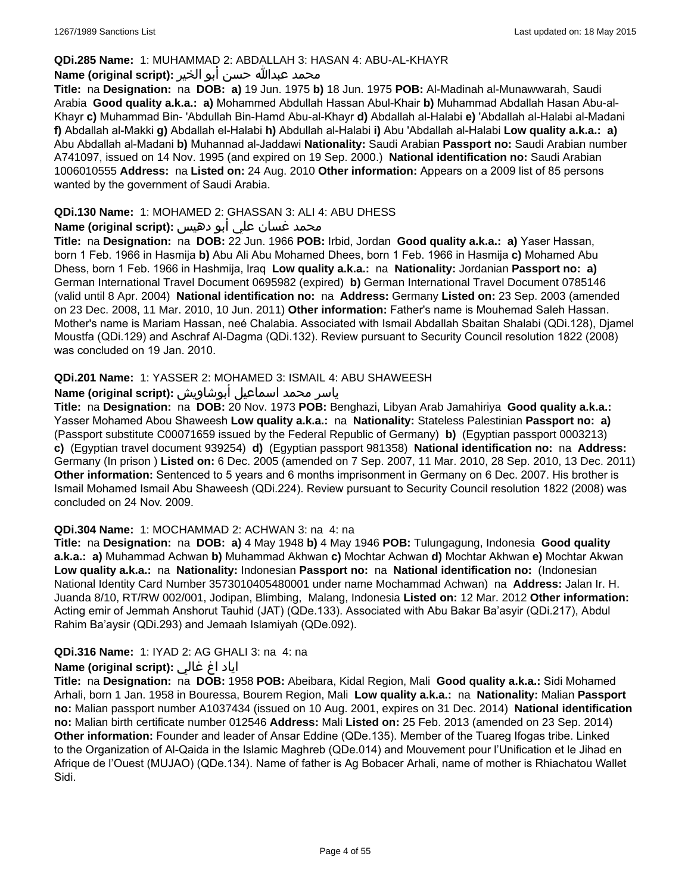#### **QDi.285 Name:** 1: MUHAMMAD 2: ABDALLAH 3: HASAN 4: ABU-AL-KHAYR

#### محمد عبدالله حسن أبو الخير **:Name (original script**)

**Title:** na **Designation:** na **DOB: a)** 19 Jun. 1975 **b)** 18 Jun. 1975 **POB:** Al-Madinah al-Munawwarah, Saudi Arabia **Good quality a.k.a.: a)** Mohammed Abdullah Hassan Abul-Khair **b)** Muhammad Abdallah Hasan Abu-al-Khayr **c)** Muhammad Bin- 'Abdullah Bin-Hamd Abu-al-Khayr **d)** Abdallah al-Halabi **e)** 'Abdallah al-Halabi al-Madani **f)** Abdallah al-Makki **g)** Abdallah el-Halabi **h)** Abdullah al-Halabi **i)** Abu 'Abdallah al-Halabi **Low quality a.k.a.: a)** Abu Abdallah al-Madani **b)** Muhannad al-Jaddawi **Nationality:** Saudi Arabian **Passport no:** Saudi Arabian number A741097, issued on 14 Nov. 1995 (and expired on 19 Sep. 2000.) **National identification no:** Saudi Arabian 1006010555 **Address:** na **Listed on:** 24 Aug. 2010 **Other information:** Appears on a 2009 list of 85 persons wanted by the government of Saudi Arabia.

### **QDi.130 Name:** 1: MOHAMED 2: GHASSAN 3: ALI 4: ABU DHESS

# محمد غسان علي أبو دهيس **:Name (original script**)

**Title:** na **Designation:** na **DOB:** 22 Jun. 1966 **POB:** Irbid, Jordan **Good quality a.k.a.: a)** Yaser Hassan, born 1 Feb. 1966 in Hasmija **b)** Abu Ali Abu Mohamed Dhees, born 1 Feb. 1966 in Hasmija **c)** Mohamed Abu Dhess, born 1 Feb. 1966 in Hashmija, Iraq **Low quality a.k.a.:** na **Nationality:** Jordanian **Passport no: a)** German International Travel Document 0695982 (expired) **b)** German International Travel Document 0785146 (valid until 8 Apr. 2004) **National identification no:** na **Address:** Germany **Listed on:** 23 Sep. 2003 (amended on 23 Dec. 2008, 11 Mar. 2010, 10 Jun. 2011) **Other information:** Father's name is Mouhemad Saleh Hassan. Mother's name is Mariam Hassan, neé Chalabia. Associated with Ismail Abdallah Sbaitan Shalabi (QDi.128), Djamel Moustfa (QDi.129) and Aschraf Al-Dagma (QDi.132). Review pursuant to Security Council resolution 1822 (2008) was concluded on 19 Jan. 2010.

### **QDi.201 Name:** 1: YASSER 2: MOHAMED 3: ISMAIL 4: ABU SHAWEESH

# ياسر محمد اسماعيل أبوشاويش :Name (original script)

**Title:** na **Designation:** na **DOB:** 20 Nov. 1973 **POB:** Benghazi, Libyan Arab Jamahiriya **Good quality a.k.a.:** Yasser Mohamed Abou Shaweesh **Low quality a.k.a.:** na **Nationality:** Stateless Palestinian **Passport no: a)**  (Passport substitute C00071659 issued by the Federal Republic of Germany) **b)** (Egyptian passport 0003213) **c)** (Egyptian travel document 939254) **d)** (Egyptian passport 981358) **National identification no:** na **Address:** Germany (In prison ) **Listed on:** 6 Dec. 2005 (amended on 7 Sep. 2007, 11 Mar. 2010, 28 Sep. 2010, 13 Dec. 2011) **Other information:** Sentenced to 5 years and 6 months imprisonment in Germany on 6 Dec. 2007. His brother is Ismail Mohamed Ismail Abu Shaweesh (QDi.224). Review pursuant to Security Council resolution 1822 (2008) was concluded on 24 Nov. 2009.

#### **QDi.304 Name:** 1: MOCHAMMAD 2: ACHWAN 3: na 4: na

**Title:** na **Designation:** na **DOB: a)** 4 May 1948 **b)** 4 May 1946 **POB:** Tulungagung, Indonesia **Good quality a.k.a.: a)** Muhammad Achwan **b)** Muhammad Akhwan **c)** Mochtar Achwan **d)** Mochtar Akhwan **e)** Mochtar Akwan **Low quality a.k.a.:** na **Nationality:** Indonesian **Passport no:** na **National identification no:** (Indonesian National Identity Card Number 3573010405480001 under name Mochammad Achwan) na **Address:** Jalan Ir. H. Juanda 8/10, RT/RW 002/001, Jodipan, Blimbing, Malang, Indonesia **Listed on:** 12 Mar. 2012 **Other information:** Acting emir of Jemmah Anshorut Tauhid (JAT) (QDe.133). Associated with Abu Bakar Ba'asyir (QDi.217), Abdul Rahim Ba'aysir (QDi.293) and Jemaah Islamiyah (QDe.092).

### **QDi.316 Name:** 1: IYAD 2: AG GHALI 3: na 4: na

### اياد اغ غالي **:(script original (Name**

**Title:** na **Designation:** na **DOB:** 1958 **POB:** Abeibara, Kidal Region, Mali **Good quality a.k.a.:** Sidi Mohamed Arhali, born 1 Jan. 1958 in Bouressa, Bourem Region, Mali **Low quality a.k.a.:** na **Nationality:** Malian **Passport no:** Malian passport number A1037434 (issued on 10 Aug. 2001, expires on 31 Dec. 2014) **National identification no:** Malian birth certificate number 012546 **Address:** Mali **Listed on:** 25 Feb. 2013 (amended on 23 Sep. 2014) **Other information:** Founder and leader of Ansar Eddine (QDe.135). Member of the Tuareg Ifogas tribe. Linked to the Organization of Al-Qaida in the Islamic Maghreb (QDe.014) and Mouvement pour l'Unification et le Jihad en Afrique de l'Ouest (MUJAO) (QDe.134). Name of father is Ag Bobacer Arhali, name of mother is Rhiachatou Wallet Sidi.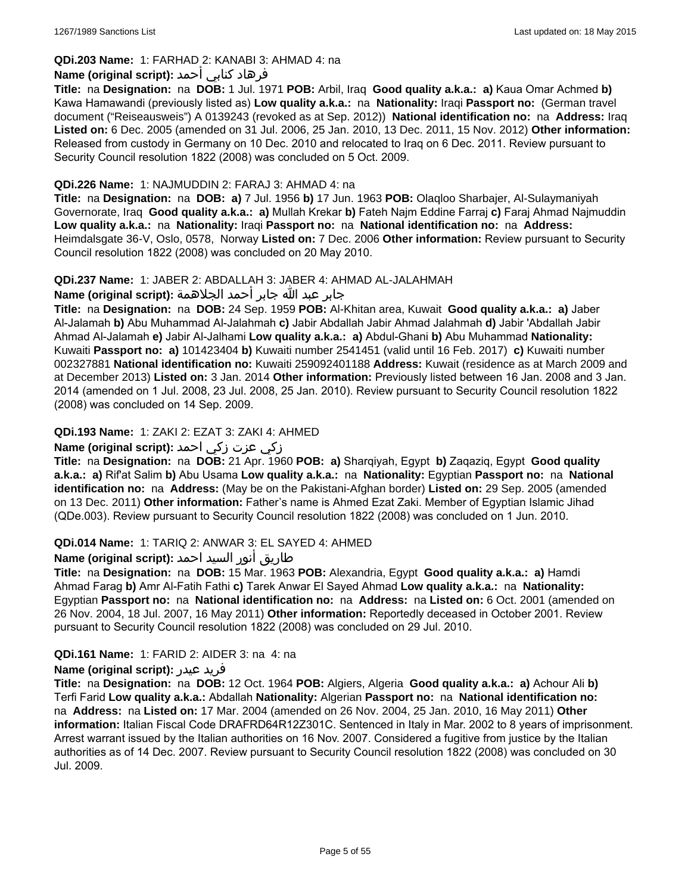# **QDi.203 Name:** 1: FARHAD 2: KANABI 3: AHMAD 4: na

### فرهاد كنابي أحمد **:Name (original script)**

**Title:** na **Designation:** na **DOB:** 1 Jul. 1971 **POB:** Arbil, Iraq **Good quality a.k.a.: a)** Kaua Omar Achmed **b)** Kawa Hamawandi (previously listed as) **Low quality a.k.a.:** na **Nationality:** Iraqi **Passport no:** (German travel document ("Reiseausweis") A 0139243 (revoked as at Sep. 2012)) **National identification no:** na **Address:** Iraq **Listed on:** 6 Dec. 2005 (amended on 31 Jul. 2006, 25 Jan. 2010, 13 Dec. 2011, 15 Nov. 2012) **Other information:** Released from custody in Germany on 10 Dec. 2010 and relocated to Iraq on 6 Dec. 2011. Review pursuant to Security Council resolution 1822 (2008) was concluded on 5 Oct. 2009.

#### **QDi.226 Name:** 1: NAJMUDDIN 2: FARAJ 3: AHMAD 4: na

**Title:** na **Designation:** na **DOB: a)** 7 Jul. 1956 **b)** 17 Jun. 1963 **POB:** Olaqloo Sharbajer, Al-Sulaymaniyah Governorate, Iraq **Good quality a.k.a.: a)** Mullah Krekar **b)** Fateh Najm Eddine Farraj **c)** Faraj Ahmad Najmuddin **Low quality a.k.a.:** na **Nationality:** Iraqi **Passport no:** na **National identification no:** na **Address:** Heimdalsgate 36-V, Oslo, 0578, Norway **Listed on:** 7 Dec. 2006 **Other information:** Review pursuant to Security Council resolution 1822 (2008) was concluded on 20 May 2010.

### **QDi.237 Name:** 1: JABER 2: ABDALLAH 3: JABER 4: AHMAD AL-JALAHMAH

جابر عبد الله جابر أحمد الجلاهمة **:(script original (Name**

**Title:** na **Designation:** na **DOB:** 24 Sep. 1959 **POB:** Al-Khitan area, Kuwait **Good quality a.k.a.: a)** Jaber Al-Jalamah **b)** Abu Muhammad Al-Jalahmah **c)** Jabir Abdallah Jabir Ahmad Jalahmah **d)** Jabir 'Abdallah Jabir Ahmad Al-Jalamah **e)** Jabir Al-Jalhami **Low quality a.k.a.: a)** Abdul-Ghani **b)** Abu Muhammad **Nationality:** Kuwaiti **Passport no: a)** 101423404 **b)** Kuwaiti number 2541451 (valid until 16 Feb. 2017) **c)** Kuwaiti number 002327881 **National identification no:** Kuwaiti 259092401188 **Address:** Kuwait (residence as at March 2009 and at December 2013) **Listed on:** 3 Jan. 2014 **Other information:** Previously listed between 16 Jan. 2008 and 3 Jan. 2014 (amended on 1 Jul. 2008, 23 Jul. 2008, 25 Jan. 2010). Review pursuant to Security Council resolution 1822 (2008) was concluded on 14 Sep. 2009.

### **QDi.193 Name:** 1: ZAKI 2: EZAT 3: ZAKI 4: AHMED

### زكي عزت زكي احمد **:(script original (Name**

**Title:** na **Designation:** na **DOB:** 21 Apr. 1960 **POB: a)** Sharqiyah, Egypt **b)** Zaqaziq, Egypt **Good quality a.k.a.: a)** Rif'at Salim **b)** Abu Usama **Low quality a.k.a.:** na **Nationality:** Egyptian **Passport no:** na **National identification no:** na **Address:** (May be on the Pakistani-Afghan border) **Listed on:** 29 Sep. 2005 (amended on 13 Dec. 2011) **Other information:** Father's name is Ahmed Ezat Zaki. Member of Egyptian Islamic Jihad (QDe.003). Review pursuant to Security Council resolution 1822 (2008) was concluded on 1 Jun. 2010.

### **QDi.014 Name:** 1: TARIQ 2: ANWAR 3: EL SAYED 4: AHMED

# طاريق أنور السيد احمد **:Name (original script**)

**Title:** na **Designation:** na **DOB:** 15 Mar. 1963 **POB:** Alexandria, Egypt **Good quality a.k.a.: a)** Hamdi Ahmad Farag **b)** Amr Al-Fatih Fathi **c)** Tarek Anwar El Sayed Ahmad **Low quality a.k.a.:** na **Nationality:** Egyptian **Passport no:** na **National identification no:** na **Address:** na **Listed on:** 6 Oct. 2001 (amended on 26 Nov. 2004, 18 Jul. 2007, 16 May 2011) **Other information:** Reportedly deceased in October 2001. Review pursuant to Security Council resolution 1822 (2008) was concluded on 29 Jul. 2010.

### **QDi.161 Name:** 1: FARID 2: AIDER 3: na 4: na

#### **Name (original script):** عيدر فريد

**Title:** na **Designation:** na **DOB:** 12 Oct. 1964 **POB:** Algiers, Algeria **Good quality a.k.a.: a)** Achour Ali **b)** Terfi Farid **Low quality a.k.a.:** Abdallah **Nationality:** Algerian **Passport no:** na **National identification no:**  na **Address:** na **Listed on:** 17 Mar. 2004 (amended on 26 Nov. 2004, 25 Jan. 2010, 16 May 2011) **Other information:** Italian Fiscal Code DRAFRD64R12Z301C. Sentenced in Italy in Mar. 2002 to 8 years of imprisonment. Arrest warrant issued by the Italian authorities on 16 Nov. 2007. Considered a fugitive from justice by the Italian authorities as of 14 Dec. 2007. Review pursuant to Security Council resolution 1822 (2008) was concluded on 30 Jul. 2009.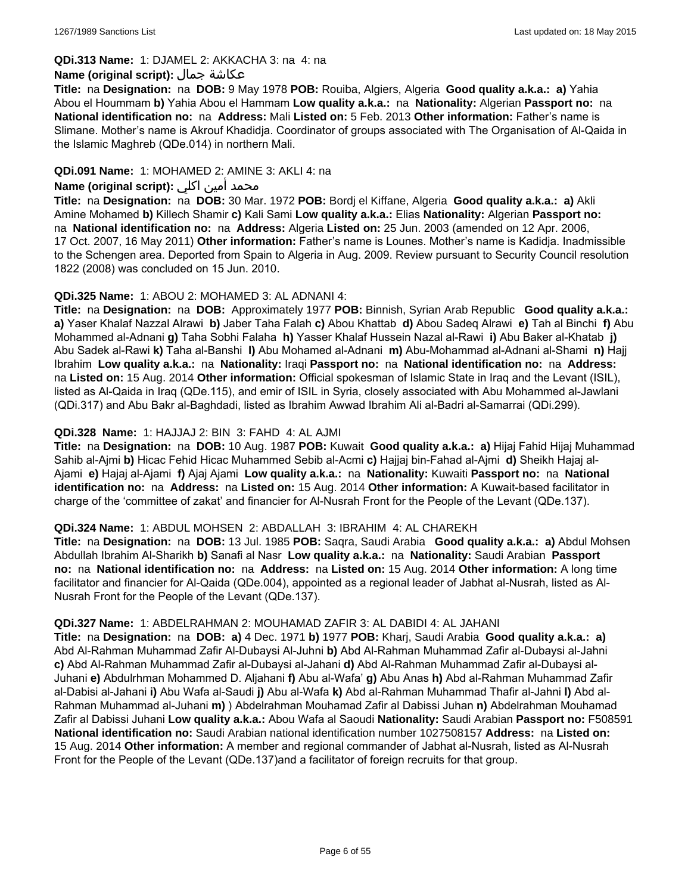#### **QDi.313 Name:** 1: DJAMEL 2: AKKACHA 3: na 4: na

#### **Name (original script):** جمال عكاشة

**Title:** na **Designation:** na **DOB:** 9 May 1978 **POB:** Rouiba, Algiers, Algeria **Good quality a.k.a.: a)** Yahia Abou el Hoummam **b)** Yahia Abou el Hammam **Low quality a.k.a.:** na **Nationality:** Algerian **Passport no:** na **National identification no:** na **Address:** Mali **Listed on:** 5 Feb. 2013 **Other information:** Father's name is Slimane. Mother's name is Akrouf Khadidja. Coordinator of groups associated with The Organisation of Al-Qaida in the Islamic Maghreb (QDe.014) in northern Mali.

### **QDi.091 Name:** 1: MOHAMED 2: AMINE 3: AKLI 4: na

### محمد أمين اكلي **:Name (original script)**

**Title:** na **Designation:** na **DOB:** 30 Mar. 1972 **POB:** Bordj el Kiffane, Algeria **Good quality a.k.a.: a)** Akli Amine Mohamed **b)** Killech Shamir **c)** Kali Sami **Low quality a.k.a.:** Elias **Nationality:** Algerian **Passport no:**  na **National identification no:** na **Address:** Algeria **Listed on:** 25 Jun. 2003 (amended on 12 Apr. 2006, 17 Oct. 2007, 16 May 2011) **Other information:** Father's name is Lounes. Mother's name is Kadidja. Inadmissible to the Schengen area. Deported from Spain to Algeria in Aug. 2009. Review pursuant to Security Council resolution 1822 (2008) was concluded on 15 Jun. 2010.

#### **QDi.325 Name:** 1: ABOU 2: MOHAMED 3: AL ADNANI 4:

**Title:** na **Designation:** na **DOB:** Approximately 1977 **POB:** Binnish, Syrian Arab Republic **Good quality a.k.a.: a)** Yaser Khalaf Nazzal Alrawi **b)** Jaber Taha Falah **c)** Abou Khattab **d)** Abou Sadeq Alrawi **e)** Tah al Binchi **f)** Abu Mohammed al-Adnani **g)** Taha Sobhi Falaha **h)** Yasser Khalaf Hussein Nazal al-Rawi **i)** Abu Baker al-Khatab **j)** Abu Sadek al-Rawi **k)** Taha al-Banshi **l)** Abu Mohamed al-Adnani **m)** Abu-Mohammad al-Adnani al-Shami **n)** Hajj Ibrahim **Low quality a.k.a.:** na **Nationality:** Iraqi **Passport no:** na **National identification no:** na **Address:**  na **Listed on:** 15 Aug. 2014 **Other information:** Official spokesman of Islamic State in Iraq and the Levant (ISIL), listed as Al-Qaida in Iraq (QDe.115), and emir of ISIL in Syria, closely associated with Abu Mohammed al-Jawlani (QDi.317) and Abu Bakr al-Baghdadi, listed as Ibrahim Awwad Ibrahim Ali al-Badri al-Samarrai (QDi.299).

### **QDi.328 Name:** 1: HAJJAJ 2: BIN 3: FAHD 4: AL AJMI

**Title:** na **Designation:** na **DOB:** 10 Aug. 1987 **POB:** Kuwait **Good quality a.k.a.: a)** Hijaj Fahid Hijaj Muhammad Sahib al-Ajmi **b)** Hicac Fehid Hicac Muhammed Sebib al-Acmi **c)** Hajjaj bin-Fahad al-Ajmi **d)** Sheikh Hajaj al-Ajami **e)** Hajaj al-Ajami **f)** Ajaj Ajami **Low quality a.k.a.:** na **Nationality:** Kuwaiti **Passport no:** na **National identification no:** na **Address:** na **Listed on:** 15 Aug. 2014 **Other information:** A Kuwait-based facilitator in charge of the 'committee of zakat' and financier for Al-Nusrah Front for the People of the Levant (QDe.137).

#### **QDi.324 Name:** 1: ABDUL MOHSEN 2: ABDALLAH 3: IBRAHIM 4: AL CHAREKH

**Title:** na **Designation:** na **DOB:** 13 Jul. 1985 **POB:** Saqra, Saudi Arabia **Good quality a.k.a.: a)** Abdul Mohsen Abdullah Ibrahim Al-Sharikh **b)** Sanafi al Nasr **Low quality a.k.a.:** na **Nationality:** Saudi Arabian **Passport no:** na **National identification no:** na **Address:** na **Listed on:** 15 Aug. 2014 **Other information:** A long time facilitator and financier for Al-Qaida (QDe.004), appointed as a regional leader of Jabhat al-Nusrah, listed as Al-Nusrah Front for the People of the Levant (QDe.137).

#### **QDi.327 Name:** 1: ABDELRAHMAN 2: MOUHAMAD ZAFIR 3: AL DABIDI 4: AL JAHANI

**Title:** na **Designation:** na **DOB: a)** 4 Dec. 1971 **b)** 1977 **POB:** Kharj, Saudi Arabia **Good quality a.k.a.: a)** Abd Al-Rahman Muhammad Zafir Al-Dubaysi Al-Juhni **b)** Abd Al-Rahman Muhammad Zafir al-Dubaysi al-Jahni **c)** Abd Al-Rahman Muhammad Zafir al-Dubaysi al-Jahani **d)** Abd Al-Rahman Muhammad Zafir al-Dubaysi al-Juhani **e)** Abdulrhman Mohammed D. Aljahani **f)** Abu al-Wafa' **g)** Abu Anas **h)** Abd al-Rahman Muhammad Zafir al-Dabisi al-Jahani **i)** Abu Wafa al-Saudi **j)** Abu al-Wafa **k)** Abd al-Rahman Muhammad Thafir al-Jahni **l)** Abd al-Rahman Muhammad al-Juhani **m)** ) Abdelrahman Mouhamad Zafir al Dabissi Juhan **n)** Abdelrahman Mouhamad Zafir al Dabissi Juhani **Low quality a.k.a.:** Abou Wafa al Saoudi **Nationality:** Saudi Arabian **Passport no:** F508591 **National identification no:** Saudi Arabian national identification number 1027508157 **Address:** na **Listed on:** 15 Aug. 2014 **Other information:** A member and regional commander of Jabhat al-Nusrah, listed as Al-Nusrah Front for the People of the Levant (QDe.137)and a facilitator of foreign recruits for that group.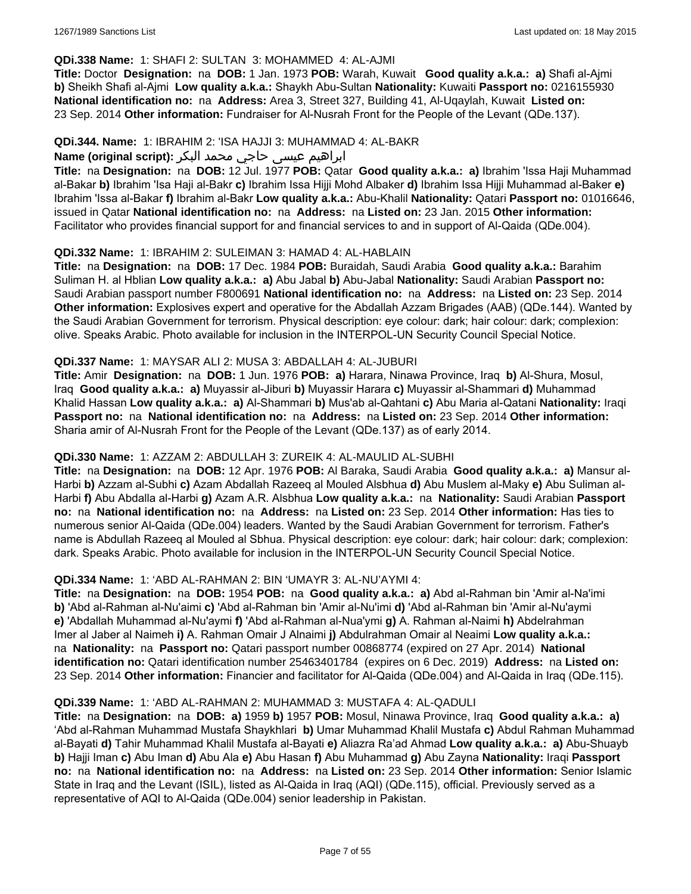#### **QDi.338 Name:** 1: SHAFI 2: SULTAN 3: MOHAMMED 4: AL-AJMI

**Title:** Doctor **Designation:** na **DOB:** 1 Jan. 1973 **POB:** Warah, Kuwait **Good quality a.k.a.: a)** Shafi al-Ajmi **b)** Sheikh Shafi al-Ajmi **Low quality a.k.a.:** Shaykh Abu-Sultan **Nationality:** Kuwaiti **Passport no:** 0216155930 **National identification no:** na **Address:** Area 3, Street 327, Building 41, Al-Uqaylah, Kuwait **Listed on:** 23 Sep. 2014 **Other information:** Fundraiser for Al-Nusrah Front for the People of the Levant (QDe.137).

#### **QDi.344. Name:** 1: IBRAHIM 2: 'ISA HAJJI 3: MUHAMMAD 4: AL-BAKR

# ابراهیم عیسی حاجي محمد البکر **:(script original (Name**

**Title:** na **Designation:** na **DOB:** 12 Jul. 1977 **POB:** Qatar **Good quality a.k.a.: a)** Ibrahim 'Issa Haji Muhammad al-Bakar **b)** Ibrahim 'Isa Haji al-Bakr **c)** Ibrahim Issa Hijji Mohd Albaker **d)** Ibrahim Issa Hijji Muhammad al-Baker **e)** Ibrahim 'Issa al-Bakar **f)** Ibrahim al-Bakr **Low quality a.k.a.:** Abu-Khalil **Nationality:** Qatari **Passport no:** 01016646, issued in Qatar **National identification no:** na **Address:** na **Listed on:** 23 Jan. 2015 **Other information:** Facilitator who provides financial support for and financial services to and in support of Al-Qaida (QDe.004).

#### **QDi.332 Name:** 1: IBRAHIM 2: SULEIMAN 3: HAMAD 4: AL-HABLAIN

**Title:** na **Designation:** na **DOB:** 17 Dec. 1984 **POB:** Buraidah, Saudi Arabia **Good quality a.k.a.:** Barahim Suliman H. al Hblian **Low quality a.k.a.: a)** Abu Jabal **b)** Abu-Jabal **Nationality:** Saudi Arabian **Passport no:** Saudi Arabian passport number F800691 **National identification no:** na **Address:** na **Listed on:** 23 Sep. 2014 **Other information:** Explosives expert and operative for the Abdallah Azzam Brigades (AAB) (QDe.144). Wanted by the Saudi Arabian Government for terrorism. Physical description: eye colour: dark; hair colour: dark; complexion: olive. Speaks Arabic. Photo available for inclusion in the INTERPOL-UN Security Council Special Notice.

#### **QDi.337 Name:** 1: MAYSAR ALI 2: MUSA 3: ABDALLAH 4: AL-JUBURI

**Title:** Amir **Designation:** na **DOB:** 1 Jun. 1976 **POB: a)** Harara, Ninawa Province, Iraq **b)** Al-Shura, Mosul, Iraq **Good quality a.k.a.: a)** Muyassir al-Jiburi **b)** Muyassir Harara **c)** Muyassir al-Shammari **d)** Muhammad Khalid Hassan **Low quality a.k.a.: a)** Al-Shammari **b)** Mus'ab al-Qahtani **c)** Abu Maria al-Qatani **Nationality:** Iraqi **Passport no:** na **National identification no:** na **Address:** na **Listed on:** 23 Sep. 2014 **Other information:** Sharia amir of Al-Nusrah Front for the People of the Levant (QDe.137) as of early 2014.

### **QDi.330 Name:** 1: AZZAM 2: ABDULLAH 3: ZUREIK 4: AL-MAULID AL-SUBHI

**Title:** na **Designation:** na **DOB:** 12 Apr. 1976 **POB:** Al Baraka, Saudi Arabia **Good quality a.k.a.: a)** Mansur al-Harbi **b)** Azzam al-Subhi **c)** Azam Abdallah Razeeq al Mouled Alsbhua **d)** Abu Muslem al-Maky **e)** Abu Suliman al-Harbi **f)** Abu Abdalla al-Harbi **g)** Azam A.R. Alsbhua **Low quality a.k.a.:** na **Nationality:** Saudi Arabian **Passport no:** na **National identification no:** na **Address:** na **Listed on:** 23 Sep. 2014 **Other information:** Has ties to numerous senior Al-Qaida (QDe.004) leaders. Wanted by the Saudi Arabian Government for terrorism. Father's name is Abdullah Razeeq al Mouled al Sbhua. Physical description: eye colour: dark; hair colour: dark; complexion: dark. Speaks Arabic. Photo available for inclusion in the INTERPOL-UN Security Council Special Notice.

### **QDi.334 Name:** 1: 'ABD AL-RAHMAN 2: BIN 'UMAYR 3: AL-NU'AYMI 4:

**Title:** na **Designation:** na **DOB:** 1954 **POB:** na **Good quality a.k.a.: a)** Abd al-Rahman bin 'Amir al-Na'imi **b)** 'Abd al-Rahman al-Nu'aimi **c)** 'Abd al-Rahman bin 'Amir al-Nu'imi **d)** 'Abd al-Rahman bin 'Amir al-Nu'aymi **e)** 'Abdallah Muhammad al-Nu'aymi **f)** 'Abd al-Rahman al-Nua'ymi **g)** A. Rahman al-Naimi **h)** Abdelrahman Imer al Jaber al Naimeh **i)** A. Rahman Omair J Alnaimi **j)** Abdulrahman Omair al Neaimi **Low quality a.k.a.:**  na **Nationality:** na **Passport no:** Qatari passport number 00868774 (expired on 27 Apr. 2014) **National identification no:** Qatari identification number 25463401784 (expires on 6 Dec. 2019) **Address:** na **Listed on:** 23 Sep. 2014 **Other information:** Financier and facilitator for Al-Qaida (QDe.004) and Al-Qaida in Iraq (QDe.115).

#### **QDi.339 Name:** 1: 'ABD AL-RAHMAN 2: MUHAMMAD 3: MUSTAFA 4: AL-QADULI

**Title:** na **Designation:** na **DOB: a)** 1959 **b)** 1957 **POB:** Mosul, Ninawa Province, Iraq **Good quality a.k.a.: a)** 'Abd al-Rahman Muhammad Mustafa Shaykhlari **b)** Umar Muhammad Khalil Mustafa **c)** Abdul Rahman Muhammad al-Bayati **d)** Tahir Muhammad Khalil Mustafa al-Bayati **e)** Aliazra Ra'ad Ahmad **Low quality a.k.a.: a)** Abu-Shuayb **b)** Hajji Iman **c)** Abu Iman **d)** Abu Ala **e)** Abu Hasan **f)** Abu Muhammad **g)** Abu Zayna **Nationality:** Iraqi **Passport no:** na **National identification no:** na **Address:** na **Listed on:** 23 Sep. 2014 **Other information:** Senior Islamic State in Iraq and the Levant (ISIL), listed as Al-Qaida in Iraq (AQI) (QDe.115), official. Previously served as a representative of AQI to Al-Qaida (QDe.004) senior leadership in Pakistan.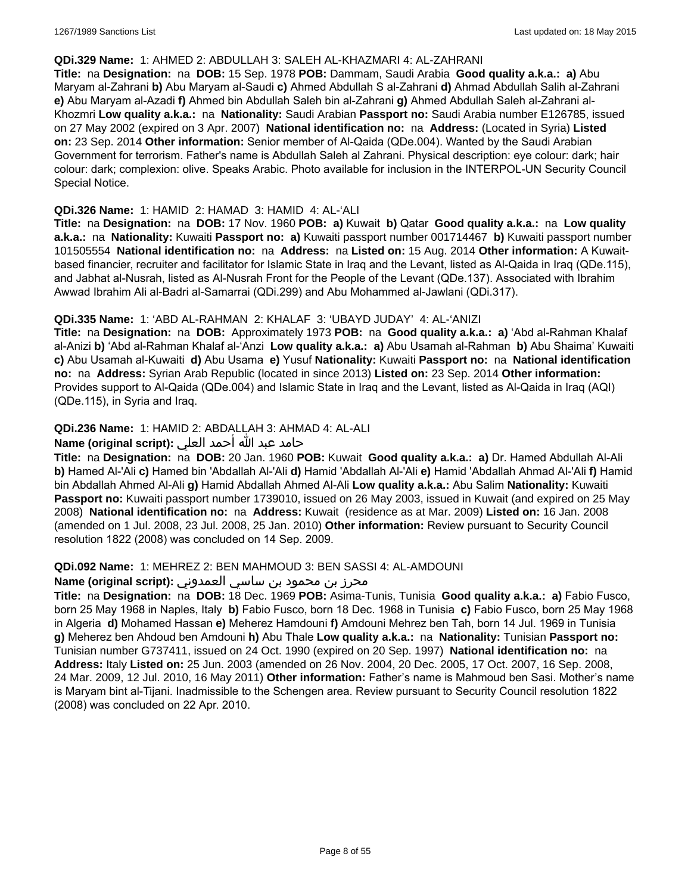#### **QDi.329 Name:** 1: AHMED 2: ABDULLAH 3: SALEH AL-KHAZMARI 4: AL-ZAHRANI

**Title:** na **Designation:** na **DOB:** 15 Sep. 1978 **POB:** Dammam, Saudi Arabia **Good quality a.k.a.: a)** Abu Maryam al-Zahrani **b)** Abu Maryam al-Saudi **c)** Ahmed Abdullah S al-Zahrani **d)** Ahmad Abdullah Salih al-Zahrani **e)** Abu Maryam al-Azadi **f)** Ahmed bin Abdullah Saleh bin al-Zahrani **g)** Ahmed Abdullah Saleh al-Zahrani al-Khozmri **Low quality a.k.a.:** na **Nationality:** Saudi Arabian **Passport no:** Saudi Arabia number E126785, issued on 27 May 2002 (expired on 3 Apr. 2007) **National identification no:** na **Address:** (Located in Syria) **Listed on:** 23 Sep. 2014 **Other information:** Senior member of Al-Qaida (QDe.004). Wanted by the Saudi Arabian Government for terrorism. Father's name is Abdullah Saleh al Zahrani. Physical description: eye colour: dark; hair colour: dark; complexion: olive. Speaks Arabic. Photo available for inclusion in the INTERPOL-UN Security Council Special Notice.

#### **QDi.326 Name:** 1: HAMID 2: HAMAD 3: HAMID 4: AL-'ALI

**Title:** na **Designation:** na **DOB:** 17 Nov. 1960 **POB: a)** Kuwait **b)** Qatar **Good quality a.k.a.:** na **Low quality a.k.a.:** na **Nationality:** Kuwaiti **Passport no: a)** Kuwaiti passport number 001714467 **b)** Kuwaiti passport number 101505554 **National identification no:** na **Address:** na **Listed on:** 15 Aug. 2014 **Other information:** A Kuwaitbased financier, recruiter and facilitator for Islamic State in Iraq and the Levant, listed as Al-Qaida in Iraq (QDe.115), and Jabhat al-Nusrah, listed as Al-Nusrah Front for the People of the Levant (QDe.137). Associated with Ibrahim Awwad Ibrahim Ali al-Badri al-Samarrai (QDi.299) and Abu Mohammed al-Jawlani (QDi.317).

### **QDi.335 Name:** 1: 'ABD AL-RAHMAN 2: KHALAF 3: 'UBAYD JUDAY' 4: AL-'ANIZI

**Title:** na **Designation:** na **DOB:** Approximately 1973 **POB:** na **Good quality a.k.a.: a)** 'Abd al-Rahman Khalaf al-Anizi **b)** 'Abd al-Rahman Khalaf al-'Anzi **Low quality a.k.a.: a)** Abu Usamah al-Rahman **b)** Abu Shaima' Kuwaiti **c)** Abu Usamah al-Kuwaiti **d)** Abu Usama **e)** Yusuf **Nationality:** Kuwaiti **Passport no:** na **National identification no:** na **Address:** Syrian Arab Republic (located in since 2013) **Listed on:** 23 Sep. 2014 **Other information:** Provides support to Al-Qaida (QDe.004) and Islamic State in Iraq and the Levant, listed as Al-Qaida in Iraq (AQI) (QDe.115), in Syria and Iraq.

### **QDi.236 Name:** 1: HAMID 2: ABDALLAH 3: AHMAD 4: AL-ALI

### حامد عبد الله أحمد العلي **:(script original (Name**

**Title:** na **Designation:** na **DOB:** 20 Jan. 1960 **POB:** Kuwait **Good quality a.k.a.: a)** Dr. Hamed Abdullah Al-Ali **b)** Hamed Al-'Ali **c)** Hamed bin 'Abdallah Al-'Ali **d)** Hamid 'Abdallah Al-'Ali **e)** Hamid 'Abdallah Ahmad Al-'Ali **f)** Hamid bin Abdallah Ahmed Al-Ali **g)** Hamid Abdallah Ahmed Al-Ali **Low quality a.k.a.:** Abu Salim **Nationality:** Kuwaiti **Passport no:** Kuwaiti passport number 1739010, issued on 26 May 2003, issued in Kuwait (and expired on 25 May 2008) **National identification no:** na **Address:** Kuwait (residence as at Mar. 2009) **Listed on:** 16 Jan. 2008 (amended on 1 Jul. 2008, 23 Jul. 2008, 25 Jan. 2010) **Other information:** Review pursuant to Security Council resolution 1822 (2008) was concluded on 14 Sep. 2009.

#### **QDi.092 Name:** 1: MEHREZ 2: BEN MAHMOUD 3: BEN SASSI 4: AL-AMDOUNI

### محرز بن محمود بن ساسي العمدوني **:Name (original script**)

**Title:** na **Designation:** na **DOB:** 18 Dec. 1969 **POB:** Asima-Tunis, Tunisia **Good quality a.k.a.: a)** Fabio Fusco, born 25 May 1968 in Naples, Italy **b)** Fabio Fusco, born 18 Dec. 1968 in Tunisia **c)** Fabio Fusco, born 25 May 1968 in Algeria **d)** Mohamed Hassan **e)** Meherez Hamdouni **f)** Amdouni Mehrez ben Tah, born 14 Jul. 1969 in Tunisia **g)** Meherez ben Ahdoud ben Amdouni **h)** Abu Thale **Low quality a.k.a.:** na **Nationality:** Tunisian **Passport no:** Tunisian number G737411, issued on 24 Oct. 1990 (expired on 20 Sep. 1997) **National identification no:** na **Address:** Italy **Listed on:** 25 Jun. 2003 (amended on 26 Nov. 2004, 20 Dec. 2005, 17 Oct. 2007, 16 Sep. 2008, 24 Mar. 2009, 12 Jul. 2010, 16 May 2011) **Other information:** Father's name is Mahmoud ben Sasi. Mother's name is Maryam bint al-Tijani. Inadmissible to the Schengen area. Review pursuant to Security Council resolution 1822 (2008) was concluded on 22 Apr. 2010.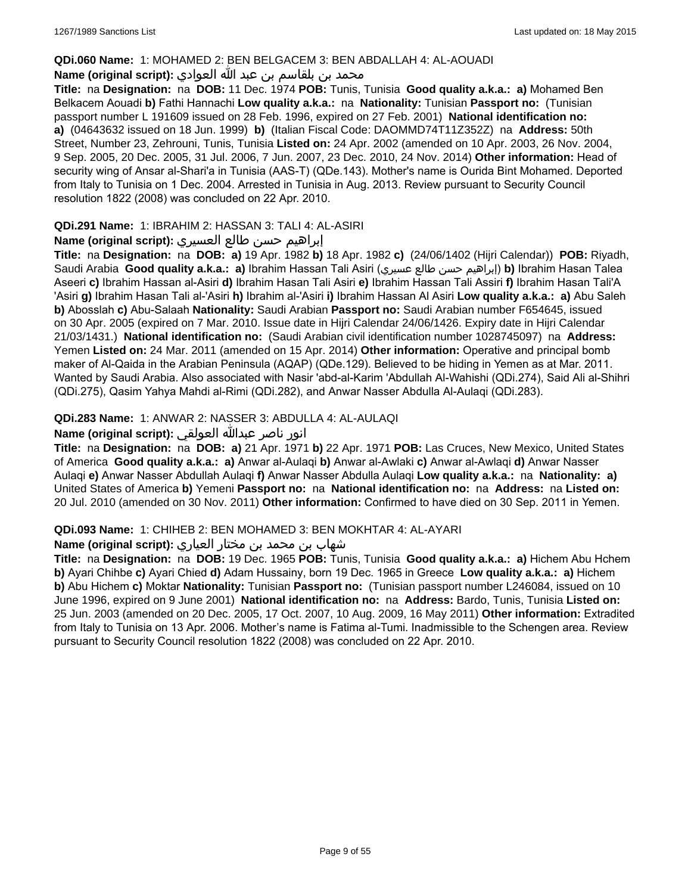### **QDi.060 Name:** 1: MOHAMED 2: BEN BELGACEM 3: BEN ABDALLAH 4: AL-AOUADI

# محمد بن بلقاسم بن عبد الله العوادي **:**Name (original script)

**Title:** na **Designation:** na **DOB:** 11 Dec. 1974 **POB:** Tunis, Tunisia **Good quality a.k.a.: a)** Mohamed Ben Belkacem Aouadi **b)** Fathi Hannachi **Low quality a.k.a.:** na **Nationality:** Tunisian **Passport no:** (Tunisian passport number L 191609 issued on 28 Feb. 1996, expired on 27 Feb. 2001) **National identification no: a)** (04643632 issued on 18 Jun. 1999) **b)** (Italian Fiscal Code: DAOMMD74T11Z352Z) na **Address:** 50th Street, Number 23, Zehrouni, Tunis, Tunisia **Listed on:** 24 Apr. 2002 (amended on 10 Apr. 2003, 26 Nov. 2004, 9 Sep. 2005, 20 Dec. 2005, 31 Jul. 2006, 7 Jun. 2007, 23 Dec. 2010, 24 Nov. 2014) **Other information:** Head of security wing of Ansar al-Shari'a in Tunisia (AAS-T) (QDe.143). Mother's name is Ourida Bint Mohamed. Deported from Italy to Tunisia on 1 Dec. 2004. Arrested in Tunisia in Aug. 2013. Review pursuant to Security Council resolution 1822 (2008) was concluded on 22 Apr. 2010.

### **QDi.291 Name:** 1: IBRAHIM 2: HASSAN 3: TALI 4: AL-ASIRI

### إبراهيم حسن طالع العسيري **:(script original (Name**

**Title:** na **Designation:** na **DOB: a)** 19 Apr. 1982 **b)** 18 Apr. 1982 **c)** (24/06/1402 (Hijri Calendar)) **POB:** Riyadh, Saudi Arabia **Good quality a.k.a.: a)** Ibrahim Hassan Tali Asiri (عسيري طالع حسن إبراهيم(**b)** Ibrahim Hasan Talea Aseeri **c)** Ibrahim Hassan al-Asiri **d)** Ibrahim Hasan Tali Asiri **e)** Ibrahim Hassan Tali Assiri **f)** Ibrahim Hasan Tali'A 'Asiri **g)** Ibrahim Hasan Tali al-'Asiri **h)** Ibrahim al-'Asiri **i)** Ibrahim Hassan Al Asiri **Low quality a.k.a.: a)** Abu Saleh **b)** Abosslah **c)** Abu-Salaah **Nationality:** Saudi Arabian **Passport no:** Saudi Arabian number F654645, issued on 30 Apr. 2005 (expired on 7 Mar. 2010. Issue date in Hijri Calendar 24/06/1426. Expiry date in Hijri Calendar 21/03/1431.) **National identification no:** (Saudi Arabian civil identification number 1028745097) na **Address:** Yemen **Listed on:** 24 Mar. 2011 (amended on 15 Apr. 2014) **Other information:** Operative and principal bomb maker of Al-Qaida in the Arabian Peninsula (AQAP) (QDe.129). Believed to be hiding in Yemen as at Mar. 2011. Wanted by Saudi Arabia. Also associated with Nasir 'abd-al-Karim 'Abdullah Al-Wahishi (QDi.274), Said Ali al-Shihri (QDi.275), Qasim Yahya Mahdi al-Rimi (QDi.282), and Anwar Nasser Abdulla Al-Aulaqi (QDi.283).

### **QDi.283 Name:** 1: ANWAR 2: NASSER 3: ABDULLA 4: AL-AULAQI

### انور ناصر عبدالله العولقي **:(script original (Name**

**Title:** na **Designation:** na **DOB: a)** 21 Apr. 1971 **b)** 22 Apr. 1971 **POB:** Las Cruces, New Mexico, United States of America **Good quality a.k.a.: a)** Anwar al-Aulaqi **b)** Anwar al-Awlaki **c)** Anwar al-Awlaqi **d)** Anwar Nasser Aulaqi **e)** Anwar Nasser Abdullah Aulaqi **f)** Anwar Nasser Abdulla Aulaqi **Low quality a.k.a.:** na **Nationality: a)** United States of America **b)** Yemeni **Passport no:** na **National identification no:** na **Address:** na **Listed on:** 20 Jul. 2010 (amended on 30 Nov. 2011) **Other information:** Confirmed to have died on 30 Sep. 2011 in Yemen.

#### **QDi.093 Name:** 1: CHIHEB 2: BEN MOHAMED 3: BEN MOKHTAR 4: AL-AYARI

### شهاب بن محمد بن مختار العياري **:(script original (Name**

**Title:** na **Designation:** na **DOB:** 19 Dec. 1965 **POB:** Tunis, Tunisia **Good quality a.k.a.: a)** Hichem Abu Hchem **b)** Ayari Chihbe **c)** Ayari Chied **d)** Adam Hussainy, born 19 Dec. 1965 in Greece **Low quality a.k.a.: a)** Hichem **b)** Abu Hichem **c)** Moktar **Nationality:** Tunisian **Passport no:** (Tunisian passport number L246084, issued on 10 June 1996, expired on 9 June 2001) **National identification no:** na **Address:** Bardo, Tunis, Tunisia **Listed on:** 25 Jun. 2003 (amended on 20 Dec. 2005, 17 Oct. 2007, 10 Aug. 2009, 16 May 2011) **Other information:** Extradited from Italy to Tunisia on 13 Apr. 2006. Mother's name is Fatima al-Tumi. Inadmissible to the Schengen area. Review pursuant to Security Council resolution 1822 (2008) was concluded on 22 Apr. 2010.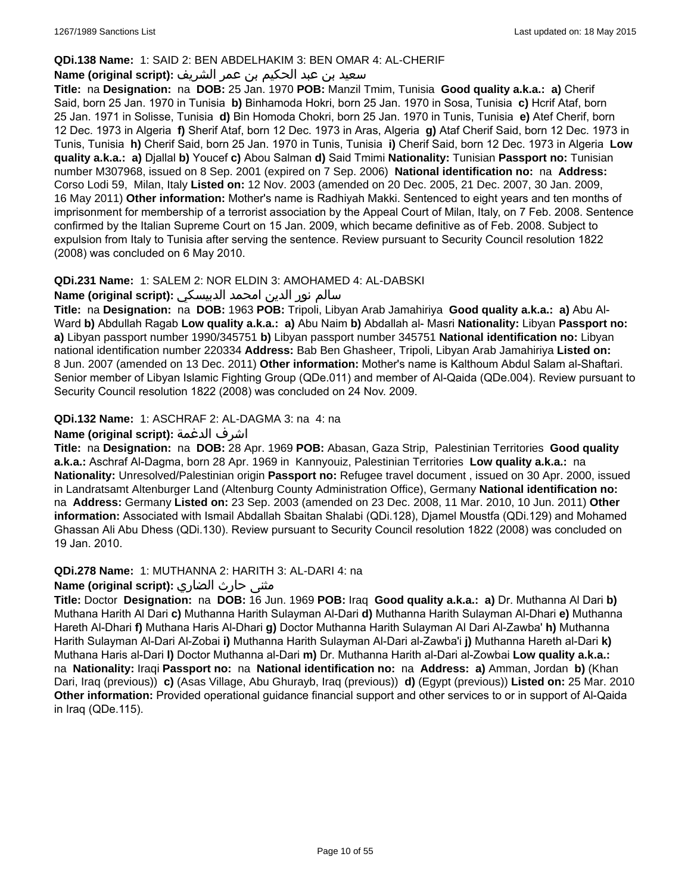### **QDi.138 Name:** 1: SAID 2: BEN ABDELHAKIM 3: BEN OMAR 4: AL-CHERIF

### سعيد بن عبد الحكيم بن عمر الشريف **:(script original (Name**

**Title:** na **Designation:** na **DOB:** 25 Jan. 1970 **POB:** Manzil Tmim, Tunisia **Good quality a.k.a.: a)** Cherif Said, born 25 Jan. 1970 in Tunisia **b)** Binhamoda Hokri, born 25 Jan. 1970 in Sosa, Tunisia **c)** Hcrif Ataf, born 25 Jan. 1971 in Solisse, Tunisia **d)** Bin Homoda Chokri, born 25 Jan. 1970 in Tunis, Tunisia **e)** Atef Cherif, born 12 Dec. 1973 in Algeria **f)** Sherif Ataf, born 12 Dec. 1973 in Aras, Algeria **g)** Ataf Cherif Said, born 12 Dec. 1973 in Tunis, Tunisia **h)** Cherif Said, born 25 Jan. 1970 in Tunis, Tunisia **i)** Cherif Said, born 12 Dec. 1973 in Algeria **Low quality a.k.a.: a)** Djallal **b)** Youcef **c)** Abou Salman **d)** Said Tmimi **Nationality:** Tunisian **Passport no:** Tunisian number M307968, issued on 8 Sep. 2001 (expired on 7 Sep. 2006) **National identification no:** na **Address:** Corso Lodi 59, Milan, Italy **Listed on:** 12 Nov. 2003 (amended on 20 Dec. 2005, 21 Dec. 2007, 30 Jan. 2009, 16 May 2011) **Other information:** Mother's name is Radhiyah Makki. Sentenced to eight years and ten months of imprisonment for membership of a terrorist association by the Appeal Court of Milan, Italy, on 7 Feb. 2008. Sentence confirmed by the Italian Supreme Court on 15 Jan. 2009, which became definitive as of Feb. 2008. Subject to expulsion from Italy to Tunisia after serving the sentence. Review pursuant to Security Council resolution 1822 (2008) was concluded on 6 May 2010.

### **QDi.231 Name:** 1: SALEM 2: NOR ELDIN 3: AMOHAMED 4: AL-DABSKI

### سالم نور الدين امحمد الدبيسكي **:(script original (Name**

**Title:** na **Designation:** na **DOB:** 1963 **POB:** Tripoli, Libyan Arab Jamahiriya **Good quality a.k.a.: a)** Abu Al-Ward **b)** Abdullah Ragab **Low quality a.k.a.: a)** Abu Naim **b)** Abdallah al- Masri **Nationality:** Libyan **Passport no: a)** Libyan passport number 1990/345751 **b)** Libyan passport number 345751 **National identification no:** Libyan national identification number 220334 **Address:** Bab Ben Ghasheer, Tripoli, Libyan Arab Jamahiriya **Listed on:** 8 Jun. 2007 (amended on 13 Dec. 2011) **Other information:** Mother's name is Kalthoum Abdul Salam al-Shaftari. Senior member of Libyan Islamic Fighting Group (QDe.011) and member of Al-Qaida (QDe.004). Review pursuant to Security Council resolution 1822 (2008) was concluded on 24 Nov. 2009.

### **QDi.132 Name:** 1: ASCHRAF 2: AL-DAGMA 3: na 4: na

### **Name (original script):** الدغمة اشرف

**Title:** na **Designation:** na **DOB:** 28 Apr. 1969 **POB:** Abasan, Gaza Strip, Palestinian Territories **Good quality a.k.a.:** Aschraf Al-Dagma, born 28 Apr. 1969 in Kannyouiz, Palestinian Territories **Low quality a.k.a.:** na **Nationality:** Unresolved/Palestinian origin **Passport no:** Refugee travel document , issued on 30 Apr. 2000, issued in Landratsamt Altenburger Land (Altenburg County Administration Office), Germany **National identification no:**  na **Address:** Germany **Listed on:** 23 Sep. 2003 (amended on 23 Dec. 2008, 11 Mar. 2010, 10 Jun. 2011) **Other information:** Associated with Ismail Abdallah Sbaitan Shalabi (QDi.128), Djamel Moustfa (QDi.129) and Mohamed Ghassan Ali Abu Dhess (QDi.130). Review pursuant to Security Council resolution 1822 (2008) was concluded on 19 Jan. 2010.

#### **QDi.278 Name:** 1: MUTHANNA 2: HARITH 3: AL-DARI 4: na

# مثنى حارث الضاري :Name (original script)

**Title:** Doctor **Designation:** na **DOB:** 16 Jun. 1969 **POB:** Iraq **Good quality a.k.a.: a)** Dr. Muthanna Al Dari **b)** Muthana Harith Al Dari **c)** Muthanna Harith Sulayman Al-Dari **d)** Muthanna Harith Sulayman Al-Dhari **e)** Muthanna Hareth Al-Dhari **f)** Muthana Haris Al-Dhari **g)** Doctor Muthanna Harith Sulayman Al Dari Al-Zawba' **h)** Muthanna Harith Sulayman Al-Dari Al-Zobai **i)** Muthanna Harith Sulayman Al-Dari al-Zawba'i **j)** Muthanna Hareth al-Dari **k)** Muthana Haris al-Dari **l)** Doctor Muthanna al-Dari **m)** Dr. Muthanna Harith al-Dari al-Zowbai **Low quality a.k.a.:**  na **Nationality:** Iraqi **Passport no:** na **National identification no:** na **Address: a)** Amman, Jordan **b)** (Khan Dari, Iraq (previous)) **c)** (Asas Village, Abu Ghurayb, Iraq (previous)) **d)** (Egypt (previous)) **Listed on:** 25 Mar. 2010 **Other information:** Provided operational guidance financial support and other services to or in support of Al-Qaida in Iraq (QDe.115).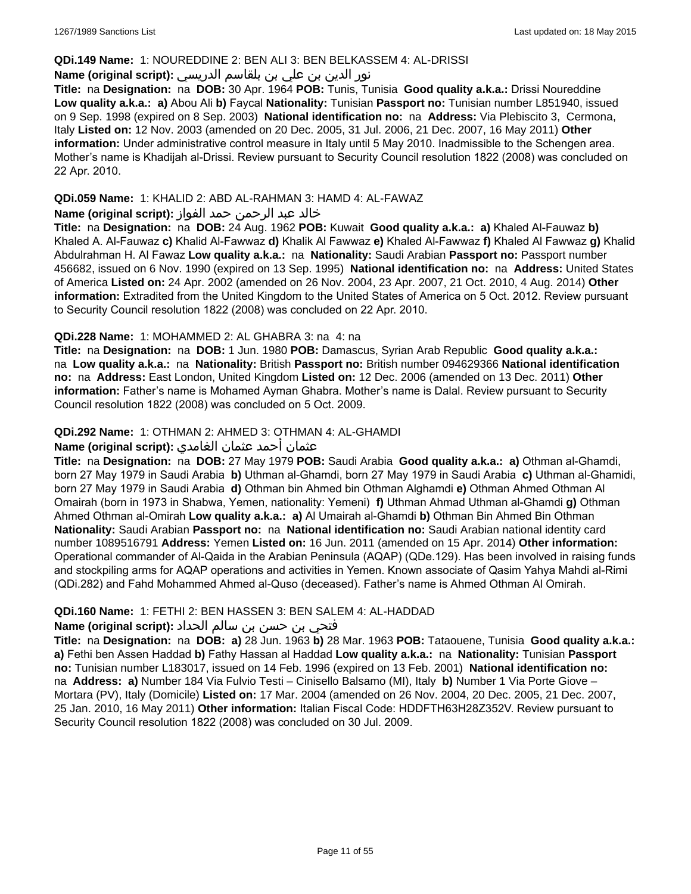#### **QDi.149 Name:** 1: NOUREDDINE 2: BEN ALI 3: BEN BELKASSEM 4: AL-DRISSI

# نور الدين بن علي بن بلقاسم الدريسي **:(script original (Name**

**Title:** na **Designation:** na **DOB:** 30 Apr. 1964 **POB:** Tunis, Tunisia **Good quality a.k.a.:** Drissi Noureddine **Low quality a.k.a.: a)** Abou Ali **b)** Faycal **Nationality:** Tunisian **Passport no:** Tunisian number L851940, issued on 9 Sep. 1998 (expired on 8 Sep. 2003) **National identification no:** na **Address:** Via Plebiscito 3, Cermona, Italy **Listed on:** 12 Nov. 2003 (amended on 20 Dec. 2005, 31 Jul. 2006, 21 Dec. 2007, 16 May 2011) **Other information:** Under administrative control measure in Italy until 5 May 2010. Inadmissible to the Schengen area. Mother's name is Khadijah al-Drissi. Review pursuant to Security Council resolution 1822 (2008) was concluded on 22 Apr. 2010.

### **QDi.059 Name:** 1: KHALID 2: ABD AL-RAHMAN 3: HAMD 4: AL-FAWAZ

### خالد عبد الرحمن حمد الفواز **:(script original (Name**

**Title:** na **Designation:** na **DOB:** 24 Aug. 1962 **POB:** Kuwait **Good quality a.k.a.: a)** Khaled Al-Fauwaz **b)** Khaled A. Al-Fauwaz **c)** Khalid Al-Fawwaz **d)** Khalik Al Fawwaz **e)** Khaled Al-Fawwaz **f)** Khaled Al Fawwaz **g)** Khalid Abdulrahman H. Al Fawaz **Low quality a.k.a.:** na **Nationality:** Saudi Arabian **Passport no:** Passport number 456682, issued on 6 Nov. 1990 (expired on 13 Sep. 1995) **National identification no:** na **Address:** United States of America **Listed on:** 24 Apr. 2002 (amended on 26 Nov. 2004, 23 Apr. 2007, 21 Oct. 2010, 4 Aug. 2014) **Other information:** Extradited from the United Kingdom to the United States of America on 5 Oct. 2012. Review pursuant to Security Council resolution 1822 (2008) was concluded on 22 Apr. 2010.

### **QDi.228 Name:** 1: MOHAMMED 2: AL GHABRA 3: na 4: na

**Title:** na **Designation:** na **DOB:** 1 Jun. 1980 **POB:** Damascus, Syrian Arab Republic **Good quality a.k.a.:**  na **Low quality a.k.a.:** na **Nationality:** British **Passport no:** British number 094629366 **National identification no:** na **Address:** East London, United Kingdom **Listed on:** 12 Dec. 2006 (amended on 13 Dec. 2011) **Other information:** Father's name is Mohamed Ayman Ghabra. Mother's name is Dalal. Review pursuant to Security Council resolution 1822 (2008) was concluded on 5 Oct. 2009.

# **QDi.292 Name:** 1: OTHMAN 2: AHMED 3: OTHMAN 4: AL-GHAMDI

### عثمان أحمد عثمان الغامدي **:(script original (Name**

**Title:** na **Designation:** na **DOB:** 27 May 1979 **POB:** Saudi Arabia **Good quality a.k.a.: a)** Othman al-Ghamdi, born 27 May 1979 in Saudi Arabia **b)** Uthman al-Ghamdi, born 27 May 1979 in Saudi Arabia **c)** Uthman al-Ghamidi, born 27 May 1979 in Saudi Arabia **d)** Othman bin Ahmed bin Othman Alghamdi **e)** Othman Ahmed Othman Al Omairah (born in 1973 in Shabwa, Yemen, nationality: Yemeni) **f)** Uthman Ahmad Uthman al-Ghamdi **g)** Othman Ahmed Othman al-Omirah **Low quality a.k.a.: a)** Al Umairah al-Ghamdi **b)** Othman Bin Ahmed Bin Othman **Nationality:** Saudi Arabian **Passport no:** na **National identification no:** Saudi Arabian national identity card number 1089516791 **Address:** Yemen **Listed on:** 16 Jun. 2011 (amended on 15 Apr. 2014) **Other information:** Operational commander of Al-Qaida in the Arabian Peninsula (AQAP) (QDe.129). Has been involved in raising funds and stockpiling arms for AQAP operations and activities in Yemen. Known associate of Qasim Yahya Mahdi al-Rimi (QDi.282) and Fahd Mohammed Ahmed al-Quso (deceased). Father's name is Ahmed Othman Al Omirah.

### **QDi.160 Name:** 1: FETHI 2: BEN HASSEN 3: BEN SALEM 4: AL-HADDAD

# فتحي بن حسن بن سالم الحداد **:(script original (Name**

**Title:** na **Designation:** na **DOB: a)** 28 Jun. 1963 **b)** 28 Mar. 1963 **POB:** Tataouene, Tunisia **Good quality a.k.a.: a)** Fethi ben Assen Haddad **b)** Fathy Hassan al Haddad **Low quality a.k.a.:** na **Nationality:** Tunisian **Passport no:** Tunisian number L183017, issued on 14 Feb. 1996 (expired on 13 Feb. 2001) **National identification no:**  na **Address: a)** Number 184 Via Fulvio Testi – Cinisello Balsamo (MI), Italy **b)** Number 1 Via Porte Giove – Mortara (PV), Italy (Domicile) **Listed on:** 17 Mar. 2004 (amended on 26 Nov. 2004, 20 Dec. 2005, 21 Dec. 2007, 25 Jan. 2010, 16 May 2011) **Other information:** Italian Fiscal Code: HDDFTH63H28Z352V. Review pursuant to Security Council resolution 1822 (2008) was concluded on 30 Jul. 2009.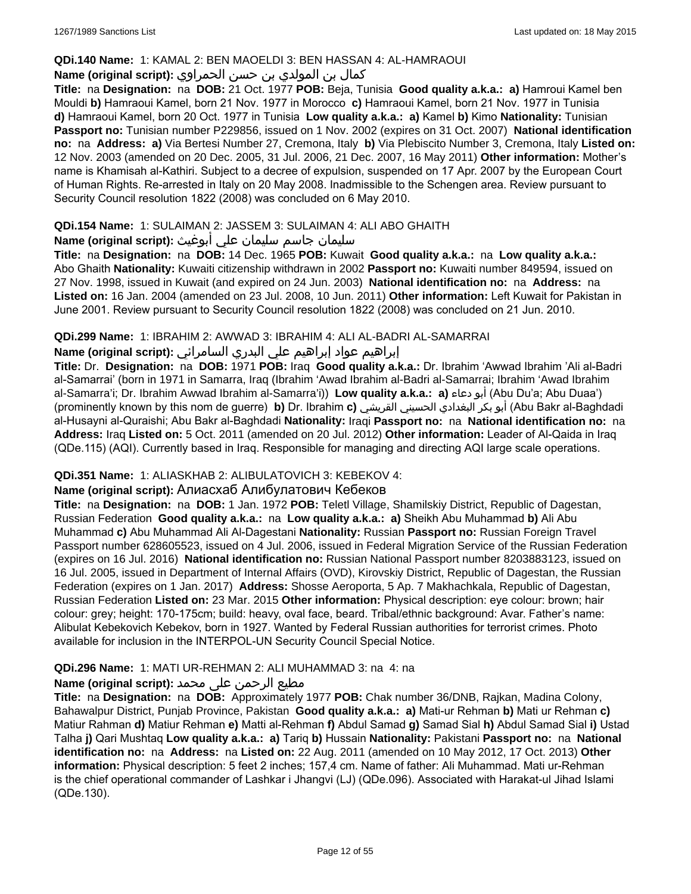### **QDi.140 Name:** 1: KAMAL 2: BEN MAOELDI 3: BEN HASSAN 4: AL-HAMRAOUI

# كمال بن المولدي بن حسن الحمراوي **:(script original (Name**

**Title:** na **Designation:** na **DOB:** 21 Oct. 1977 **POB:** Beja, Tunisia **Good quality a.k.a.: a)** Hamroui Kamel ben Mouldi **b)** Hamraoui Kamel, born 21 Nov. 1977 in Morocco **c)** Hamraoui Kamel, born 21 Nov. 1977 in Tunisia **d)** Hamraoui Kamel, born 20 Oct. 1977 in Tunisia **Low quality a.k.a.: a)** Kamel **b)** Kimo **Nationality:** Tunisian **Passport no:** Tunisian number P229856, issued on 1 Nov. 2002 (expires on 31 Oct. 2007) **National identification no:** na **Address: a)** Via Bertesi Number 27, Cremona, Italy **b)** Via Plebiscito Number 3, Cremona, Italy **Listed on:** 12 Nov. 2003 (amended on 20 Dec. 2005, 31 Jul. 2006, 21 Dec. 2007, 16 May 2011) **Other information:** Mother's name is Khamisah al-Kathiri. Subject to a decree of expulsion, suspended on 17 Apr. 2007 by the European Court of Human Rights. Re-arrested in Italy on 20 May 2008. Inadmissible to the Schengen area. Review pursuant to Security Council resolution 1822 (2008) was concluded on 6 May 2010.

### **QDi.154 Name:** 1: SULAIMAN 2: JASSEM 3: SULAIMAN 4: ALI ABO GHAITH

### سليمان جاسم سليمان علي أبوغيث **:(script original (Name**

**Title:** na **Designation:** na **DOB:** 14 Dec. 1965 **POB:** Kuwait **Good quality a.k.a.:** na **Low quality a.k.a.:** Abo Ghaith **Nationality:** Kuwaiti citizenship withdrawn in 2002 **Passport no:** Kuwaiti number 849594, issued on 27 Nov. 1998, issued in Kuwait (and expired on 24 Jun. 2003) **National identification no:** na **Address:** na **Listed on:** 16 Jan. 2004 (amended on 23 Jul. 2008, 10 Jun. 2011) **Other information:** Left Kuwait for Pakistan in June 2001. Review pursuant to Security Council resolution 1822 (2008) was concluded on 21 Jun. 2010.

### **QDi.299 Name:** 1: IBRAHIM 2: AWWAD 3: IBRAHIM 4: ALI AL-BADRI AL-SAMARRAI

# إبراهيم عواد إبراهيم علي البدري السامرائي **:(script original (Name**

**Title:** Dr. **Designation:** na **DOB:** 1971 **POB:** Iraq **Good quality a.k.a.:** Dr. Ibrahim 'Awwad Ibrahim 'Ali al-Badri al-Samarrai' (born in 1971 in Samarra, Iraq (Ibrahim 'Awad Ibrahim al-Badri al-Samarrai; Ibrahim 'Awad Ibrahim al-Samarra'i; Dr. Ibrahim Awwad Ibrahim al-Samarra'i)) **Low quality a.k.a.: a)** دعاء أبو) Abu Du'a; Abu Duaa') (prominently known by this nom de guerre) **b)** Dr. Ibrahim **c)** القريشي الحسيني البغدادي بكر أبو) Abu Bakr al-Baghdadi al-Husayni al-Quraishi; Abu Bakr al-Baghdadi **Nationality:** Iraqi **Passport no:** na **National identification no:** na **Address:** Iraq **Listed on:** 5 Oct. 2011 (amended on 20 Jul. 2012) **Other information:** Leader of Al-Qaida in Iraq (QDe.115) (AQI). Currently based in Iraq. Responsible for managing and directing AQI large scale operations.

### **QDi.351 Name:** 1: ALIASKHAB 2: ALIBULATOVICH 3: KEBEKOV 4:

# **Name (original script):** Алиaсхаб Алибулатович Кебеков

**Title:** na **Designation:** na **DOB:** 1 Jan. 1972 **POB:** Teletl Village, Shamilskiy District, Republic of Dagestan, Russian Federation **Good quality a.k.a.:** na **Low quality a.k.a.: a)** Sheikh Abu Muhammad **b)** Ali Abu Muhammad **c)** Abu Muhammad Ali Al-Dagestani **Nationality:** Russian **Passport no:** Russian Foreign Travel Passport number 628605523, issued on 4 Jul. 2006, issued in Federal Migration Service of the Russian Federation (expires on 16 Jul. 2016) **National identification no:** Russian National Passport number 8203883123, issued on 16 Jul. 2005, issued in Department of Internal Affairs (OVD), Kirovskiy District, Republic of Dagestan, the Russian Federation (expires on 1 Jan. 2017) **Address:** Shosse Aeroporta, 5 Ap. 7 Makhachkala, Republic of Dagestan, Russian Federation **Listed on:** 23 Mar. 2015 **Other information:** Physical description: eye colour: brown; hair colour: grey; height: 170-175cm; build: heavy, oval face, beard. Tribal/ethnic background: Avar. Father's name: Alibulat Kebekovich Kebekov, born in 1927. Wanted by Federal Russian authorities for terrorist crimes. Photo available for inclusion in the INTERPOL-UN Security Council Special Notice.

### **QDi.296 Name:** 1: MATI UR-REHMAN 2: ALI MUHAMMAD 3: na 4: na

# مطیع الرحمن علی محمد **:Name (original script)**

**Title:** na **Designation:** na **DOB:** Approximately 1977 **POB:** Chak number 36/DNB, Rajkan, Madina Colony, Bahawalpur District, Punjab Province, Pakistan **Good quality a.k.a.: a)** Mati-ur Rehman **b)** Mati ur Rehman **c)** Matiur Rahman **d)** Matiur Rehman **e)** Matti al-Rehman **f)** Abdul Samad **g)** Samad Sial **h)** Abdul Samad Sial **i)** Ustad Talha **j)** Qari Mushtaq **Low quality a.k.a.: a)** Tariq **b)** Hussain **Nationality:** Pakistani **Passport no:** na **National identification no:** na **Address:** na **Listed on:** 22 Aug. 2011 (amended on 10 May 2012, 17 Oct. 2013) **Other information:** Physical description: 5 feet 2 inches; 157,4 cm. Name of father: Ali Muhammad. Mati ur-Rehman is the chief operational commander of Lashkar i Jhangvi (LJ) (QDe.096). Associated with Harakat-ul Jihad Islami (QDe.130).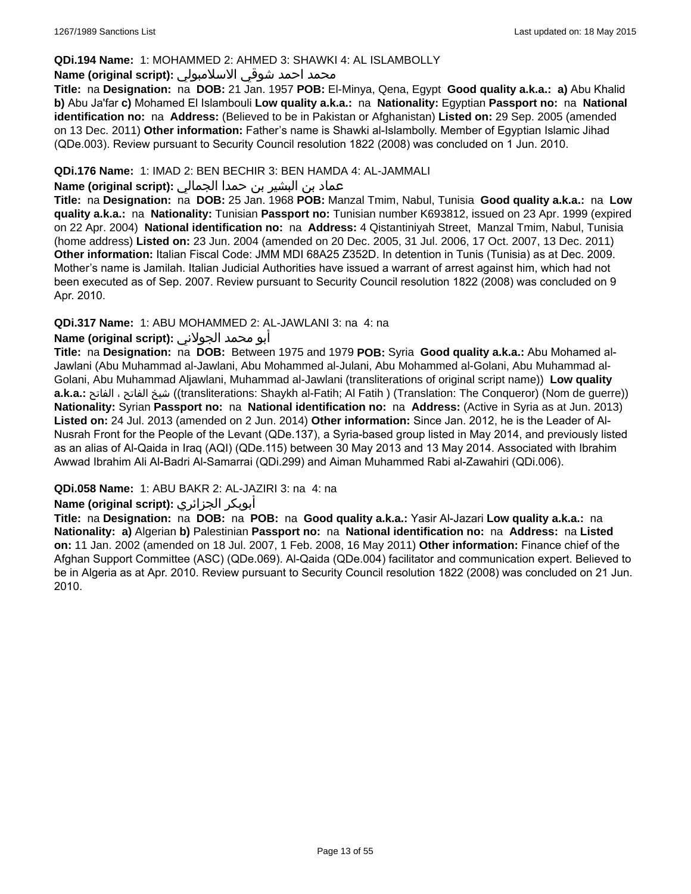### **QDi.194 Name:** 1: MOHAMMED 2: AHMED 3: SHAWKI 4: AL ISLAMBOLLY

#### محمد احمد شوقي الاسلامبولي **:Name (original script)**

**Title:** na **Designation:** na **DOB:** 21 Jan. 1957 **POB:** El-Minya, Qena, Egypt **Good quality a.k.a.: a)** Abu Khalid **b)** Abu Ja'far **c)** Mohamed El Islambouli **Low quality a.k.a.:** na **Nationality:** Egyptian **Passport no:** na **National identification no:** na **Address:** (Believed to be in Pakistan or Afghanistan) **Listed on:** 29 Sep. 2005 (amended on 13 Dec. 2011) **Other information:** Father's name is Shawki al-Islambolly. Member of Egyptian Islamic Jihad (QDe.003). Review pursuant to Security Council resolution 1822 (2008) was concluded on 1 Jun. 2010.

### **QDi.176 Name:** 1: IMAD 2: BEN BECHIR 3: BEN HAMDA 4: AL-JAMMALI

### عماد بن البشير بن حمدا الجمالي **:(script original (Name**

**Title:** na **Designation:** na **DOB:** 25 Jan. 1968 **POB:** Manzal Tmim, Nabul, Tunisia **Good quality a.k.a.:** na **Low quality a.k.a.:** na **Nationality:** Tunisian **Passport no:** Tunisian number K693812, issued on 23 Apr. 1999 (expired on 22 Apr. 2004) **National identification no:** na **Address:** 4 Qistantiniyah Street, Manzal Tmim, Nabul, Tunisia (home address) **Listed on:** 23 Jun. 2004 (amended on 20 Dec. 2005, 31 Jul. 2006, 17 Oct. 2007, 13 Dec. 2011) **Other information:** Italian Fiscal Code: JMM MDI 68A25 Z352D. In detention in Tunis (Tunisia) as at Dec. 2009. Mother's name is Jamilah. Italian Judicial Authorities have issued a warrant of arrest against him, which had not been executed as of Sep. 2007. Review pursuant to Security Council resolution 1822 (2008) was concluded on 9 Apr. 2010.

### **QDi.317 Name:** 1: ABU MOHAMMED 2: AL-JAWLANI 3: na 4: na

### أبو محمد الجولاني **:(script original (Name**

**Title:** na **Designation:** na **DOB:** Between 1975 and 1979 **POB:** Syria **Good quality a.k.a.:** Abu Mohamed al-Jawlani (Abu Muhammad al-Jawlani, Abu Mohammed al-Julani, Abu Mohammed al-Golani, Abu Muhammad al-Golani, Abu Muhammad Aljawlani, Muhammad al-Jawlani (transliterations of original script name)) **Low quality a.k.a.:** الفاتح ، الفاتح شيخ)) transliterations: Shaykh al-Fatih; Al Fatih ) (Translation: The Conqueror) (Nom de guerre)) **Nationality:** Syrian **Passport no:** na **National identification no:** na **Address:** (Active in Syria as at Jun. 2013) **Listed on:** 24 Jul. 2013 (amended on 2 Jun. 2014) **Other information:** Since Jan. 2012, he is the Leader of Al-Nusrah Front for the People of the Levant (QDe.137), a Syria-based group listed in May 2014, and previously listed as an alias of Al-Qaida in Iraq (AQI) (QDe.115) between 30 May 2013 and 13 May 2014. Associated with Ibrahim Awwad Ibrahim Ali Al-Badri Al-Samarrai (QDi.299) and Aiman Muhammed Rabi al-Zawahiri (QDi.006).

### **QDi.058 Name:** 1: ABU BAKR 2: AL-JAZIRI 3: na 4: na

### **Name (original script):** الجزائري أبوبكر

**Title:** na **Designation:** na **DOB:** na **POB:** na **Good quality a.k.a.:** Yasir Al-Jazari **Low quality a.k.a.:** na **Nationality: a)** Algerian **b)** Palestinian **Passport no:** na **National identification no:** na **Address:** na **Listed on:** 11 Jan. 2002 (amended on 18 Jul. 2007, 1 Feb. 2008, 16 May 2011) **Other information:** Finance chief of the Afghan Support Committee (ASC) (QDe.069). Al-Qaida (QDe.004) facilitator and communication expert. Believed to be in Algeria as at Apr. 2010. Review pursuant to Security Council resolution 1822 (2008) was concluded on 21 Jun. 2010.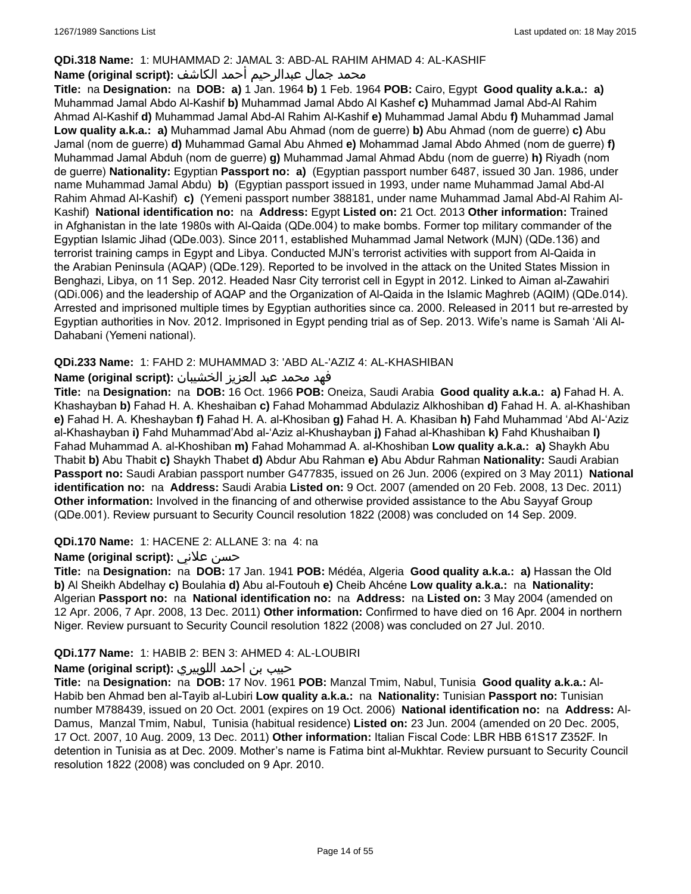### **QDi.318 Name:** 1: MUHAMMAD 2: JAMAL 3: ABD-AL RAHIM AHMAD 4: AL-KASHIF

### محمد جمال عبدالرحيم أحمد الكاشف **:Name (original script**)

**Title:** na **Designation:** na **DOB: a)** 1 Jan. 1964 **b)** 1 Feb. 1964 **POB:** Cairo, Egypt **Good quality a.k.a.: a)** Muhammad Jamal Abdo Al-Kashif **b)** Muhammad Jamal Abdo Al Kashef **c)** Muhammad Jamal Abd-Al Rahim Ahmad Al-Kashif **d)** Muhammad Jamal Abd-Al Rahim Al-Kashif **e)** Muhammad Jamal Abdu **f)** Muhammad Jamal **Low quality a.k.a.: a)** Muhammad Jamal Abu Ahmad (nom de guerre) **b)** Abu Ahmad (nom de guerre) **c)** Abu Jamal (nom de guerre) **d)** Muhammad Gamal Abu Ahmed **e)** Mohammad Jamal Abdo Ahmed (nom de guerre) **f)** Muhammad Jamal Abduh (nom de guerre) **g)** Muhammad Jamal Ahmad Abdu (nom de guerre) **h)** Riyadh (nom de guerre) **Nationality:** Egyptian **Passport no: a)** (Egyptian passport number 6487, issued 30 Jan. 1986, under name Muhammad Jamal Abdu) **b)** (Egyptian passport issued in 1993, under name Muhammad Jamal Abd-Al Rahim Ahmad Al-Kashif) **c)** (Yemeni passport number 388181, under name Muhammad Jamal Abd-Al Rahim Al-Kashif) **National identification no:** na **Address:** Egypt **Listed on:** 21 Oct. 2013 **Other information:** Trained in Afghanistan in the late 1980s with Al-Qaida (QDe.004) to make bombs. Former top military commander of the Egyptian Islamic Jihad (QDe.003). Since 2011, established Muhammad Jamal Network (MJN) (QDe.136) and terrorist training camps in Egypt and Libya. Conducted MJN's terrorist activities with support from Al-Qaida in the Arabian Peninsula (AQAP) (QDe.129). Reported to be involved in the attack on the United States Mission in Benghazi, Libya, on 11 Sep. 2012. Headed Nasr City terrorist cell in Egypt in 2012. Linked to Aiman al-Zawahiri (QDi.006) and the leadership of AQAP and the Organization of Al-Qaida in the Islamic Maghreb (AQIM) (QDe.014). Arrested and imprisoned multiple times by Egyptian authorities since ca. 2000. Released in 2011 but re-arrested by Egyptian authorities in Nov. 2012. Imprisoned in Egypt pending trial as of Sep. 2013. Wife's name is Samah 'Ali Al-Dahabani (Yemeni national).

### **QDi.233 Name:** 1: FAHD 2: MUHAMMAD 3: 'ABD AL-'AZIZ 4: AL-KHASHIBAN

### فهد محمد عبد العزيز الخشيبان **:(script original (Name**

**Title:** na **Designation:** na **DOB:** 16 Oct. 1966 **POB:** Oneiza, Saudi Arabia **Good quality a.k.a.: a)** Fahad H. A. Khashayban **b)** Fahad H. A. Kheshaiban **c)** Fahad Mohammad Abdulaziz Alkhoshiban **d)** Fahad H. A. al-Khashiban **e)** Fahad H. A. Kheshayban **f)** Fahad H. A. al-Khosiban **g)** Fahad H. A. Khasiban **h)** Fahd Muhammad 'Abd Al-'Aziz al-Khashayban **i)** Fahd Muhammad'Abd al-'Aziz al-Khushayban **j)** Fahad al-Khashiban **k)** Fahd Khushaiban **l)** Fahad Muhammad A. al-Khoshiban **m)** Fahad Mohammad A. al-Khoshiban **Low quality a.k.a.: a)** Shaykh Abu Thabit **b)** Abu Thabit **c)** Shaykh Thabet **d)** Abdur Abu Rahman **e)** Abu Abdur Rahman **Nationality:** Saudi Arabian **Passport no:** Saudi Arabian passport number G477835, issued on 26 Jun. 2006 (expired on 3 May 2011) **National identification no:** na **Address:** Saudi Arabia **Listed on:** 9 Oct. 2007 (amended on 20 Feb. 2008, 13 Dec. 2011) **Other information:** Involved in the financing of and otherwise provided assistance to the Abu Sayyaf Group (QDe.001). Review pursuant to Security Council resolution 1822 (2008) was concluded on 14 Sep. 2009.

### **QDi.170 Name:** 1: HACENE 2: ALLANE 3: na 4: na

### **Name (original script):** علاني حسن

**Title:** na **Designation:** na **DOB:** 17 Jan. 1941 **POB:** Médéa, Algeria **Good quality a.k.a.: a)** Hassan the Old **b)** Al Sheikh Abdelhay **c)** Boulahia **d)** Abu al-Foutouh **e)** Cheib Ahcéne **Low quality a.k.a.:** na **Nationality:** Algerian **Passport no:** na **National identification no:** na **Address:** na **Listed on:** 3 May 2004 (amended on 12 Apr. 2006, 7 Apr. 2008, 13 Dec. 2011) **Other information:** Confirmed to have died on 16 Apr. 2004 in northern Niger. Review pursuant to Security Council resolution 1822 (2008) was concluded on 27 Jul. 2010.

### **QDi.177 Name:** 1: HABIB 2: BEN 3: AHMED 4: AL-LOUBIRI

### حبيب بن احمد اللوبيري **:(script original (Name**

**Title:** na **Designation:** na **DOB:** 17 Nov. 1961 **POB:** Manzal Tmim, Nabul, Tunisia **Good quality a.k.a.:** Al-Habib ben Ahmad ben al-Tayib al-Lubiri **Low quality a.k.a.:** na **Nationality:** Tunisian **Passport no:** Tunisian number M788439, issued on 20 Oct. 2001 (expires on 19 Oct. 2006) **National identification no:** na **Address:** Al-Damus, Manzal Tmim, Nabul, Tunisia (habitual residence) **Listed on:** 23 Jun. 2004 (amended on 20 Dec. 2005, 17 Oct. 2007, 10 Aug. 2009, 13 Dec. 2011) **Other information:** Italian Fiscal Code: LBR HBB 61S17 Z352F. In detention in Tunisia as at Dec. 2009. Mother's name is Fatima bint al-Mukhtar. Review pursuant to Security Council resolution 1822 (2008) was concluded on 9 Apr. 2010.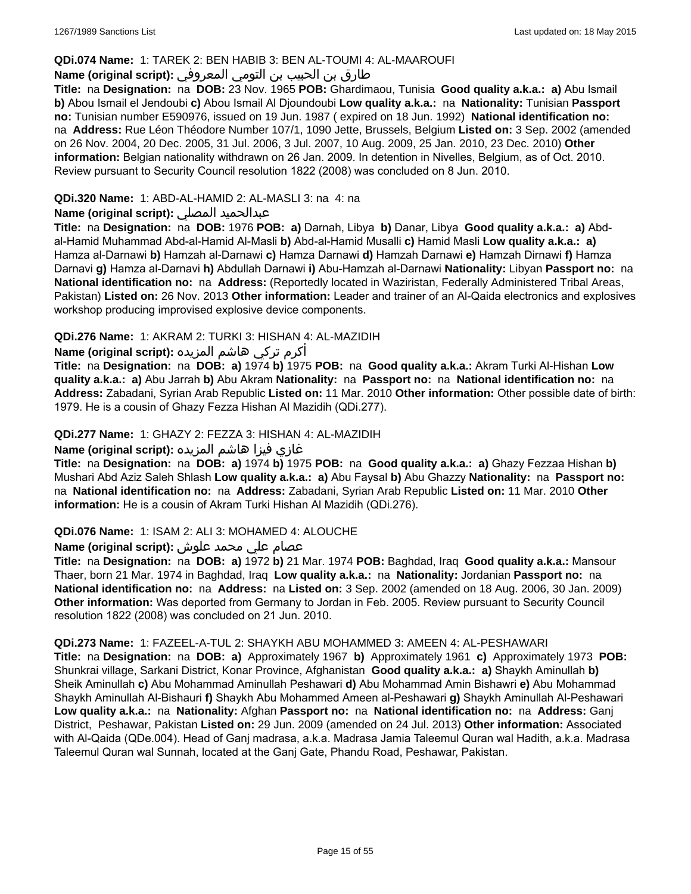#### **QDi.074 Name:** 1: TAREK 2: BEN HABIB 3: BEN AL-TOUMI 4: AL-MAAROUFI

### طارق بن الحبيب بن التومي المعروفي **:(script original (Name**

**Title:** na **Designation:** na **DOB:** 23 Nov. 1965 **POB:** Ghardimaou, Tunisia **Good quality a.k.a.: a)** Abu Ismail **b)** Abou Ismail el Jendoubi **c)** Abou Ismail Al Djoundoubi **Low quality a.k.a.:** na **Nationality:** Tunisian **Passport no:** Tunisian number E590976, issued on 19 Jun. 1987 ( expired on 18 Jun. 1992) **National identification no:**  na **Address:** Rue Léon Théodore Number 107/1, 1090 Jette, Brussels, Belgium **Listed on:** 3 Sep. 2002 (amended on 26 Nov. 2004, 20 Dec. 2005, 31 Jul. 2006, 3 Jul. 2007, 10 Aug. 2009, 25 Jan. 2010, 23 Dec. 2010) **Other information:** Belgian nationality withdrawn on 26 Jan. 2009. In detention in Nivelles, Belgium, as of Oct. 2010. Review pursuant to Security Council resolution 1822 (2008) was concluded on 8 Jun. 2010.

### **QDi.320 Name:** 1: ABD-AL-HAMID 2: AL-MASLI 3: na 4: na

### **Name (original script):** المصلي عبدالحميد

**Title:** na **Designation:** na **DOB:** 1976 **POB: a)** Darnah, Libya **b)** Danar, Libya **Good quality a.k.a.: a)** Abdal-Hamid Muhammad Abd-al-Hamid Al-Masli **b)** Abd-al-Hamid Musalli **c)** Hamid Masli **Low quality a.k.a.: a)** Hamza al-Darnawi **b)** Hamzah al-Darnawi **c)** Hamza Darnawi **d)** Hamzah Darnawi **e)** Hamzah Dirnawi **f)** Hamza Darnavi **g)** Hamza al-Darnavi **h)** Abdullah Darnawi **i)** Abu-Hamzah al-Darnawi **Nationality:** Libyan **Passport no:** na **National identification no:** na **Address:** (Reportedly located in Waziristan, Federally Administered Tribal Areas, Pakistan) **Listed on:** 26 Nov. 2013 **Other information:** Leader and trainer of an Al-Qaida electronics and explosives workshop producing improvised explosive device components.

### **QDi.276 Name:** 1: AKRAM 2: TURKI 3: HISHAN 4: AL-MAZIDIH

أكرم تركي هاشم المزيده **:(script original (Name**

**Title:** na **Designation:** na **DOB: a)** 1974 **b)** 1975 **POB:** na **Good quality a.k.a.:** Akram Turki Al-Hishan **Low quality a.k.a.: a)** Abu Jarrah **b)** Abu Akram **Nationality:** na **Passport no:** na **National identification no:** na **Address:** Zabadani, Syrian Arab Republic **Listed on:** 11 Mar. 2010 **Other information:** Other possible date of birth: 1979. He is a cousin of Ghazy Fezza Hishan Al Mazidih (QDi.277).

### **QDi.277 Name:** 1: GHAZY 2: FEZZA 3: HISHAN 4: AL-MAZIDIH

### غازي فيزا هاشم المزيده **:(script original (Name**

**Title:** na **Designation:** na **DOB: a)** 1974 **b)** 1975 **POB:** na **Good quality a.k.a.: a)** Ghazy Fezzaa Hishan **b)** Mushari Abd Aziz Saleh Shlash **Low quality a.k.a.: a)** Abu Faysal **b)** Abu Ghazzy **Nationality:** na **Passport no:**  na **National identification no:** na **Address:** Zabadani, Syrian Arab Republic **Listed on:** 11 Mar. 2010 **Other information:** He is a cousin of Akram Turki Hishan Al Mazidih (QDi.276).

#### **QDi.076 Name:** 1: ISAM 2: ALI 3: MOHAMED 4: ALOUCHE

# عصام علي محمد علوش **:(script original (Name**

**Title:** na **Designation:** na **DOB: a)** 1972 **b)** 21 Mar. 1974 **POB:** Baghdad, Iraq **Good quality a.k.a.:** Mansour Thaer, born 21 Mar. 1974 in Baghdad, Iraq **Low quality a.k.a.:** na **Nationality:** Jordanian **Passport no:** na **National identification no:** na **Address:** na **Listed on:** 3 Sep. 2002 (amended on 18 Aug. 2006, 30 Jan. 2009) **Other information:** Was deported from Germany to Jordan in Feb. 2005. Review pursuant to Security Council resolution 1822 (2008) was concluded on 21 Jun. 2010.

#### **QDi.273 Name:** 1: FAZEEL-A-TUL 2: SHAYKH ABU MOHAMMED 3: AMEEN 4: AL-PESHAWARI

**Title:** na **Designation:** na **DOB: a)** Approximately 1967 **b)** Approximately 1961 **c)** Approximately 1973 **POB:** Shunkrai village, Sarkani District, Konar Province, Afghanistan **Good quality a.k.a.: a)** Shaykh Aminullah **b)** Sheik Aminullah **c)** Abu Mohammad Aminullah Peshawari **d)** Abu Mohammad Amin Bishawri **e)** Abu Mohammad Shaykh Aminullah Al-Bishauri **f)** Shaykh Abu Mohammed Ameen al-Peshawari **g)** Shaykh Aminullah Al-Peshawari **Low quality a.k.a.:** na **Nationality:** Afghan **Passport no:** na **National identification no:** na **Address:** Ganj District, Peshawar, Pakistan **Listed on:** 29 Jun. 2009 (amended on 24 Jul. 2013) **Other information:** Associated with Al-Qaida (QDe.004). Head of Ganj madrasa, a.k.a. Madrasa Jamia Taleemul Quran wal Hadith, a.k.a. Madrasa Taleemul Quran wal Sunnah, located at the Ganj Gate, Phandu Road, Peshawar, Pakistan.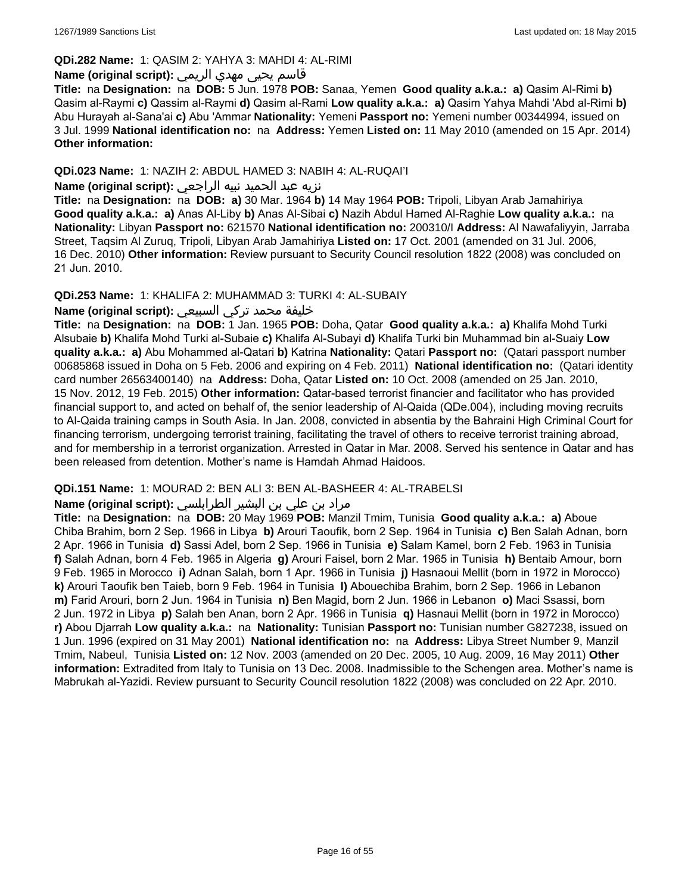#### **QDi.282 Name:** 1: QASIM 2: YAHYA 3: MAHDI 4: AL-RIMI

# قاسم يحيى مهدي الريمي **:(script original (Name**

**Title:** na **Designation:** na **DOB:** 5 Jun. 1978 **POB:** Sanaa, Yemen **Good quality a.k.a.: a)** Qasim Al-Rimi **b)** Qasim al-Raymi **c)** Qassim al-Raymi **d)** Qasim al-Rami **Low quality a.k.a.: a)** Qasim Yahya Mahdi 'Abd al-Rimi **b)** Abu Hurayah al-Sana'ai **c)** Abu 'Ammar **Nationality:** Yemeni **Passport no:** Yemeni number 00344994, issued on 3 Jul. 1999 **National identification no:** na **Address:** Yemen **Listed on:** 11 May 2010 (amended on 15 Apr. 2014) **Other information:**

### **QDi.023 Name:** 1: NAZIH 2: ABDUL HAMED 3: NABIH 4: AL-RUQAI'I

### نزيه عبد الحميد نبيه الراجعي **:(script original (Name**

**Title:** na **Designation:** na **DOB: a)** 30 Mar. 1964 **b)** 14 May 1964 **POB:** Tripoli, Libyan Arab Jamahiriya **Good quality a.k.a.: a)** Anas Al-Liby **b)** Anas Al-Sibai **c)** Nazih Abdul Hamed Al-Raghie **Low quality a.k.a.:** na **Nationality:** Libyan **Passport no:** 621570 **National identification no:** 200310/I **Address:** Al Nawafaliyyin, Jarraba Street, Taqsim Al Zuruq, Tripoli, Libyan Arab Jamahiriya **Listed on:** 17 Oct. 2001 (amended on 31 Jul. 2006, 16 Dec. 2010) **Other information:** Review pursuant to Security Council resolution 1822 (2008) was concluded on 21 Jun. 2010.

#### **QDi.253 Name:** 1: KHALIFA 2: MUHAMMAD 3: TURKI 4: AL-SUBAIY

### خليفة محمد تركي السبيعي **:(script original (Name**

**Title:** na **Designation:** na **DOB:** 1 Jan. 1965 **POB:** Doha, Qatar **Good quality a.k.a.: a)** Khalifa Mohd Turki Alsubaie **b)** Khalifa Mohd Turki al-Subaie **c)** Khalifa Al-Subayi **d)** Khalifa Turki bin Muhammad bin al-Suaiy **Low quality a.k.a.: a)** Abu Mohammed al-Qatari **b)** Katrina **Nationality:** Qatari **Passport no:** (Qatari passport number 00685868 issued in Doha on 5 Feb. 2006 and expiring on 4 Feb. 2011) **National identification no:** (Qatari identity card number 26563400140) na **Address:** Doha, Qatar **Listed on:** 10 Oct. 2008 (amended on 25 Jan. 2010, 15 Nov. 2012, 19 Feb. 2015) **Other information:** Qatar-based terrorist financier and facilitator who has provided financial support to, and acted on behalf of, the senior leadership of Al-Qaida (QDe.004), including moving recruits to Al-Qaida training camps in South Asia. In Jan. 2008, convicted in absentia by the Bahraini High Criminal Court for financing terrorism, undergoing terrorist training, facilitating the travel of others to receive terrorist training abroad, and for membership in a terrorist organization. Arrested in Qatar in Mar. 2008. Served his sentence in Qatar and has been released from detention. Mother's name is Hamdah Ahmad Haidoos.

#### **QDi.151 Name:** 1: MOURAD 2: BEN ALI 3: BEN AL-BASHEER 4: AL-TRABELSI

### مراد بن علي بن البشير الطرابلسي **:Name (original script)**

**Title:** na **Designation:** na **DOB:** 20 May 1969 **POB:** Manzil Tmim, Tunisia **Good quality a.k.a.: a)** Aboue Chiba Brahim, born 2 Sep. 1966 in Libya **b)** Arouri Taoufik, born 2 Sep. 1964 in Tunisia **c)** Ben Salah Adnan, born 2 Apr. 1966 in Tunisia **d)** Sassi Adel, born 2 Sep. 1966 in Tunisia **e)** Salam Kamel, born 2 Feb. 1963 in Tunisia **f)** Salah Adnan, born 4 Feb. 1965 in Algeria **g)** Arouri Faisel, born 2 Mar. 1965 in Tunisia **h)** Bentaib Amour, born 9 Feb. 1965 in Morocco **i)** Adnan Salah, born 1 Apr. 1966 in Tunisia **j)** Hasnaoui Mellit (born in 1972 in Morocco) **k)** Arouri Taoufik ben Taieb, born 9 Feb. 1964 in Tunisia **l)** Abouechiba Brahim, born 2 Sep. 1966 in Lebanon **m)** Farid Arouri, born 2 Jun. 1964 in Tunisia **n)** Ben Magid, born 2 Jun. 1966 in Lebanon **o)** Maci Ssassi, born 2 Jun. 1972 in Libya **p)** Salah ben Anan, born 2 Apr. 1966 in Tunisia **q)** Hasnaui Mellit (born in 1972 in Morocco) **r)** Abou Djarrah **Low quality a.k.a.:** na **Nationality:** Tunisian **Passport no:** Tunisian number G827238, issued on 1 Jun. 1996 (expired on 31 May 2001) **National identification no:** na **Address:** Libya Street Number 9, Manzil Tmim, Nabeul, Tunisia **Listed on:** 12 Nov. 2003 (amended on 20 Dec. 2005, 10 Aug. 2009, 16 May 2011) **Other information:** Extradited from Italy to Tunisia on 13 Dec. 2008. Inadmissible to the Schengen area. Mother's name is Mabrukah al-Yazidi. Review pursuant to Security Council resolution 1822 (2008) was concluded on 22 Apr. 2010.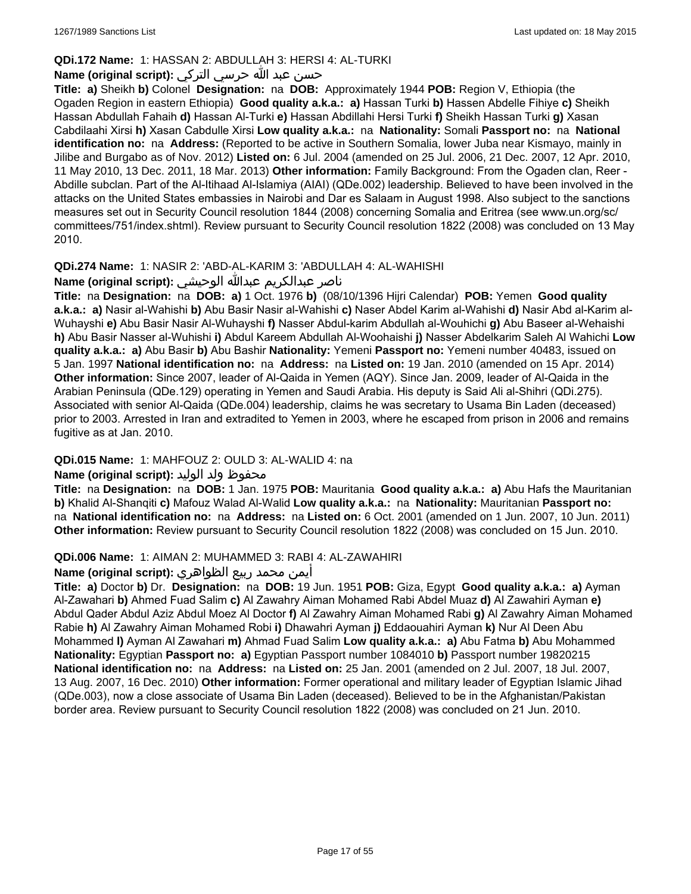### **QDi.172 Name:** 1: HASSAN 2: ABDULLAH 3: HERSI 4: AL-TURKI

### حسن عبد الله حرسي التركي **:(script original (Name**

**Title: a)** Sheikh **b)** Colonel **Designation:** na **DOB:** Approximately 1944 **POB:** Region V, Ethiopia (the Ogaden Region in eastern Ethiopia) **Good quality a.k.a.: a)** Hassan Turki **b)** Hassen Abdelle Fihiye **c)** Sheikh Hassan Abdullah Fahaih **d)** Hassan Al-Turki **e)** Hassan Abdillahi Hersi Turki **f)** Sheikh Hassan Turki **g)** Xasan Cabdilaahi Xirsi **h)** Xasan Cabdulle Xirsi **Low quality a.k.a.:** na **Nationality:** Somali **Passport no:** na **National identification no:** na **Address:** (Reported to be active in Southern Somalia, lower Juba near Kismayo, mainly in Jilibe and Burgabo as of Nov. 2012) **Listed on:** 6 Jul. 2004 (amended on 25 Jul. 2006, 21 Dec. 2007, 12 Apr. 2010, 11 May 2010, 13 Dec. 2011, 18 Mar. 2013) **Other information:** Family Background: From the Ogaden clan, Reer - Abdille subclan. Part of the Al-Itihaad Al-Islamiya (AIAI) (QDe.002) leadership. Believed to have been involved in the attacks on the United States embassies in Nairobi and Dar es Salaam in August 1998. Also subject to the sanctions measures set out in Security Council resolution 1844 (2008) concerning Somalia and Eritrea (see www.un.org/sc/ committees/751/index.shtml). Review pursuant to Security Council resolution 1822 (2008) was concluded on 13 May 2010.

# **QDi.274 Name:** 1: NASIR 2: 'ABD-AL-KARIM 3: 'ABDULLAH 4: AL-WAHISHI

# ناصر عبدالكريم عبدالله الوحيشي **:(script original (Name**

**Title:** na **Designation:** na **DOB: a)** 1 Oct. 1976 **b)** (08/10/1396 Hijri Calendar) **POB:** Yemen **Good quality a.k.a.: a)** Nasir al-Wahishi **b)** Abu Basir Nasir al-Wahishi **c)** Naser Abdel Karim al-Wahishi **d)** Nasir Abd al-Karim al-Wuhayshi **e)** Abu Basir Nasir Al-Wuhayshi **f)** Nasser Abdul-karim Abdullah al-Wouhichi **g)** Abu Baseer al-Wehaishi **h)** Abu Basir Nasser al-Wuhishi **i)** Abdul Kareem Abdullah Al-Woohaishi **j)** Nasser Abdelkarim Saleh Al Wahichi **Low quality a.k.a.: a)** Abu Basir **b)** Abu Bashir **Nationality:** Yemeni **Passport no:** Yemeni number 40483, issued on 5 Jan. 1997 **National identification no:** na **Address:** na **Listed on:** 19 Jan. 2010 (amended on 15 Apr. 2014) **Other information:** Since 2007, leader of Al-Qaida in Yemen (AQY). Since Jan. 2009, leader of Al-Qaida in the Arabian Peninsula (QDe.129) operating in Yemen and Saudi Arabia. His deputy is Said Ali al-Shihri (QDi.275). Associated with senior Al-Qaida (QDe.004) leadership, claims he was secretary to Usama Bin Laden (deceased) prior to 2003. Arrested in Iran and extradited to Yemen in 2003, where he escaped from prison in 2006 and remains fugitive as at Jan. 2010.

### **QDi.015 Name:** 1: MAHFOUZ 2: OULD 3: AL-WALID 4: na

### محفوظ ولد الوليد **:(script original (Name**

**Title:** na **Designation:** na **DOB:** 1 Jan. 1975 **POB:** Mauritania **Good quality a.k.a.: a)** Abu Hafs the Mauritanian **b)** Khalid Al-Shanqiti **c)** Mafouz Walad Al-Walid **Low quality a.k.a.:** na **Nationality:** Mauritanian **Passport no:**  na **National identification no:** na **Address:** na **Listed on:** 6 Oct. 2001 (amended on 1 Jun. 2007, 10 Jun. 2011) **Other information:** Review pursuant to Security Council resolution 1822 (2008) was concluded on 15 Jun. 2010.

### **QDi.006 Name:** 1: AIMAN 2: MUHAMMED 3: RABI 4: AL-ZAWAHIRI

### أيمن محمد ربيع الظواهري **:(script original (Name**

**Title: a)** Doctor **b)** Dr. **Designation:** na **DOB:** 19 Jun. 1951 **POB:** Giza, Egypt **Good quality a.k.a.: a)** Ayman Al-Zawahari **b)** Ahmed Fuad Salim **c)** Al Zawahry Aiman Mohamed Rabi Abdel Muaz **d)** Al Zawahiri Ayman **e)** Abdul Qader Abdul Aziz Abdul Moez Al Doctor **f)** Al Zawahry Aiman Mohamed Rabi **g)** Al Zawahry Aiman Mohamed Rabie **h)** Al Zawahry Aiman Mohamed Robi **i)** Dhawahri Ayman **j)** Eddaouahiri Ayman **k)** Nur Al Deen Abu Mohammed **l)** Ayman Al Zawahari **m)** Ahmad Fuad Salim **Low quality a.k.a.: a)** Abu Fatma **b)** Abu Mohammed **Nationality:** Egyptian **Passport no: a)** Egyptian Passport number 1084010 **b)** Passport number 19820215 **National identification no:** na **Address:** na **Listed on:** 25 Jan. 2001 (amended on 2 Jul. 2007, 18 Jul. 2007, 13 Aug. 2007, 16 Dec. 2010) **Other information:** Former operational and military leader of Egyptian Islamic Jihad (QDe.003), now a close associate of Usama Bin Laden (deceased). Believed to be in the Afghanistan/Pakistan border area. Review pursuant to Security Council resolution 1822 (2008) was concluded on 21 Jun. 2010.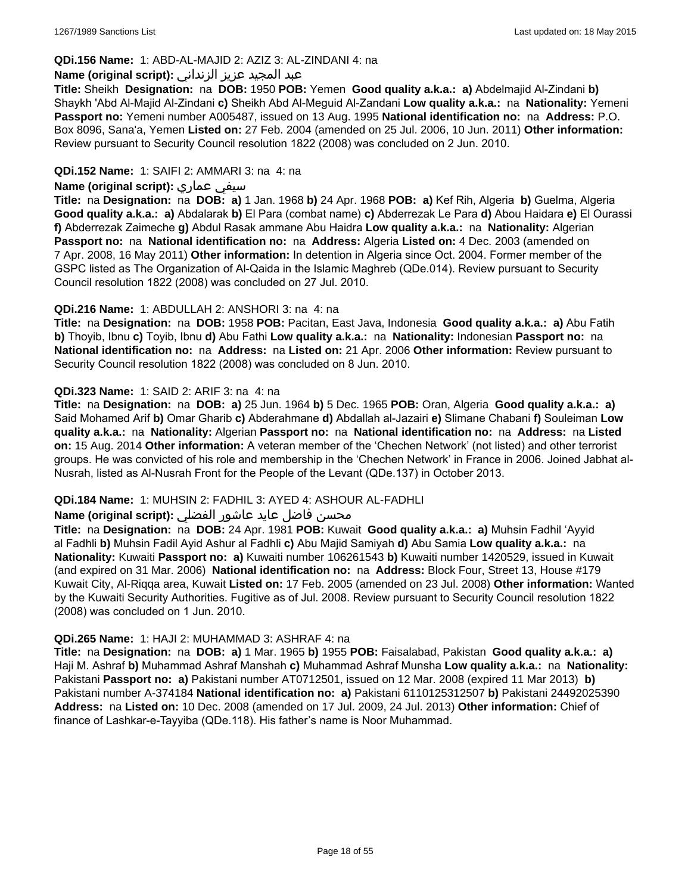### **QDi.156 Name:** 1: ABD-AL-MAJID 2: AZIZ 3: AL-ZINDANI 4: na

#### عبد المجيد عزيز الزنداني **:(script original (Name**

**Title:** Sheikh **Designation:** na **DOB:** 1950 **POB:** Yemen **Good quality a.k.a.: a)** Abdelmajid Al-Zindani **b)** Shaykh 'Abd Al-Majid Al-Zindani **c)** Sheikh Abd Al-Meguid Al-Zandani **Low quality a.k.a.:** na **Nationality:** Yemeni **Passport no:** Yemeni number A005487, issued on 13 Aug. 1995 **National identification no:** na **Address:** P.O. Box 8096, Sana'a, Yemen **Listed on:** 27 Feb. 2004 (amended on 25 Jul. 2006, 10 Jun. 2011) **Other information:** Review pursuant to Security Council resolution 1822 (2008) was concluded on 2 Jun. 2010.

### **QDi.152 Name:** 1: SAIFI 2: AMMARI 3: na 4: na

### **Name (original script):** عماري سيفي

**Title:** na **Designation:** na **DOB: a)** 1 Jan. 1968 **b)** 24 Apr. 1968 **POB: a)** Kef Rih, Algeria **b)** Guelma, Algeria **Good quality a.k.a.: a)** Abdalarak **b)** El Para (combat name) **c)** Abderrezak Le Para **d)** Abou Haidara **e)** El Ourassi **f)** Abderrezak Zaimeche **g)** Abdul Rasak ammane Abu Haidra **Low quality a.k.a.:** na **Nationality:** Algerian **Passport no:** na **National identification no:** na **Address:** Algeria **Listed on:** 4 Dec. 2003 (amended on 7 Apr. 2008, 16 May 2011) **Other information:** In detention in Algeria since Oct. 2004. Former member of the GSPC listed as The Organization of Al-Qaida in the Islamic Maghreb (QDe.014). Review pursuant to Security Council resolution 1822 (2008) was concluded on 27 Jul. 2010.

### **QDi.216 Name:** 1: ABDULLAH 2: ANSHORI 3: na 4: na

**Title:** na **Designation:** na **DOB:** 1958 **POB:** Pacitan, East Java, Indonesia **Good quality a.k.a.: a)** Abu Fatih **b)** Thoyib, Ibnu **c)** Toyib, Ibnu **d)** Abu Fathi **Low quality a.k.a.:** na **Nationality:** Indonesian **Passport no:** na **National identification no:** na **Address:** na **Listed on:** 21 Apr. 2006 **Other information:** Review pursuant to Security Council resolution 1822 (2008) was concluded on 8 Jun. 2010.

### **QDi.323 Name:** 1: SAID 2: ARIF 3: na 4: na

**Title:** na **Designation:** na **DOB: a)** 25 Jun. 1964 **b)** 5 Dec. 1965 **POB:** Oran, Algeria **Good quality a.k.a.: a)** Said Mohamed Arif **b)** Omar Gharib **c)** Abderahmane **d)** Abdallah al-Jazairi **e)** Slimane Chabani **f)** Souleiman **Low quality a.k.a.:** na **Nationality:** Algerian **Passport no:** na **National identification no:** na **Address:** na **Listed on:** 15 Aug. 2014 **Other information:** A veteran member of the 'Chechen Network' (not listed) and other terrorist groups. He was convicted of his role and membership in the 'Chechen Network' in France in 2006. Joined Jabhat al-Nusrah, listed as Al-Nusrah Front for the People of the Levant (QDe.137) in October 2013.

#### **QDi.184 Name:** 1: MUHSIN 2: FADHIL 3: AYED 4: ASHOUR AL-FADHLI

### محسن فاضل عايد عاشور الفضلي **:Name (original script**)

**Title:** na **Designation:** na **DOB:** 24 Apr. 1981 **POB:** Kuwait **Good quality a.k.a.: a)** Muhsin Fadhil 'Ayyid al Fadhli **b)** Muhsin Fadil Ayid Ashur al Fadhli **c)** Abu Majid Samiyah **d)** Abu Samia **Low quality a.k.a.:** na **Nationality:** Kuwaiti **Passport no: a)** Kuwaiti number 106261543 **b)** Kuwaiti number 1420529, issued in Kuwait (and expired on 31 Mar. 2006) **National identification no:** na **Address:** Block Four, Street 13, House #179 Kuwait City, Al-Riqqa area, Kuwait **Listed on:** 17 Feb. 2005 (amended on 23 Jul. 2008) **Other information:** Wanted by the Kuwaiti Security Authorities. Fugitive as of Jul. 2008. Review pursuant to Security Council resolution 1822 (2008) was concluded on 1 Jun. 2010.

#### **QDi.265 Name:** 1: HAJI 2: MUHAMMAD 3: ASHRAF 4: na

**Title:** na **Designation:** na **DOB: a)** 1 Mar. 1965 **b)** 1955 **POB:** Faisalabad, Pakistan **Good quality a.k.a.: a)** Haji M. Ashraf **b)** Muhammad Ashraf Manshah **c)** Muhammad Ashraf Munsha **Low quality a.k.a.:** na **Nationality:** Pakistani **Passport no: a)** Pakistani number AT0712501, issued on 12 Mar. 2008 (expired 11 Mar 2013) **b)** Pakistani number A-374184 **National identification no: a)** Pakistani 6110125312507 **b)** Pakistani 24492025390 **Address:** na **Listed on:** 10 Dec. 2008 (amended on 17 Jul. 2009, 24 Jul. 2013) **Other information:** Chief of finance of Lashkar-e-Tayyiba (QDe.118). His father's name is Noor Muhammad.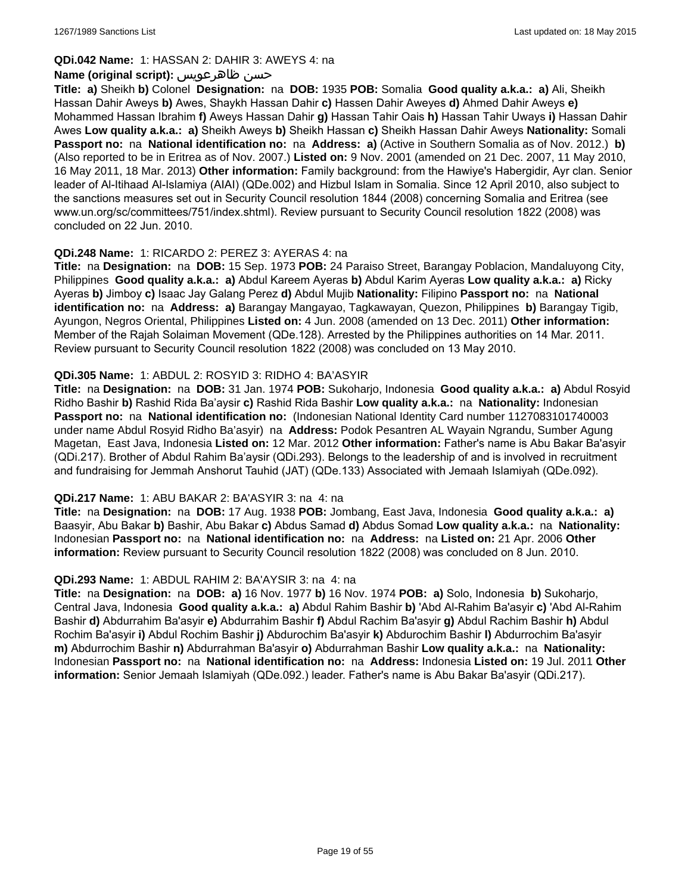### **QDi.042 Name:** 1: HASSAN 2: DAHIR 3: AWEYS 4: na

### **Name (original script):** ظاهرعويس حسن

**Title: a)** Sheikh **b)** Colonel **Designation:** na **DOB:** 1935 **POB:** Somalia **Good quality a.k.a.: a)** Ali, Sheikh Hassan Dahir Aweys **b)** Awes, Shaykh Hassan Dahir **c)** Hassen Dahir Aweyes **d)** Ahmed Dahir Aweys **e)** Mohammed Hassan Ibrahim **f)** Aweys Hassan Dahir **g)** Hassan Tahir Oais **h)** Hassan Tahir Uways **i)** Hassan Dahir Awes **Low quality a.k.a.: a)** Sheikh Aweys **b)** Sheikh Hassan **c)** Sheikh Hassan Dahir Aweys **Nationality:** Somali **Passport no:** na **National identification no:** na **Address: a)** (Active in Southern Somalia as of Nov. 2012.) **b)** (Also reported to be in Eritrea as of Nov. 2007.) **Listed on:** 9 Nov. 2001 (amended on 21 Dec. 2007, 11 May 2010, 16 May 2011, 18 Mar. 2013) **Other information:** Family background: from the Hawiye's Habergidir, Ayr clan. Senior leader of Al-Itihaad Al-Islamiya (AIAI) (QDe.002) and Hizbul Islam in Somalia. Since 12 April 2010, also subject to the sanctions measures set out in Security Council resolution 1844 (2008) concerning Somalia and Eritrea (see www.un.org/sc/committees/751/index.shtml). Review pursuant to Security Council resolution 1822 (2008) was concluded on 22 Jun. 2010.

### **QDi.248 Name:** 1: RICARDO 2: PEREZ 3: AYERAS 4: na

**Title:** na **Designation:** na **DOB:** 15 Sep. 1973 **POB:** 24 Paraiso Street, Barangay Poblacion, Mandaluyong City, Philippines **Good quality a.k.a.: a)** Abdul Kareem Ayeras **b)** Abdul Karim Ayeras **Low quality a.k.a.: a)** Ricky Ayeras **b)** Jimboy **c)** Isaac Jay Galang Perez **d)** Abdul Mujib **Nationality:** Filipino **Passport no:** na **National identification no:** na **Address: a)** Barangay Mangayao, Tagkawayan, Quezon, Philippines **b)** Barangay Tigib, Ayungon, Negros Oriental, Philippines **Listed on:** 4 Jun. 2008 (amended on 13 Dec. 2011) **Other information:** Member of the Rajah Solaiman Movement (QDe.128). Arrested by the Philippines authorities on 14 Mar. 2011. Review pursuant to Security Council resolution 1822 (2008) was concluded on 13 May 2010.

### **QDi.305 Name:** 1: ABDUL 2: ROSYID 3: RIDHO 4: BA'ASYIR

**Title:** na **Designation:** na **DOB:** 31 Jan. 1974 **POB:** Sukoharjo, Indonesia **Good quality a.k.a.: a)** Abdul Rosyid Ridho Bashir **b)** Rashid Rida Ba'aysir **c)** Rashid Rida Bashir **Low quality a.k.a.:** na **Nationality:** Indonesian **Passport no:** na **National identification no:** (Indonesian National Identity Card number 1127083101740003 under name Abdul Rosyid Ridho Ba'asyir) na **Address:** Podok Pesantren AL Wayain Ngrandu, Sumber Agung Magetan, East Java, Indonesia **Listed on:** 12 Mar. 2012 **Other information:** Father's name is Abu Bakar Ba'asyir (QDi.217). Brother of Abdul Rahim Ba'aysir (QDi.293). Belongs to the leadership of and is involved in recruitment and fundraising for Jemmah Anshorut Tauhid (JAT) (QDe.133) Associated with Jemaah Islamiyah (QDe.092).

#### **QDi.217 Name:** 1: ABU BAKAR 2: BA'ASYIR 3: na 4: na

**Title:** na **Designation:** na **DOB:** 17 Aug. 1938 **POB:** Jombang, East Java, Indonesia **Good quality a.k.a.: a)** Baasyir, Abu Bakar **b)** Bashir, Abu Bakar **c)** Abdus Samad **d)** Abdus Somad **Low quality a.k.a.:** na **Nationality:** Indonesian **Passport no:** na **National identification no:** na **Address:** na **Listed on:** 21 Apr. 2006 **Other information:** Review pursuant to Security Council resolution 1822 (2008) was concluded on 8 Jun. 2010.

#### **QDi.293 Name:** 1: ABDUL RAHIM 2: BA'AYSIR 3: na 4: na

**Title:** na **Designation:** na **DOB: a)** 16 Nov. 1977 **b)** 16 Nov. 1974 **POB: a)** Solo, Indonesia **b)** Sukoharjo, Central Java, Indonesia **Good quality a.k.a.: a)** Abdul Rahim Bashir **b)** 'Abd Al-Rahim Ba'asyir **c)** 'Abd Al-Rahim Bashir **d)** Abdurrahim Ba'asyir **e)** Abdurrahim Bashir **f)** Abdul Rachim Ba'asyir **g)** Abdul Rachim Bashir **h)** Abdul Rochim Ba'asyir **i)** Abdul Rochim Bashir **j)** Abdurochim Ba'asyir **k)** Abdurochim Bashir **l)** Abdurrochim Ba'asyir **m)** Abdurrochim Bashir **n)** Abdurrahman Ba'asyir **o)** Abdurrahman Bashir **Low quality a.k.a.:** na **Nationality:** Indonesian **Passport no:** na **National identification no:** na **Address:** Indonesia **Listed on:** 19 Jul. 2011 **Other information:** Senior Jemaah Islamiyah (QDe.092.) leader. Father's name is Abu Bakar Ba'asyir (QDi.217).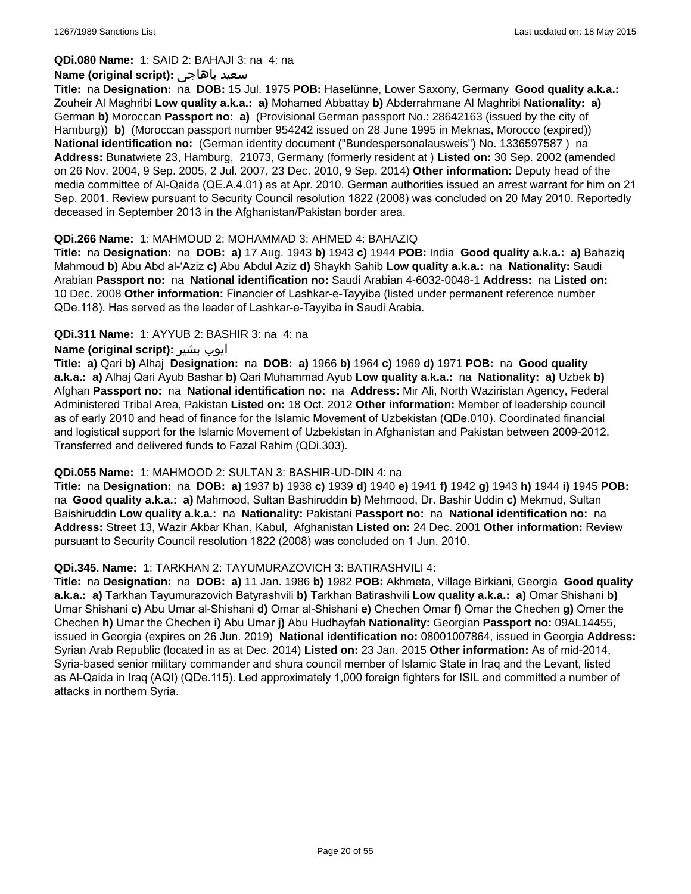**QDi.080 Name:** 1: SAID 2: BAHAJI 3: na 4: na

#### **Name (original script):** باهاجى سعيد

**Title:** na **Designation:** na **DOB:** 15 Jul. 1975 **POB:** Haselünne, Lower Saxony, Germany **Good quality a.k.a.:** Zouheir Al Maghribi **Low quality a.k.a.: a)** Mohamed Abbattay **b)** Abderrahmane Al Maghribi **Nationality: a)** German **b)** Moroccan **Passport no: a)** (Provisional German passport No.: 28642163 (issued by the city of Hamburg)) **b)** (Moroccan passport number 954242 issued on 28 June 1995 in Meknas, Morocco (expired)) **National identification no:** (German identity document ("Bundespersonalausweis") No. 1336597587 ) na **Address:** Bunatwiete 23, Hamburg, 21073, Germany (formerly resident at ) **Listed on:** 30 Sep. 2002 (amended on 26 Nov. 2004, 9 Sep. 2005, 2 Jul. 2007, 23 Dec. 2010, 9 Sep. 2014) **Other information:** Deputy head of the media committee of Al-Qaida (QE.A.4.01) as at Apr. 2010. German authorities issued an arrest warrant for him on 21 Sep. 2001. Review pursuant to Security Council resolution 1822 (2008) was concluded on 20 May 2010. Reportedly deceased in September 2013 in the Afghanistan/Pakistan border area.

### **QDi.266 Name:** 1: MAHMOUD 2: MOHAMMAD 3: AHMED 4: BAHAZIQ

**Title:** na **Designation:** na **DOB: a)** 17 Aug. 1943 **b)** 1943 **c)** 1944 **POB:** India **Good quality a.k.a.: a)** Bahaziq Mahmoud **b)** Abu Abd al-'Aziz **c)** Abu Abdul Aziz **d)** Shaykh Sahib **Low quality a.k.a.:** na **Nationality:** Saudi Arabian **Passport no:** na **National identification no:** Saudi Arabian 4-6032-0048-1 **Address:** na **Listed on:** 10 Dec. 2008 **Other information:** Financier of Lashkar-e-Tayyiba (listed under permanent reference number QDe.118). Has served as the leader of Lashkar-e-Tayyiba in Saudi Arabia.

### **QDi.311 Name:** 1: AYYUB 2: BASHIR 3: na 4: na

### **Name (original script):** بشیر ایوب

**Title: a)** Qari **b)** Alhaj **Designation:** na **DOB: a)** 1966 **b)** 1964 **c)** 1969 **d)** 1971 **POB:** na **Good quality a.k.a.: a)** Alhaj Qari Ayub Bashar **b)** Qari Muhammad Ayub **Low quality a.k.a.:** na **Nationality: a)** Uzbek **b)** Afghan **Passport no:** na **National identification no:** na **Address:** Mir Ali, North Waziristan Agency, Federal Administered Tribal Area, Pakistan **Listed on:** 18 Oct. 2012 **Other information:** Member of leadership council as of early 2010 and head of finance for the Islamic Movement of Uzbekistan (QDe.010). Coordinated financial and logistical support for the Islamic Movement of Uzbekistan in Afghanistan and Pakistan between 2009-2012. Transferred and delivered funds to Fazal Rahim (QDi.303).

#### **QDi.055 Name:** 1: MAHMOOD 2: SULTAN 3: BASHIR-UD-DIN 4: na

**Title:** na **Designation:** na **DOB: a)** 1937 **b)** 1938 **c)** 1939 **d)** 1940 **e)** 1941 **f)** 1942 **g)** 1943 **h)** 1944 **i)** 1945 **POB:**  na **Good quality a.k.a.: a)** Mahmood, Sultan Bashiruddin **b)** Mehmood, Dr. Bashir Uddin **c)** Mekmud, Sultan Baishiruddin **Low quality a.k.a.:** na **Nationality:** Pakistani **Passport no:** na **National identification no:** na **Address:** Street 13, Wazir Akbar Khan, Kabul, Afghanistan **Listed on:** 24 Dec. 2001 **Other information:** Review pursuant to Security Council resolution 1822 (2008) was concluded on 1 Jun. 2010.

#### **QDi.345. Name:** 1: TARKHAN 2: TAYUMURAZOVICH 3: BATIRASHVILI 4:

**Title:** na **Designation:** na **DOB: a)** 11 Jan. 1986 **b)** 1982 **POB:** Akhmeta, Village Birkiani, Georgia **Good quality a.k.a.: a)** Tarkhan Tayumurazovich Batyrashvili **b)** Tarkhan Batirashvili **Low quality a.k.a.: a)** Omar Shishani **b)** Umar Shishani **c)** Abu Umar al-Shishani **d)** Omar al-Shishani **e)** Chechen Omar **f)** Omar the Chechen **g)** Omer the Chechen **h)** Umar the Chechen **i)** Abu Umar **j)** Abu Hudhayfah **Nationality:** Georgian **Passport no:** 09AL14455, issued in Georgia (expires on 26 Jun. 2019) **National identification no:** 08001007864, issued in Georgia **Address:** Syrian Arab Republic (located in as at Dec. 2014) **Listed on:** 23 Jan. 2015 **Other information:** As of mid-2014, Syria-based senior military commander and shura council member of Islamic State in Iraq and the Levant, listed as Al-Qaida in Iraq (AQI) (QDe.115). Led approximately 1,000 foreign fighters for ISIL and committed a number of attacks in northern Syria.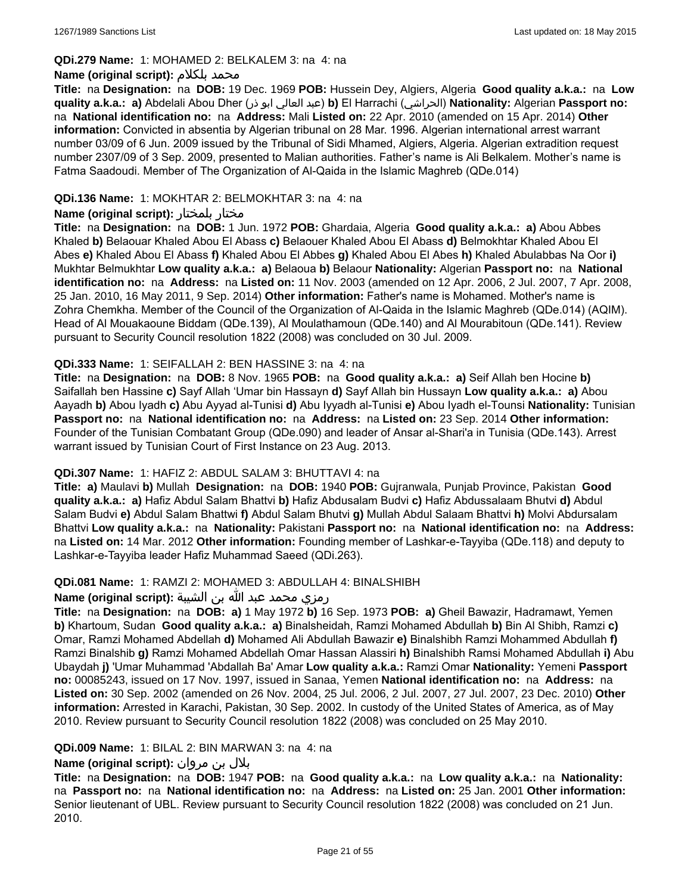#### **QDi.279 Name:** 1: MOHAMED 2: BELKALEM 3: na 4: na

#### **Name (original script):** بلكلام محمد

**Title:** na **Designation:** na **DOB:** 19 Dec. 1969 **POB:** Hussein Dey, Algiers, Algeria **Good quality a.k.a.:** na **Low quality a.k.a.: a)** Abdelali Abou Dher (ذر ابو العالي عبد(**b)** El Harrachi (الحراشي(**Nationality:** Algerian **Passport no:**  na **National identification no:** na **Address:** Mali **Listed on:** 22 Apr. 2010 (amended on 15 Apr. 2014) **Other information:** Convicted in absentia by Algerian tribunal on 28 Mar. 1996. Algerian international arrest warrant number 03/09 of 6 Jun. 2009 issued by the Tribunal of Sidi Mhamed, Algiers, Algeria. Algerian extradition request number 2307/09 of 3 Sep. 2009, presented to Malian authorities. Father's name is Ali Belkalem. Mother's name is Fatma Saadoudi. Member of The Organization of Al-Qaida in the Islamic Maghreb (QDe.014)

### **QDi.136 Name:** 1: MOKHTAR 2: BELMOKHTAR 3: na 4: na

### **Name (original script):** بلمختار مختار

**Title:** na **Designation:** na **DOB:** 1 Jun. 1972 **POB:** Ghardaia, Algeria **Good quality a.k.a.: a)** Abou Abbes Khaled **b)** Belaouar Khaled Abou El Abass **c)** Belaouer Khaled Abou El Abass **d)** Belmokhtar Khaled Abou El Abes **e)** Khaled Abou El Abass **f)** Khaled Abou El Abbes **g)** Khaled Abou El Abes **h)** Khaled Abulabbas Na Oor **i)** Mukhtar Belmukhtar **Low quality a.k.a.: a)** Belaoua **b)** Belaour **Nationality:** Algerian **Passport no:** na **National identification no:** na **Address:** na **Listed on:** 11 Nov. 2003 (amended on 12 Apr. 2006, 2 Jul. 2007, 7 Apr. 2008, 25 Jan. 2010, 16 May 2011, 9 Sep. 2014) **Other information:** Father's name is Mohamed. Mother's name is Zohra Chemkha. Member of the Council of the Organization of Al-Qaida in the Islamic Maghreb (QDe.014) (AQIM). Head of Al Mouakaoune Biddam (QDe.139), Al Moulathamoun (QDe.140) and Al Mourabitoun (QDe.141). Review pursuant to Security Council resolution 1822 (2008) was concluded on 30 Jul. 2009.

### **QDi.333 Name:** 1: SEIFALLAH 2: BEN HASSINE 3: na 4: na

**Title:** na **Designation:** na **DOB:** 8 Nov. 1965 **POB:** na **Good quality a.k.a.: a)** Seif Allah ben Hocine **b)** Saifallah ben Hassine **c)** Sayf Allah 'Umar bin Hassayn **d)** Sayf Allah bin Hussayn **Low quality a.k.a.: a)** Abou Aayadh **b)** Abou Iyadh **c)** Abu Ayyad al-Tunisi **d)** Abu Iyyadh al-Tunisi **e)** Abou Iyadh el-Tounsi **Nationality:** Tunisian **Passport no:** na **National identification no:** na **Address:** na **Listed on:** 23 Sep. 2014 **Other information:** Founder of the Tunisian Combatant Group (QDe.090) and leader of Ansar al-Shari'a in Tunisia (QDe.143). Arrest warrant issued by Tunisian Court of First Instance on 23 Aug. 2013.

#### **QDi.307 Name:** 1: HAFIZ 2: ABDUL SALAM 3: BHUTTAVI 4: na

**Title: a)** Maulavi **b)** Mullah **Designation:** na **DOB:** 1940 **POB:** Gujranwala, Punjab Province, Pakistan **Good quality a.k.a.: a)** Hafiz Abdul Salam Bhattvi **b)** Hafiz Abdusalam Budvi **c)** Hafiz Abdussalaam Bhutvi **d)** Abdul Salam Budvi **e)** Abdul Salam Bhattwi **f)** Abdul Salam Bhutvi **g)** Mullah Abdul Salaam Bhattvi **h)** Molvi Abdursalam Bhattvi **Low quality a.k.a.:** na **Nationality:** Pakistani **Passport no:** na **National identification no:** na **Address:** na **Listed on:** 14 Mar. 2012 **Other information:** Founding member of Lashkar-e-Tayyiba (QDe.118) and deputy to Lashkar-e-Tayyiba leader Hafiz Muhammad Saeed (QDi.263).

### **QDi.081 Name:** 1: RAMZI 2: MOHAMED 3: ABDULLAH 4: BINALSHIBH

#### رمزي محمد عبد الله بن الشيبة **:(script original (Name**

**Title:** na **Designation:** na **DOB: a)** 1 May 1972 **b)** 16 Sep. 1973 **POB: a)** Gheil Bawazir, Hadramawt, Yemen **b)** Khartoum, Sudan **Good quality a.k.a.: a)** Binalsheidah, Ramzi Mohamed Abdullah **b)** Bin Al Shibh, Ramzi **c)** Omar, Ramzi Mohamed Abdellah **d)** Mohamed Ali Abdullah Bawazir **e)** Binalshibh Ramzi Mohammed Abdullah **f)** Ramzi Binalshib **g)** Ramzi Mohamed Abdellah Omar Hassan Alassiri **h)** Binalshibh Ramsi Mohamed Abdullah **i)** Abu Ubaydah **j)** 'Umar Muhammad 'Abdallah Ba' Amar **Low quality a.k.a.:** Ramzi Omar **Nationality:** Yemeni **Passport no:** 00085243, issued on 17 Nov. 1997, issued in Sanaa, Yemen **National identification no:** na **Address:** na **Listed on:** 30 Sep. 2002 (amended on 26 Nov. 2004, 25 Jul. 2006, 2 Jul. 2007, 27 Jul. 2007, 23 Dec. 2010) **Other information:** Arrested in Karachi, Pakistan, 30 Sep. 2002. In custody of the United States of America, as of May 2010. Review pursuant to Security Council resolution 1822 (2008) was concluded on 25 May 2010.

#### **QDi.009 Name:** 1: BILAL 2: BIN MARWAN 3: na 4: na

### بلال بن مروان **:(script original (Name**

**Title:** na **Designation:** na **DOB:** 1947 **POB:** na **Good quality a.k.a.:** na **Low quality a.k.a.:** na **Nationality:**  na **Passport no:** na **National identification no:** na **Address:** na **Listed on:** 25 Jan. 2001 **Other information:** Senior lieutenant of UBL. Review pursuant to Security Council resolution 1822 (2008) was concluded on 21 Jun. 2010.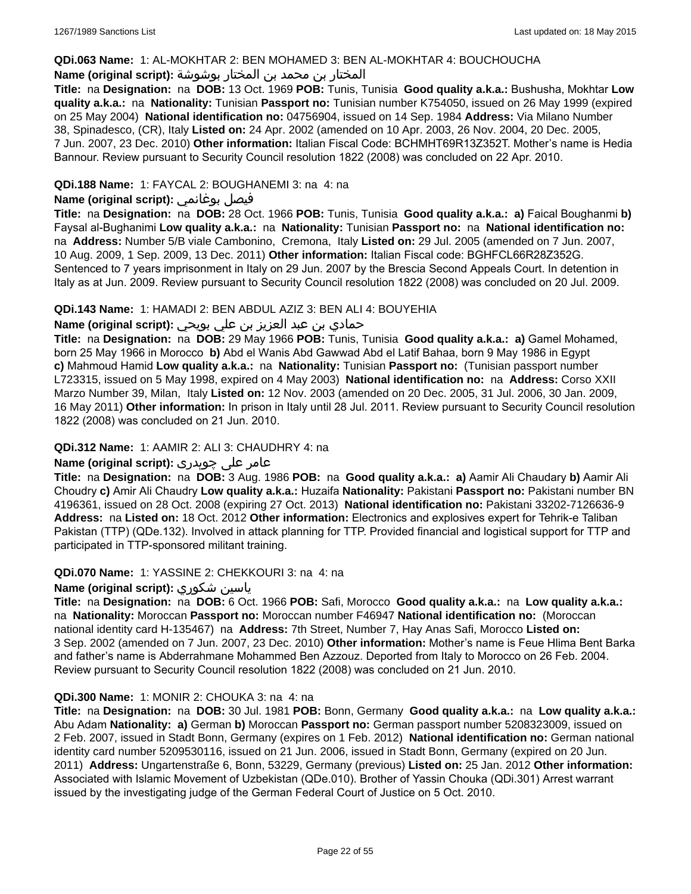### **QDi.063 Name:** 1: AL-MOKHTAR 2: BEN MOHAMED 3: BEN AL-MOKHTAR 4: BOUCHOUCHA

### المختار بن محمد بن المختار بوشوشة **:(script original (Name**

**Title:** na **Designation:** na **DOB:** 13 Oct. 1969 **POB:** Tunis, Tunisia **Good quality a.k.a.:** Bushusha, Mokhtar **Low quality a.k.a.:** na **Nationality:** Tunisian **Passport no:** Tunisian number K754050, issued on 26 May 1999 (expired on 25 May 2004) **National identification no:** 04756904, issued on 14 Sep. 1984 **Address:** Via Milano Number 38, Spinadesco, (CR), Italy **Listed on:** 24 Apr. 2002 (amended on 10 Apr. 2003, 26 Nov. 2004, 20 Dec. 2005, 7 Jun. 2007, 23 Dec. 2010) **Other information:** Italian Fiscal Code: BCHMHT69R13Z352T. Mother's name is Hedia Bannour. Review pursuant to Security Council resolution 1822 (2008) was concluded on 22 Apr. 2010.

### **QDi.188 Name:** 1: FAYCAL 2: BOUGHANEMI 3: na 4: na

# **Name (original script):** بوغانمي فيصل

**Title:** na **Designation:** na **DOB:** 28 Oct. 1966 **POB:** Tunis, Tunisia **Good quality a.k.a.: a)** Faical Boughanmi **b)** Faysal al-Bughanimi **Low quality a.k.a.:** na **Nationality:** Tunisian **Passport no:** na **National identification no:**  na **Address:** Number 5/B viale Cambonino, Cremona, Italy **Listed on:** 29 Jul. 2005 (amended on 7 Jun. 2007, 10 Aug. 2009, 1 Sep. 2009, 13 Dec. 2011) **Other information:** Italian Fiscal code: BGHFCL66R28Z352G. Sentenced to 7 years imprisonment in Italy on 29 Jun. 2007 by the Brescia Second Appeals Court. In detention in Italy as at Jun. 2009. Review pursuant to Security Council resolution 1822 (2008) was concluded on 20 Jul. 2009.

### **QDi.143 Name:** 1: HAMADI 2: BEN ABDUL AZIZ 3: BEN ALI 4: BOUYEHIA

# حمادي بن عبد العزيز بن علي بويحي **:(script original (Name**

**Title:** na **Designation:** na **DOB:** 29 May 1966 **POB:** Tunis, Tunisia **Good quality a.k.a.: a)** Gamel Mohamed, born 25 May 1966 in Morocco **b)** Abd el Wanis Abd Gawwad Abd el Latif Bahaa, born 9 May 1986 in Egypt **c)** Mahmoud Hamid **Low quality a.k.a.:** na **Nationality:** Tunisian **Passport no:** (Tunisian passport number L723315, issued on 5 May 1998, expired on 4 May 2003) **National identification no:** na **Address:** Corso XXII Marzo Number 39, Milan, Italy **Listed on:** 12 Nov. 2003 (amended on 20 Dec. 2005, 31 Jul. 2006, 30 Jan. 2009, 16 May 2011) **Other information:** In prison in Italy until 28 Jul. 2011. Review pursuant to Security Council resolution 1822 (2008) was concluded on 21 Jun. 2010.

### **QDi.312 Name:** 1: AAMIR 2: ALI 3: CHAUDHRY 4: na

# عامر علی چوہدری **:(script original (Name**

**Title:** na **Designation:** na **DOB:** 3 Aug. 1986 **POB:** na **Good quality a.k.a.: a)** Aamir Ali Chaudary **b)** Aamir Ali Choudry **c)** Amir Ali Chaudry **Low quality a.k.a.:** Huzaifa **Nationality:** Pakistani **Passport no:** Pakistani number BN 4196361, issued on 28 Oct. 2008 (expiring 27 Oct. 2013) **National identification no:** Pakistani 33202-7126636-9 **Address:** na **Listed on:** 18 Oct. 2012 **Other information:** Electronics and explosives expert for Tehrik-e Taliban Pakistan (TTP) (QDe.132). Involved in attack planning for TTP. Provided financial and logistical support for TTP and participated in TTP-sponsored militant training.

#### **QDi.070 Name:** 1: YASSINE 2: CHEKKOURI 3: na 4: na

### **Name (original script):** شكوري ياسين

**Title:** na **Designation:** na **DOB:** 6 Oct. 1966 **POB:** Safi, Morocco **Good quality a.k.a.:** na **Low quality a.k.a.:**  na **Nationality:** Moroccan **Passport no:** Moroccan number F46947 **National identification no:** (Moroccan national identity card H-135467) na **Address:** 7th Street, Number 7, Hay Anas Safi, Morocco **Listed on:** 3 Sep. 2002 (amended on 7 Jun. 2007, 23 Dec. 2010) **Other information:** Mother's name is Feue Hlima Bent Barka and father's name is Abderrahmane Mohammed Ben Azzouz. Deported from Italy to Morocco on 26 Feb. 2004. Review pursuant to Security Council resolution 1822 (2008) was concluded on 21 Jun. 2010.

#### **QDi.300 Name:** 1: MONIR 2: CHOUKA 3: na 4: na

**Title:** na **Designation:** na **DOB:** 30 Jul. 1981 **POB:** Bonn, Germany **Good quality a.k.a.:** na **Low quality a.k.a.:** Abu Adam **Nationality: a)** German **b)** Moroccan **Passport no:** German passport number 5208323009, issued on 2 Feb. 2007, issued in Stadt Bonn, Germany (expires on 1 Feb. 2012) **National identification no:** German national identity card number 5209530116, issued on 21 Jun. 2006, issued in Stadt Bonn, Germany (expired on 20 Jun. 2011) **Address:** Ungartenstraße 6, Bonn, 53229, Germany (previous) **Listed on:** 25 Jan. 2012 **Other information:** Associated with Islamic Movement of Uzbekistan (QDe.010). Brother of Yassin Chouka (QDi.301) Arrest warrant issued by the investigating judge of the German Federal Court of Justice on 5 Oct. 2010.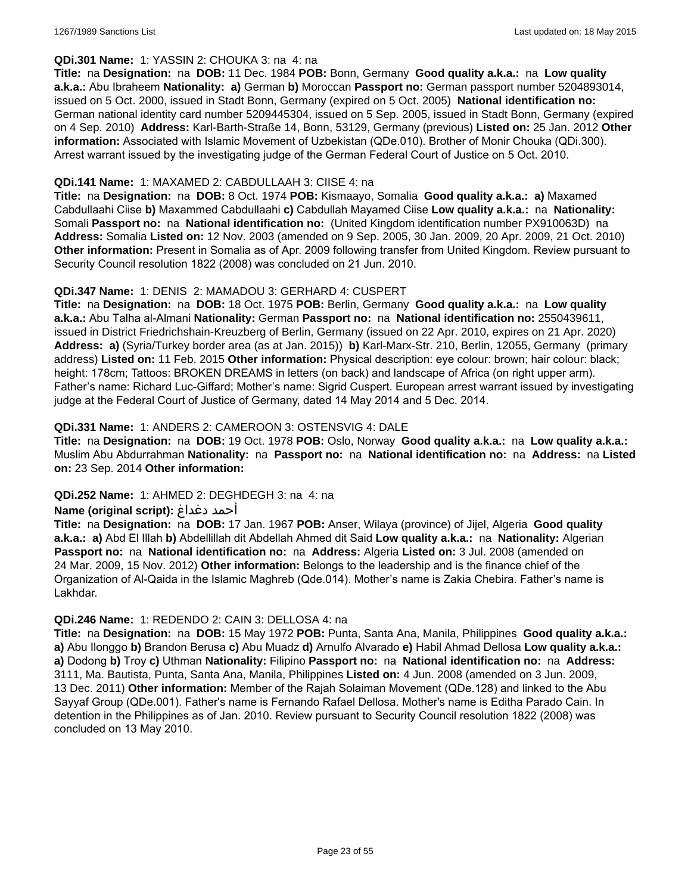#### **QDi.301 Name:** 1: YASSIN 2: CHOUKA 3: na 4: na

**Title:** na **Designation:** na **DOB:** 11 Dec. 1984 **POB:** Bonn, Germany **Good quality a.k.a.:** na **Low quality a.k.a.:** Abu Ibraheem **Nationality: a)** German **b)** Moroccan **Passport no:** German passport number 5204893014, issued on 5 Oct. 2000, issued in Stadt Bonn, Germany (expired on 5 Oct. 2005) **National identification no:** German national identity card number 5209445304, issued on 5 Sep. 2005, issued in Stadt Bonn, Germany (expired on 4 Sep. 2010) **Address:** Karl-Barth-Straße 14, Bonn, 53129, Germany (previous) **Listed on:** 25 Jan. 2012 **Other information:** Associated with Islamic Movement of Uzbekistan (QDe.010). Brother of Monir Chouka (QDi.300). Arrest warrant issued by the investigating judge of the German Federal Court of Justice on 5 Oct. 2010.

### **QDi.141 Name:** 1: MAXAMED 2: CABDULLAAH 3: CIISE 4: na

**Title:** na **Designation:** na **DOB:** 8 Oct. 1974 **POB:** Kismaayo, Somalia **Good quality a.k.a.: a)** Maxamed Cabdullaahi Ciise **b)** Maxammed Cabdullaahi **c)** Cabdullah Mayamed Ciise **Low quality a.k.a.:** na **Nationality:** Somali **Passport no:** na **National identification no:** (United Kingdom identification number PX910063D) na **Address:** Somalia **Listed on:** 12 Nov. 2003 (amended on 9 Sep. 2005, 30 Jan. 2009, 20 Apr. 2009, 21 Oct. 2010) **Other information:** Present in Somalia as of Apr. 2009 following transfer from United Kingdom. Review pursuant to Security Council resolution 1822 (2008) was concluded on 21 Jun. 2010.

### **QDi.347 Name:** 1: DENIS 2: MAMADOU 3: GERHARD 4: CUSPERT

**Title:** na **Designation:** na **DOB:** 18 Oct. 1975 **POB:** Berlin, Germany **Good quality a.k.a.:** na **Low quality a.k.a.:** Abu Talha al-Almani **Nationality:** German **Passport no:** na **National identification no:** 2550439611, issued in District Friedrichshain-Kreuzberg of Berlin, Germany (issued on 22 Apr. 2010, expires on 21 Apr. 2020) **Address: a)** (Syria/Turkey border area (as at Jan. 2015)) **b)** Karl-Marx-Str. 210, Berlin, 12055, Germany (primary address) **Listed on:** 11 Feb. 2015 **Other information:** Physical description: eye colour: brown; hair colour: black; height: 178cm; Tattoos: BROKEN DREAMS in letters (on back) and landscape of Africa (on right upper arm). Father's name: Richard Luc-Giffard; Mother's name: Sigrid Cuspert. European arrest warrant issued by investigating judge at the Federal Court of Justice of Germany, dated 14 May 2014 and 5 Dec. 2014.

### **QDi.331 Name:** 1: ANDERS 2: CAMEROON 3: OSTENSVIG 4: DALE

**Title:** na **Designation:** na **DOB:** 19 Oct. 1978 **POB:** Oslo, Norway **Good quality a.k.a.:** na **Low quality a.k.a.:** Muslim Abu Abdurrahman **Nationality:** na **Passport no:** na **National identification no:** na **Address:** na **Listed on:** 23 Sep. 2014 **Other information:**

#### **QDi.252 Name:** 1: AHMED 2: DEGHDEGH 3: na 4: na

#### **Name (original script):** دغداغ أحمد

**Title:** na **Designation:** na **DOB:** 17 Jan. 1967 **POB:** Anser, Wilaya (province) of Jijel, Algeria **Good quality a.k.a.: a)** Abd El Illah **b)** Abdellillah dit Abdellah Ahmed dit Said **Low quality a.k.a.:** na **Nationality:** Algerian **Passport no:** na **National identification no:** na **Address:** Algeria **Listed on:** 3 Jul. 2008 (amended on 24 Mar. 2009, 15 Nov. 2012) **Other information:** Belongs to the leadership and is the finance chief of the Organization of Al-Qaida in the Islamic Maghreb (Qde.014). Mother's name is Zakia Chebira. Father's name is Lakhdar.

#### **QDi.246 Name:** 1: REDENDO 2: CAIN 3: DELLOSA 4: na

**Title:** na **Designation:** na **DOB:** 15 May 1972 **POB:** Punta, Santa Ana, Manila, Philippines **Good quality a.k.a.: a)** Abu Ilonggo **b)** Brandon Berusa **c)** Abu Muadz **d)** Arnulfo Alvarado **e)** Habil Ahmad Dellosa **Low quality a.k.a.: a)** Dodong **b)** Troy **c)** Uthman **Nationality:** Filipino **Passport no:** na **National identification no:** na **Address:** 3111, Ma. Bautista, Punta, Santa Ana, Manila, Philippines **Listed on:** 4 Jun. 2008 (amended on 3 Jun. 2009, 13 Dec. 2011) **Other information:** Member of the Rajah Solaiman Movement (QDe.128) and linked to the Abu Sayyaf Group (QDe.001). Father's name is Fernando Rafael Dellosa. Mother's name is Editha Parado Cain. In detention in the Philippines as of Jan. 2010. Review pursuant to Security Council resolution 1822 (2008) was concluded on 13 May 2010.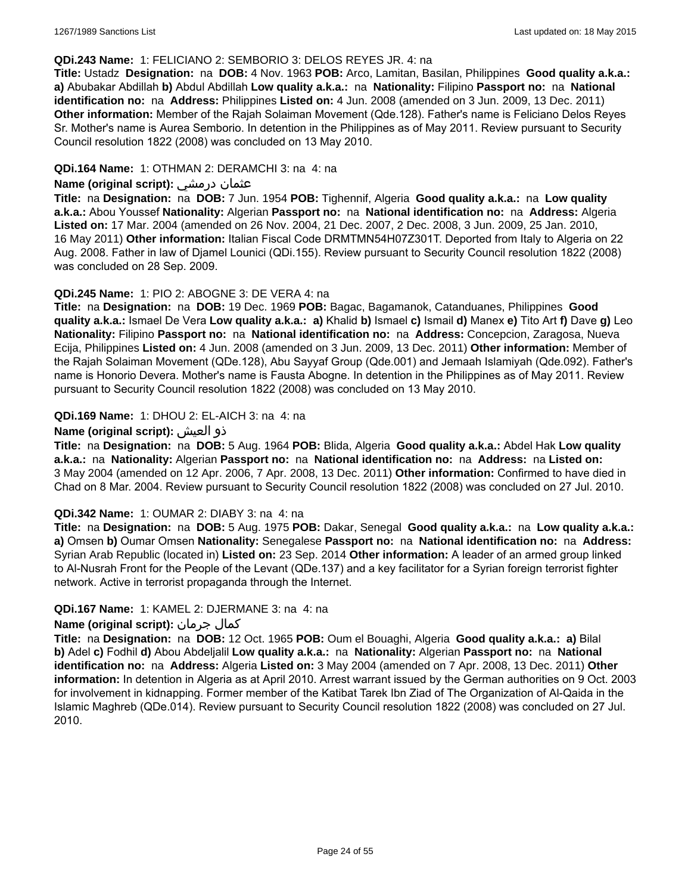#### **QDi.243 Name:** 1: FELICIANO 2: SEMBORIO 3: DELOS REYES JR. 4: na

**Title:** Ustadz **Designation:** na **DOB:** 4 Nov. 1963 **POB:** Arco, Lamitan, Basilan, Philippines **Good quality a.k.a.: a)** Abubakar Abdillah **b)** Abdul Abdillah **Low quality a.k.a.:** na **Nationality:** Filipino **Passport no:** na **National identification no:** na **Address:** Philippines **Listed on:** 4 Jun. 2008 (amended on 3 Jun. 2009, 13 Dec. 2011) **Other information:** Member of the Rajah Solaiman Movement (Qde.128). Father's name is Feliciano Delos Reyes Sr. Mother's name is Aurea Semborio. In detention in the Philippines as of May 2011. Review pursuant to Security Council resolution 1822 (2008) was concluded on 13 May 2010.

### **QDi.164 Name:** 1: OTHMAN 2: DERAMCHI 3: na 4: na

### **Name (original script):** درمشي عثمان

**Title:** na **Designation:** na **DOB:** 7 Jun. 1954 **POB:** Tighennif, Algeria **Good quality a.k.a.:** na **Low quality a.k.a.:** Abou Youssef **Nationality:** Algerian **Passport no:** na **National identification no:** na **Address:** Algeria **Listed on:** 17 Mar. 2004 (amended on 26 Nov. 2004, 21 Dec. 2007, 2 Dec. 2008, 3 Jun. 2009, 25 Jan. 2010, 16 May 2011) **Other information:** Italian Fiscal Code DRMTMN54H07Z301T. Deported from Italy to Algeria on 22 Aug. 2008. Father in law of Djamel Lounici (QDi.155). Review pursuant to Security Council resolution 1822 (2008) was concluded on 28 Sep. 2009.

### **QDi.245 Name:** 1: PIO 2: ABOGNE 3: DE VERA 4: na

**Title:** na **Designation:** na **DOB:** 19 Dec. 1969 **POB:** Bagac, Bagamanok, Catanduanes, Philippines **Good quality a.k.a.:** Ismael De Vera **Low quality a.k.a.: a)** Khalid **b)** Ismael **c)** Ismail **d)** Manex **e)** Tito Art **f)** Dave **g)** Leo **Nationality:** Filipino **Passport no:** na **National identification no:** na **Address:** Concepcion, Zaragosa, Nueva Ecija, Philippines **Listed on:** 4 Jun. 2008 (amended on 3 Jun. 2009, 13 Dec. 2011) **Other information:** Member of the Rajah Solaiman Movement (QDe.128), Abu Sayyaf Group (Qde.001) and Jemaah Islamiyah (Qde.092). Father's name is Honorio Devera. Mother's name is Fausta Abogne. In detention in the Philippines as of May 2011. Review pursuant to Security Council resolution 1822 (2008) was concluded on 13 May 2010.

### **QDi.169 Name:** 1: DHOU 2: EL-AICH 3: na 4: na

### **Name (original script):** العيش ذو

**Title:** na **Designation:** na **DOB:** 5 Aug. 1964 **POB:** Blida, Algeria **Good quality a.k.a.:** Abdel Hak **Low quality a.k.a.:** na **Nationality:** Algerian **Passport no:** na **National identification no:** na **Address:** na **Listed on:** 3 May 2004 (amended on 12 Apr. 2006, 7 Apr. 2008, 13 Dec. 2011) **Other information:** Confirmed to have died in Chad on 8 Mar. 2004. Review pursuant to Security Council resolution 1822 (2008) was concluded on 27 Jul. 2010.

#### **QDi.342 Name:** 1: OUMAR 2: DIABY 3: na 4: na

**Title:** na **Designation:** na **DOB:** 5 Aug. 1975 **POB:** Dakar, Senegal **Good quality a.k.a.:** na **Low quality a.k.a.: a)** Omsen **b)** Oumar Omsen **Nationality:** Senegalese **Passport no:** na **National identification no:** na **Address:** Syrian Arab Republic (located in) **Listed on:** 23 Sep. 2014 **Other information:** A leader of an armed group linked to Al-Nusrah Front for the People of the Levant (QDe.137) and a key facilitator for a Syrian foreign terrorist fighter network. Active in terrorist propaganda through the Internet.

### **QDi.167 Name:** 1: KAMEL 2: DJERMANE 3: na 4: na

# **Name (original script):** جرمان كمال

**Title:** na **Designation:** na **DOB:** 12 Oct. 1965 **POB:** Oum el Bouaghi, Algeria **Good quality a.k.a.: a)** Bilal **b)** Adel **c)** Fodhil **d)** Abou Abdeljalil **Low quality a.k.a.:** na **Nationality:** Algerian **Passport no:** na **National identification no:** na **Address:** Algeria **Listed on:** 3 May 2004 (amended on 7 Apr. 2008, 13 Dec. 2011) **Other information:** In detention in Algeria as at April 2010. Arrest warrant issued by the German authorities on 9 Oct. 2003 for involvement in kidnapping. Former member of the Katibat Tarek Ibn Ziad of The Organization of Al-Qaida in the Islamic Maghreb (QDe.014). Review pursuant to Security Council resolution 1822 (2008) was concluded on 27 Jul. 2010.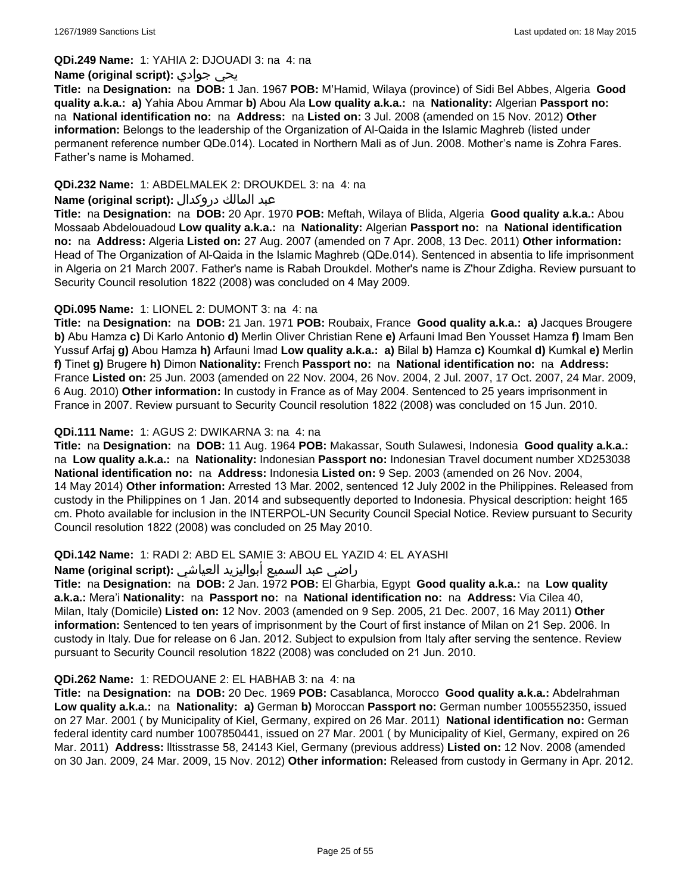**QDi.249 Name:** 1: YAHIA 2: DJOUADI 3: na 4: na

#### **Name (original script):** جوادي يحي

**Title:** na **Designation:** na **DOB:** 1 Jan. 1967 **POB:** M'Hamid, Wilaya (province) of Sidi Bel Abbes, Algeria **Good quality a.k.a.: a)** Yahia Abou Ammar **b)** Abou Ala **Low quality a.k.a.:** na **Nationality:** Algerian **Passport no:**  na **National identification no:** na **Address:** na **Listed on:** 3 Jul. 2008 (amended on 15 Nov. 2012) **Other information:** Belongs to the leadership of the Organization of Al-Qaida in the Islamic Maghreb (listed under permanent reference number QDe.014). Located in Northern Mali as of Jun. 2008. Mother's name is Zohra Fares. Father's name is Mohamed.

### **QDi.232 Name:** 1: ABDELMALEK 2: DROUKDEL 3: na 4: na

#### عبد المالك دروكدال **:(script original (Name**

**Title:** na **Designation:** na **DOB:** 20 Apr. 1970 **POB:** Meftah, Wilaya of Blida, Algeria **Good quality a.k.a.:** Abou Mossaab Abdelouadoud **Low quality a.k.a.:** na **Nationality:** Algerian **Passport no:** na **National identification no:** na **Address:** Algeria **Listed on:** 27 Aug. 2007 (amended on 7 Apr. 2008, 13 Dec. 2011) **Other information:** Head of The Organization of Al-Qaida in the Islamic Maghreb (QDe.014). Sentenced in absentia to life imprisonment in Algeria on 21 March 2007. Father's name is Rabah Droukdel. Mother's name is Z'hour Zdigha. Review pursuant to Security Council resolution 1822 (2008) was concluded on 4 May 2009.

### **QDi.095 Name:** 1: LIONEL 2: DUMONT 3: na 4: na

**Title:** na **Designation:** na **DOB:** 21 Jan. 1971 **POB:** Roubaix, France **Good quality a.k.a.: a)** Jacques Brougere **b)** Abu Hamza **c)** Di Karlo Antonio **d)** Merlin Oliver Christian Rene **e)** Arfauni Imad Ben Yousset Hamza **f)** Imam Ben Yussuf Arfaj **g)** Abou Hamza **h)** Arfauni Imad **Low quality a.k.a.: a)** Bilal **b)** Hamza **c)** Koumkal **d)** Kumkal **e)** Merlin **f)** Tinet **g)** Brugere **h)** Dimon **Nationality:** French **Passport no:** na **National identification no:** na **Address:** France **Listed on:** 25 Jun. 2003 (amended on 22 Nov. 2004, 26 Nov. 2004, 2 Jul. 2007, 17 Oct. 2007, 24 Mar. 2009, 6 Aug. 2010) **Other information:** In custody in France as of May 2004. Sentenced to 25 years imprisonment in France in 2007. Review pursuant to Security Council resolution 1822 (2008) was concluded on 15 Jun. 2010.

### **QDi.111 Name:** 1: AGUS 2: DWIKARNA 3: na 4: na

**Title:** na **Designation:** na **DOB:** 11 Aug. 1964 **POB:** Makassar, South Sulawesi, Indonesia **Good quality a.k.a.:**  na **Low quality a.k.a.:** na **Nationality:** Indonesian **Passport no:** Indonesian Travel document number XD253038 **National identification no:** na **Address:** Indonesia **Listed on:** 9 Sep. 2003 (amended on 26 Nov. 2004, 14 May 2014) **Other information:** Arrested 13 Mar. 2002, sentenced 12 July 2002 in the Philippines. Released from custody in the Philippines on 1 Jan. 2014 and subsequently deported to Indonesia. Physical description: height 165 cm. Photo available for inclusion in the INTERPOL-UN Security Council Special Notice. Review pursuant to Security Council resolution 1822 (2008) was concluded on 25 May 2010.

### **QDi.142 Name:** 1: RADI 2: ABD EL SAMIE 3: ABOU EL YAZID 4: EL AYASHI

#### راضي عبد السميع أبواليزيد العياشي **:(script original (Name**

**Title:** na **Designation:** na **DOB:** 2 Jan. 1972 **POB:** El Gharbia, Egypt **Good quality a.k.a.:** na **Low quality a.k.a.:** Mera'i **Nationality:** na **Passport no:** na **National identification no:** na **Address:** Via Cilea 40, Milan, Italy (Domicile) **Listed on:** 12 Nov. 2003 (amended on 9 Sep. 2005, 21 Dec. 2007, 16 May 2011) **Other information:** Sentenced to ten years of imprisonment by the Court of first instance of Milan on 21 Sep. 2006. In custody in Italy. Due for release on 6 Jan. 2012. Subject to expulsion from Italy after serving the sentence. Review pursuant to Security Council resolution 1822 (2008) was concluded on 21 Jun. 2010.

#### **QDi.262 Name:** 1: REDOUANE 2: EL HABHAB 3: na 4: na

**Title:** na **Designation:** na **DOB:** 20 Dec. 1969 **POB:** Casablanca, Morocco **Good quality a.k.a.:** Abdelrahman **Low quality a.k.a.:** na **Nationality: a)** German **b)** Moroccan **Passport no:** German number 1005552350, issued on 27 Mar. 2001 ( by Municipality of Kiel, Germany, expired on 26 Mar. 2011) **National identification no:** German federal identity card number 1007850441, issued on 27 Mar. 2001 ( by Municipality of Kiel, Germany, expired on 26 Mar. 2011) **Address:** lltisstrasse 58, 24143 Kiel, Germany (previous address) **Listed on:** 12 Nov. 2008 (amended on 30 Jan. 2009, 24 Mar. 2009, 15 Nov. 2012) **Other information:** Released from custody in Germany in Apr. 2012.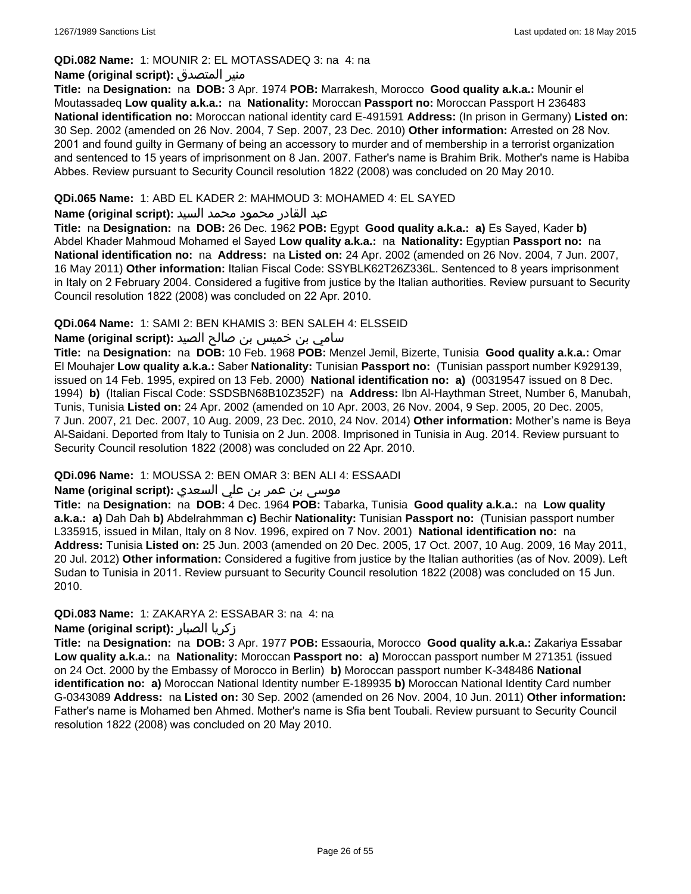### **QDi.082 Name:** 1: MOUNIR 2: EL MOTASSADEQ 3: na 4: na

### **Name (original script):** المتصدق منير

**Title:** na **Designation:** na **DOB:** 3 Apr. 1974 **POB:** Marrakesh, Morocco **Good quality a.k.a.:** Mounir el Moutassadeq **Low quality a.k.a.:** na **Nationality:** Moroccan **Passport no:** Moroccan Passport H 236483 **National identification no:** Moroccan national identity card E-491591 **Address:** (In prison in Germany) **Listed on:** 30 Sep. 2002 (amended on 26 Nov. 2004, 7 Sep. 2007, 23 Dec. 2010) **Other information:** Arrested on 28 Nov. 2001 and found guilty in Germany of being an accessory to murder and of membership in a terrorist organization and sentenced to 15 years of imprisonment on 8 Jan. 2007. Father's name is Brahim Brik. Mother's name is Habiba Abbes. Review pursuant to Security Council resolution 1822 (2008) was concluded on 20 May 2010.

### **QDi.065 Name:** 1: ABD EL KADER 2: MAHMOUD 3: MOHAMED 4: EL SAYED

### عبد القادر محمود محمد السيد **:(script original (Name**

**Title:** na **Designation:** na **DOB:** 26 Dec. 1962 **POB:** Egypt **Good quality a.k.a.: a)** Es Sayed, Kader **b)** Abdel Khader Mahmoud Mohamed el Sayed **Low quality a.k.a.:** na **Nationality:** Egyptian **Passport no:** na **National identification no:** na **Address:** na **Listed on:** 24 Apr. 2002 (amended on 26 Nov. 2004, 7 Jun. 2007, 16 May 2011) **Other information:** Italian Fiscal Code: SSYBLK62T26Z336L. Sentenced to 8 years imprisonment in Italy on 2 February 2004. Considered a fugitive from justice by the Italian authorities. Review pursuant to Security Council resolution 1822 (2008) was concluded on 22 Apr. 2010.

### **QDi.064 Name:** 1: SAMI 2: BEN KHAMIS 3: BEN SALEH 4: ELSSEID

### سامي بن خميس بن صالح الصيد **:Name (original script**)

**Title:** na **Designation:** na **DOB:** 10 Feb. 1968 **POB:** Menzel Jemil, Bizerte, Tunisia **Good quality a.k.a.:** Omar El Mouhajer **Low quality a.k.a.:** Saber **Nationality:** Tunisian **Passport no:** (Tunisian passport number K929139, issued on 14 Feb. 1995, expired on 13 Feb. 2000) **National identification no: a)** (00319547 issued on 8 Dec. 1994) **b)** (Italian Fiscal Code: SSDSBN68B10Z352F) na **Address:** Ibn Al-Haythman Street, Number 6, Manubah, Tunis, Tunisia **Listed on:** 24 Apr. 2002 (amended on 10 Apr. 2003, 26 Nov. 2004, 9 Sep. 2005, 20 Dec. 2005, 7 Jun. 2007, 21 Dec. 2007, 10 Aug. 2009, 23 Dec. 2010, 24 Nov. 2014) **Other information:** Mother's name is Beya Al-Saidani. Deported from Italy to Tunisia on 2 Jun. 2008. Imprisoned in Tunisia in Aug. 2014. Review pursuant to Security Council resolution 1822 (2008) was concluded on 22 Apr. 2010.

### **QDi.096 Name:** 1: MOUSSA 2: BEN OMAR 3: BEN ALI 4: ESSAADI

# موسى بن عمر بن علي السعدي **:Name (original script**)

**Title:** na **Designation:** na **DOB:** 4 Dec. 1964 **POB:** Tabarka, Tunisia **Good quality a.k.a.:** na **Low quality a.k.a.: a)** Dah Dah **b)** Abdelrahmman **c)** Bechir **Nationality:** Tunisian **Passport no:** (Tunisian passport number L335915, issued in Milan, Italy on 8 Nov. 1996, expired on 7 Nov. 2001) **National identification no:** na **Address:** Tunisia **Listed on:** 25 Jun. 2003 (amended on 20 Dec. 2005, 17 Oct. 2007, 10 Aug. 2009, 16 May 2011, 20 Jul. 2012) **Other information:** Considered a fugitive from justice by the Italian authorities (as of Nov. 2009). Left Sudan to Tunisia in 2011. Review pursuant to Security Council resolution 1822 (2008) was concluded on 15 Jun. 2010.

### **QDi.083 Name:** 1: ZAKARYA 2: ESSABAR 3: na 4: na

### **Name (original script):** الصبار زكريا

**Title:** na **Designation:** na **DOB:** 3 Apr. 1977 **POB:** Essaouria, Morocco **Good quality a.k.a.:** Zakariya Essabar **Low quality a.k.a.:** na **Nationality:** Moroccan **Passport no: a)** Moroccan passport number M 271351 (issued on 24 Oct. 2000 by the Embassy of Morocco in Berlin) **b)** Moroccan passport number K-348486 **National identification no: a)** Moroccan National Identity number E-189935 **b)** Moroccan National Identity Card number G-0343089 **Address:** na **Listed on:** 30 Sep. 2002 (amended on 26 Nov. 2004, 10 Jun. 2011) **Other information:** Father's name is Mohamed ben Ahmed. Mother's name is Sfia bent Toubali. Review pursuant to Security Council resolution 1822 (2008) was concluded on 20 May 2010.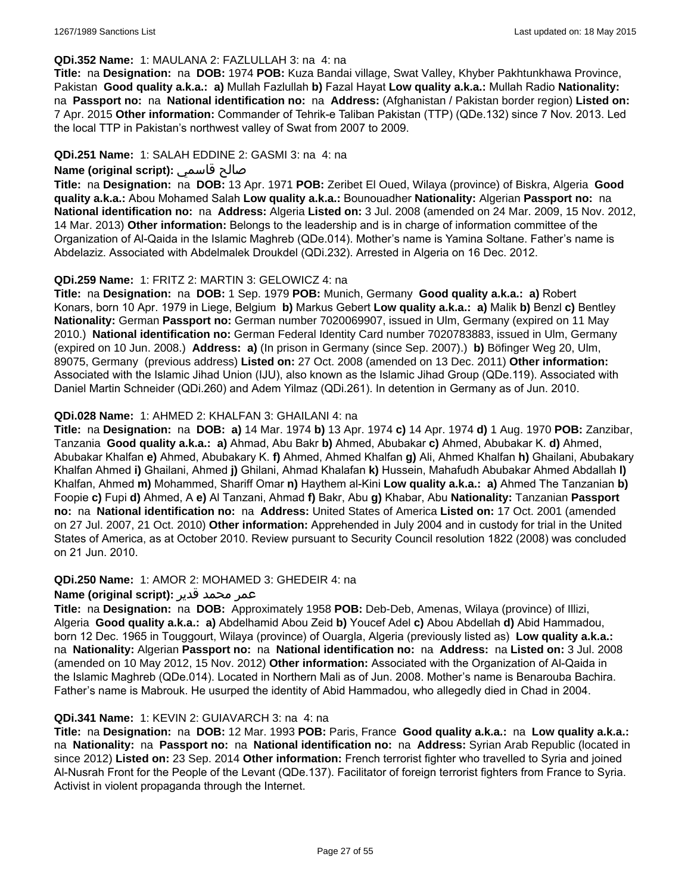#### **QDi.352 Name:** 1: MAULANA 2: FAZLULLAH 3: na 4: na

**Title:** na **Designation:** na **DOB:** 1974 **POB:** Kuza Bandai village, Swat Valley, Khyber Pakhtunkhawa Province, Pakistan **Good quality a.k.a.: a)** Mullah Fazlullah **b)** Fazal Hayat **Low quality a.k.a.:** Mullah Radio **Nationality:**  na **Passport no:** na **National identification no:** na **Address:** (Afghanistan / Pakistan border region) **Listed on:** 7 Apr. 2015 **Other information:** Commander of Tehrik-e Taliban Pakistan (TTP) (QDe.132) since 7 Nov. 2013. Led the local TTP in Pakistan's northwest valley of Swat from 2007 to 2009.

### **QDi.251 Name:** 1: SALAH EDDINE 2: GASMI 3: na 4: na

### **Name (original script):** قاسمي صالح

**Title:** na **Designation:** na **DOB:** 13 Apr. 1971 **POB:** Zeribet El Oued, Wilaya (province) of Biskra, Algeria **Good quality a.k.a.:** Abou Mohamed Salah **Low quality a.k.a.:** Bounouadher **Nationality:** Algerian **Passport no:** na **National identification no:** na **Address:** Algeria **Listed on:** 3 Jul. 2008 (amended on 24 Mar. 2009, 15 Nov. 2012, 14 Mar. 2013) **Other information:** Belongs to the leadership and is in charge of information committee of the Organization of Al-Qaida in the Islamic Maghreb (QDe.014). Mother's name is Yamina Soltane. Father's name is Abdelaziz. Associated with Abdelmalek Droukdel (QDi.232). Arrested in Algeria on 16 Dec. 2012.

### **QDi.259 Name:** 1: FRITZ 2: MARTIN 3: GELOWICZ 4: na

**Title:** na **Designation:** na **DOB:** 1 Sep. 1979 **POB:** Munich, Germany **Good quality a.k.a.: a)** Robert Konars, born 10 Apr. 1979 in Liege, Belgium **b)** Markus Gebert **Low quality a.k.a.: a)** Malik **b)** Benzl **c)** Bentley **Nationality:** German **Passport no:** German number 7020069907, issued in Ulm, Germany (expired on 11 May 2010.) **National identification no:** German Federal Identity Card number 7020783883, issued in Ulm, Germany (expired on 10 Jun. 2008.) **Address: a)** (In prison in Germany (since Sep. 2007).) **b)** Böfinger Weg 20, Ulm, 89075, Germany (previous address) **Listed on:** 27 Oct. 2008 (amended on 13 Dec. 2011) **Other information:** Associated with the Islamic Jihad Union (IJU), also known as the Islamic Jihad Group (QDe.119). Associated with Daniel Martin Schneider (QDi.260) and Adem Yilmaz (QDi.261). In detention in Germany as of Jun. 2010.

### **QDi.028 Name:** 1: AHMED 2: KHALFAN 3: GHAILANI 4: na

**Title:** na **Designation:** na **DOB: a)** 14 Mar. 1974 **b)** 13 Apr. 1974 **c)** 14 Apr. 1974 **d)** 1 Aug. 1970 **POB:** Zanzibar, Tanzania **Good quality a.k.a.: a)** Ahmad, Abu Bakr **b)** Ahmed, Abubakar **c)** Ahmed, Abubakar K. **d)** Ahmed, Abubakar Khalfan **e)** Ahmed, Abubakary K. **f)** Ahmed, Ahmed Khalfan **g)** Ali, Ahmed Khalfan **h)** Ghailani, Abubakary Khalfan Ahmed **i)** Ghailani, Ahmed **j)** Ghilani, Ahmad Khalafan **k)** Hussein, Mahafudh Abubakar Ahmed Abdallah **l)** Khalfan, Ahmed **m)** Mohammed, Shariff Omar **n)** Haythem al-Kini **Low quality a.k.a.: a)** Ahmed The Tanzanian **b)** Foopie **c)** Fupi **d)** Ahmed, A **e)** Al Tanzani, Ahmad **f)** Bakr, Abu **g)** Khabar, Abu **Nationality:** Tanzanian **Passport no:** na **National identification no:** na **Address:** United States of America **Listed on:** 17 Oct. 2001 (amended on 27 Jul. 2007, 21 Oct. 2010) **Other information:** Apprehended in July 2004 and in custody for trial in the United States of America, as at October 2010. Review pursuant to Security Council resolution 1822 (2008) was concluded on 21 Jun. 2010.

#### **QDi.250 Name:** 1: AMOR 2: MOHAMED 3: GHEDEIR 4: na

#### عمر محمد قدير **:(script original (Name**

**Title:** na **Designation:** na **DOB:** Approximately 1958 **POB:** Deb-Deb, Amenas, Wilaya (province) of Illizi, Algeria **Good quality a.k.a.: a)** Abdelhamid Abou Zeid **b)** Youcef Adel **c)** Abou Abdellah **d)** Abid Hammadou, born 12 Dec. 1965 in Touggourt, Wilaya (province) of Ouargla, Algeria (previously listed as) **Low quality a.k.a.:**  na **Nationality:** Algerian **Passport no:** na **National identification no:** na **Address:** na **Listed on:** 3 Jul. 2008 (amended on 10 May 2012, 15 Nov. 2012) **Other information:** Associated with the Organization of Al-Qaida in the Islamic Maghreb (QDe.014). Located in Northern Mali as of Jun. 2008. Mother's name is Benarouba Bachira. Father's name is Mabrouk. He usurped the identity of Abid Hammadou, who allegedly died in Chad in 2004.

#### **QDi.341 Name:** 1: KEVIN 2: GUIAVARCH 3: na 4: na

**Title:** na **Designation:** na **DOB:** 12 Mar. 1993 **POB:** Paris, France **Good quality a.k.a.:** na **Low quality a.k.a.:**  na **Nationality:** na **Passport no:** na **National identification no:** na **Address:** Syrian Arab Republic (located in since 2012) **Listed on:** 23 Sep. 2014 **Other information:** French terrorist fighter who travelled to Syria and joined Al-Nusrah Front for the People of the Levant (QDe.137). Facilitator of foreign terrorist fighters from France to Syria. Activist in violent propaganda through the Internet.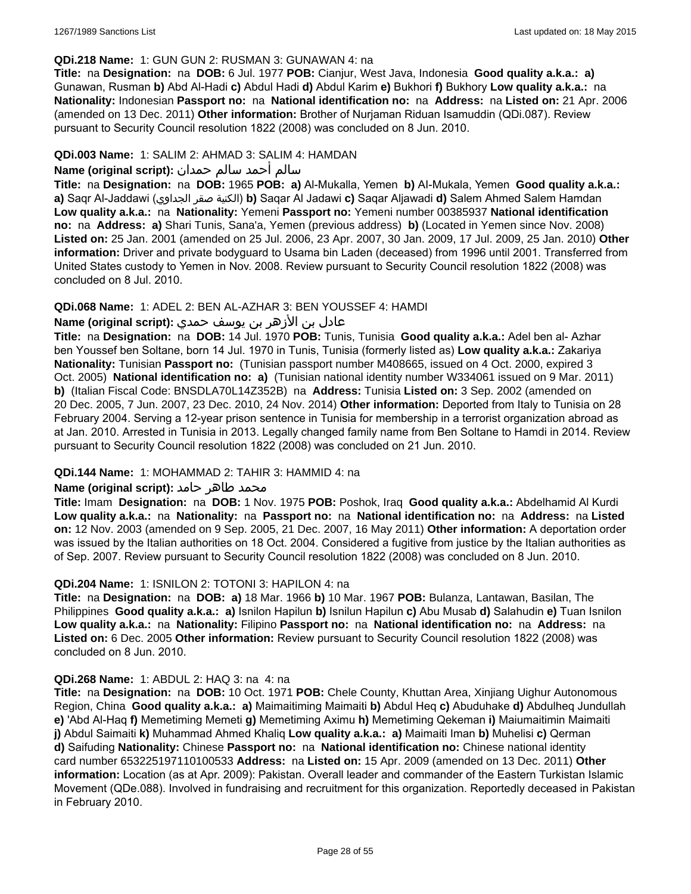#### **QDi.218 Name:** 1: GUN GUN 2: RUSMAN 3: GUNAWAN 4: na

**Title:** na **Designation:** na **DOB:** 6 Jul. 1977 **POB:** Cianjur, West Java, Indonesia **Good quality a.k.a.: a)** Gunawan, Rusman **b)** Abd Al-Hadi **c)** Abdul Hadi **d)** Abdul Karim **e)** Bukhori **f)** Bukhory **Low quality a.k.a.:** na **Nationality:** Indonesian **Passport no:** na **National identification no:** na **Address:** na **Listed on:** 21 Apr. 2006 (amended on 13 Dec. 2011) **Other information:** Brother of Nurjaman Riduan Isamuddin (QDi.087). Review pursuant to Security Council resolution 1822 (2008) was concluded on 8 Jun. 2010.

### **QDi.003 Name:** 1: SALIM 2: AHMAD 3: SALIM 4: HAMDAN

### سالم أحمد سالم حمدان **:(script original (Name**

**Title:** na **Designation:** na **DOB:** 1965 **POB: a)** Al-Mukalla, Yemen **b)** AI-Mukala, Yemen **Good quality a.k.a.: a)** Saqr Al-Jaddawi (الجداوي صقر الكنية(**b)** Saqar Al Jadawi **c)** Saqar Aljawadi **d)** Salem Ahmed Salem Hamdan **Low quality a.k.a.:** na **Nationality:** Yemeni **Passport no:** Yemeni number 00385937 **National identification no:** na **Address: a)** Shari Tunis, Sana'a, Yemen (previous address) **b)** (Located in Yemen since Nov. 2008) **Listed on:** 25 Jan. 2001 (amended on 25 Jul. 2006, 23 Apr. 2007, 30 Jan. 2009, 17 Jul. 2009, 25 Jan. 2010) **Other information:** Driver and private bodyguard to Usama bin Laden (deceased) from 1996 until 2001. Transferred from United States custody to Yemen in Nov. 2008. Review pursuant to Security Council resolution 1822 (2008) was concluded on 8 Jul. 2010.

### **QDi.068 Name:** 1: ADEL 2: BEN AL-AZHAR 3: BEN YOUSSEF 4: HAMDI

# عادل بن الأزهر بن يوسف حمدي **:(script original (Name**

**Title:** na **Designation:** na **DOB:** 14 Jul. 1970 **POB:** Tunis, Tunisia **Good quality a.k.a.:** Adel ben al- Azhar ben Youssef ben Soltane, born 14 Jul. 1970 in Tunis, Tunisia (formerly listed as) **Low quality a.k.a.:** Zakariya **Nationality:** Tunisian **Passport no:** (Tunisian passport number M408665, issued on 4 Oct. 2000, expired 3 Oct. 2005) **National identification no: a)** (Tunisian national identity number W334061 issued on 9 Mar. 2011) **b)** (Italian Fiscal Code: BNSDLA70L14Z352B) na **Address:** Tunisia **Listed on:** 3 Sep. 2002 (amended on 20 Dec. 2005, 7 Jun. 2007, 23 Dec. 2010, 24 Nov. 2014) **Other information:** Deported from Italy to Tunisia on 28 February 2004. Serving a 12-year prison sentence in Tunisia for membership in a terrorist organization abroad as at Jan. 2010. Arrested in Tunisia in 2013. Legally changed family name from Ben Soltane to Hamdi in 2014. Review pursuant to Security Council resolution 1822 (2008) was concluded on 21 Jun. 2010.

#### **QDi.144 Name:** 1: MOHAMMAD 2: TAHIR 3: HAMMID 4: na

#### **محمد طاهر حامد :(Name (original script**

**Title:** Imam **Designation:** na **DOB:** 1 Nov. 1975 **POB:** Poshok, Iraq **Good quality a.k.a.:** Abdelhamid Al Kurdi **Low quality a.k.a.:** na **Nationality:** na **Passport no:** na **National identification no:** na **Address:** na **Listed on:** 12 Nov. 2003 (amended on 9 Sep. 2005, 21 Dec. 2007, 16 May 2011) **Other information:** A deportation order was issued by the Italian authorities on 18 Oct. 2004. Considered a fugitive from justice by the Italian authorities as of Sep. 2007. Review pursuant to Security Council resolution 1822 (2008) was concluded on 8 Jun. 2010.

#### **QDi.204 Name:** 1: ISNILON 2: TOTONI 3: HAPILON 4: na

**Title:** na **Designation:** na **DOB: a)** 18 Mar. 1966 **b)** 10 Mar. 1967 **POB:** Bulanza, Lantawan, Basilan, The Philippines **Good quality a.k.a.: a)** Isnilon Hapilun **b)** Isnilun Hapilun **c)** Abu Musab **d)** Salahudin **e)** Tuan Isnilon **Low quality a.k.a.:** na **Nationality:** Filipino **Passport no:** na **National identification no:** na **Address:** na **Listed on:** 6 Dec. 2005 **Other information:** Review pursuant to Security Council resolution 1822 (2008) was concluded on 8 Jun. 2010.

#### **QDi.268 Name:** 1: ABDUL 2: HAQ 3: na 4: na

**Title:** na **Designation:** na **DOB:** 10 Oct. 1971 **POB:** Chele County, Khuttan Area, Xinjiang Uighur Autonomous Region, China **Good quality a.k.a.: a)** Maimaitiming Maimaiti **b)** Abdul Heq **c)** Abuduhake **d)** Abdulheq Jundullah **e)** 'Abd Al-Haq **f)** Memetiming Memeti **g)** Memetiming Aximu **h)** Memetiming Qekeman **i)** Maiumaitimin Maimaiti **j)** Abdul Saimaiti **k)** Muhammad Ahmed Khaliq **Low quality a.k.a.: a)** Maimaiti Iman **b)** Muhelisi **c)** Qerman **d)** Saifuding **Nationality:** Chinese **Passport no:** na **National identification no:** Chinese national identity card number 653225197110100533 **Address:** na **Listed on:** 15 Apr. 2009 (amended on 13 Dec. 2011) **Other information:** Location (as at Apr. 2009): Pakistan. Overall leader and commander of the Eastern Turkistan Islamic Movement (QDe.088). Involved in fundraising and recruitment for this organization. Reportedly deceased in Pakistan in February 2010.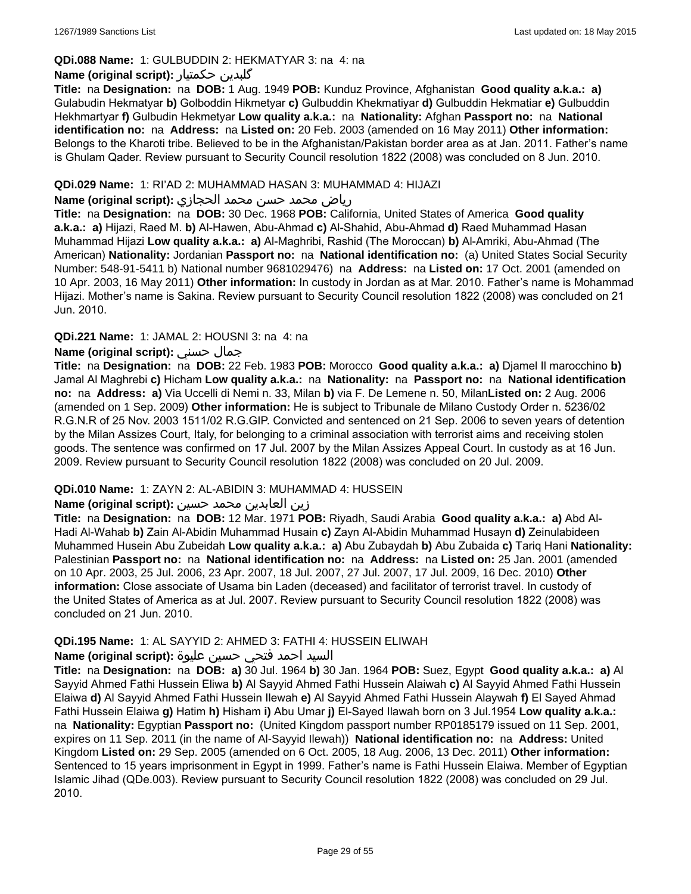### **QDi.088 Name:** 1: GULBUDDIN 2: HEKMATYAR 3: na 4: na

### **Name (original script):** حکمتیار گلبدین

**Title:** na **Designation:** na **DOB:** 1 Aug. 1949 **POB:** Kunduz Province, Afghanistan **Good quality a.k.a.: a)** Gulabudin Hekmatyar **b)** Golboddin Hikmetyar **c)** Gulbuddin Khekmatiyar **d)** Gulbuddin Hekmatiar **e)** Gulbuddin Hekhmartyar **f)** Gulbudin Hekmetyar **Low quality a.k.a.:** na **Nationality:** Afghan **Passport no:** na **National identification no:** na **Address:** na **Listed on:** 20 Feb. 2003 (amended on 16 May 2011) **Other information:** Belongs to the Kharoti tribe. Believed to be in the Afghanistan/Pakistan border area as at Jan. 2011. Father's name is Ghulam Qader. Review pursuant to Security Council resolution 1822 (2008) was concluded on 8 Jun. 2010.

#### **QDi.029 Name:** 1: RI'AD 2: MUHAMMAD HASAN 3: MUHAMMAD 4: HIJAZI

#### رياض محمد حسن محمد الحجازي **:(script original (Name**

**Title:** na **Designation:** na **DOB:** 30 Dec. 1968 **POB:** California, United States of America **Good quality a.k.a.: a)** Hijazi, Raed M. **b)** Al-Hawen, Abu-Ahmad **c)** Al-Shahid, Abu-Ahmad **d)** Raed Muhammad Hasan Muhammad Hijazi **Low quality a.k.a.: a)** Al-Maghribi, Rashid (The Moroccan) **b)** Al-Amriki, Abu-Ahmad (The American) **Nationality:** Jordanian **Passport no:** na **National identification no:** (a) United States Social Security Number: 548-91-5411 b) National number 9681029476) na **Address:** na **Listed on:** 17 Oct. 2001 (amended on 10 Apr. 2003, 16 May 2011) **Other information:** In custody in Jordan as at Mar. 2010. Father's name is Mohammad Hijazi. Mother's name is Sakina. Review pursuant to Security Council resolution 1822 (2008) was concluded on 21 Jun. 2010.

### **QDi.221 Name:** 1: JAMAL 2: HOUSNI 3: na 4: na

### **Name (original script):** حسني جمال

**Title:** na **Designation:** na **DOB:** 22 Feb. 1983 **POB:** Morocco **Good quality a.k.a.: a)** Djamel Il marocchino **b)** Jamal Al Maghrebi **c)** Hicham **Low quality a.k.a.:** na **Nationality:** na **Passport no:** na **National identification no:** na **Address: a)** Via Uccelli di Nemi n. 33, Milan **b)** via F. De Lemene n. 50, Milan**Listed on:** 2 Aug. 2006 (amended on 1 Sep. 2009) **Other information:** He is subject to Tribunale de Milano Custody Order n. 5236/02 R.G.N.R of 25 Nov. 2003 1511/02 R.G.GIP. Convicted and sentenced on 21 Sep. 2006 to seven years of detention by the Milan Assizes Court, Italy, for belonging to a criminal association with terrorist aims and receiving stolen goods. The sentence was confirmed on 17 Jul. 2007 by the Milan Assizes Appeal Court. In custody as at 16 Jun. 2009. Review pursuant to Security Council resolution 1822 (2008) was concluded on 20 Jul. 2009.

### **QDi.010 Name:** 1: ZAYN 2: AL-ABIDIN 3: MUHAMMAD 4: HUSSEIN

### زين العابدين محمد حسين **:(script original (Name**

**Title:** na **Designation:** na **DOB:** 12 Mar. 1971 **POB:** Riyadh, Saudi Arabia **Good quality a.k.a.: a)** Abd Al-Hadi Al-Wahab **b)** Zain Al-Abidin Muhammad Husain **c)** Zayn Al-Abidin Muhammad Husayn **d)** Zeinulabideen Muhammed Husein Abu Zubeidah **Low quality a.k.a.: a)** Abu Zubaydah **b)** Abu Zubaida **c)** Tariq Hani **Nationality:** Palestinian **Passport no:** na **National identification no:** na **Address:** na **Listed on:** 25 Jan. 2001 (amended on 10 Apr. 2003, 25 Jul. 2006, 23 Apr. 2007, 18 Jul. 2007, 27 Jul. 2007, 17 Jul. 2009, 16 Dec. 2010) **Other information:** Close associate of Usama bin Laden (deceased) and facilitator of terrorist travel. In custody of the United States of America as at Jul. 2007. Review pursuant to Security Council resolution 1822 (2008) was concluded on 21 Jun. 2010.

#### **QDi.195 Name:** 1: AL SAYYID 2: AHMED 3: FATHI 4: HUSSEIN ELIWAH

### السيد احمد فتحي حسين عليوة **:(script original (Name**

**Title:** na **Designation:** na **DOB: a)** 30 Jul. 1964 **b)** 30 Jan. 1964 **POB:** Suez, Egypt **Good quality a.k.a.: a)** Al Sayyid Ahmed Fathi Hussein Eliwa **b)** Al Sayyid Ahmed Fathi Hussein Alaiwah **c)** Al Sayyid Ahmed Fathi Hussein Elaiwa **d)** Al Sayyid Ahmed Fathi Hussein Ilewah **e)** Al Sayyid Ahmed Fathi Hussein Alaywah **f)** El Sayed Ahmad Fathi Hussein Elaiwa **g)** Hatim **h)** Hisham **i)** Abu Umar **j)** El-Sayed Ilawah born on 3 Jul.1954 **Low quality a.k.a.:**  na **Nationality:** Egyptian **Passport no:** (United Kingdom passport number RP0185179 issued on 11 Sep. 2001, expires on 11 Sep. 2011 (in the name of Al-Sayyid Ilewah)) **National identification no:** na **Address:** United Kingdom **Listed on:** 29 Sep. 2005 (amended on 6 Oct. 2005, 18 Aug. 2006, 13 Dec. 2011) **Other information:** Sentenced to 15 years imprisonment in Egypt in 1999. Father's name is Fathi Hussein Elaiwa. Member of Egyptian Islamic Jihad (QDe.003). Review pursuant to Security Council resolution 1822 (2008) was concluded on 29 Jul. 2010.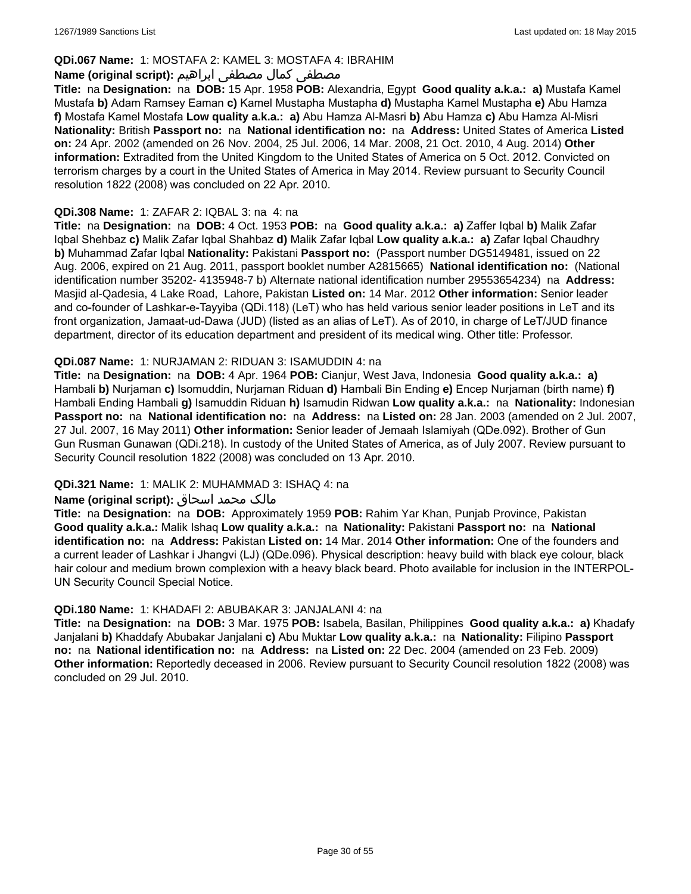### **QDi.067 Name:** 1: MOSTAFA 2: KAMEL 3: MOSTAFA 4: IBRAHIM

### مصطفى كمال مصطفى ابراهيم **:Name (original script**)

**Title:** na **Designation:** na **DOB:** 15 Apr. 1958 **POB:** Alexandria, Egypt **Good quality a.k.a.: a)** Mustafa Kamel Mustafa **b)** Adam Ramsey Eaman **c)** Kamel Mustapha Mustapha **d)** Mustapha Kamel Mustapha **e)** Abu Hamza **f)** Mostafa Kamel Mostafa **Low quality a.k.a.: a)** Abu Hamza Al-Masri **b)** Abu Hamza **c)** Abu Hamza Al-Misri **Nationality:** British **Passport no:** na **National identification no:** na **Address:** United States of America **Listed on:** 24 Apr. 2002 (amended on 26 Nov. 2004, 25 Jul. 2006, 14 Mar. 2008, 21 Oct. 2010, 4 Aug. 2014) **Other information:** Extradited from the United Kingdom to the United States of America on 5 Oct. 2012. Convicted on terrorism charges by a court in the United States of America in May 2014. Review pursuant to Security Council resolution 1822 (2008) was concluded on 22 Apr. 2010.

### **QDi.308 Name:** 1: ZAFAR 2: IQBAL 3: na 4: na

**Title:** na **Designation:** na **DOB:** 4 Oct. 1953 **POB:** na **Good quality a.k.a.: a)** Zaffer Iqbal **b)** Malik Zafar Iqbal Shehbaz **c)** Malik Zafar Iqbal Shahbaz **d)** Malik Zafar Iqbal **Low quality a.k.a.: a)** Zafar Iqbal Chaudhry **b)** Muhammad Zafar Iqbal **Nationality:** Pakistani **Passport no:** (Passport number DG5149481, issued on 22 Aug. 2006, expired on 21 Aug. 2011, passport booklet number A2815665) **National identification no:** (National identification number 35202- 4135948-7 b) Alternate national identification number 29553654234) na **Address:** Masjid al-Qadesia, 4 Lake Road, Lahore, Pakistan **Listed on:** 14 Mar. 2012 **Other information:** Senior leader and co-founder of Lashkar-e-Tayyiba (QDi.118) (LeT) who has held various senior leader positions in LeT and its front organization, Jamaat-ud-Dawa (JUD) (listed as an alias of LeT). As of 2010, in charge of LeT/JUD finance department, director of its education department and president of its medical wing. Other title: Professor.

### **QDi.087 Name:** 1: NURJAMAN 2: RIDUAN 3: ISAMUDDIN 4: na

**Title:** na **Designation:** na **DOB:** 4 Apr. 1964 **POB:** Cianjur, West Java, Indonesia **Good quality a.k.a.: a)** Hambali **b)** Nurjaman **c)** Isomuddin, Nurjaman Riduan **d)** Hambali Bin Ending **e)** Encep Nurjaman (birth name) **f)** Hambali Ending Hambali **g)** Isamuddin Riduan **h)** Isamudin Ridwan **Low quality a.k.a.:** na **Nationality:** Indonesian **Passport no:** na **National identification no:** na **Address:** na **Listed on:** 28 Jan. 2003 (amended on 2 Jul. 2007, 27 Jul. 2007, 16 May 2011) **Other information:** Senior leader of Jemaah Islamiyah (QDe.092). Brother of Gun Gun Rusman Gunawan (QDi.218). In custody of the United States of America, as of July 2007. Review pursuant to Security Council resolution 1822 (2008) was concluded on 13 Apr. 2010.

### **QDi.321 Name:** 1: MALIK 2: MUHAMMAD 3: ISHAQ 4: na

#### مالک محمد اسحاق : Name (original script)

**Title:** na **Designation:** na **DOB:** Approximately 1959 **POB:** Rahim Yar Khan, Punjab Province, Pakistan **Good quality a.k.a.:** Malik Ishaq **Low quality a.k.a.:** na **Nationality:** Pakistani **Passport no:** na **National identification no:** na **Address:** Pakistan **Listed on:** 14 Mar. 2014 **Other information:** One of the founders and a current leader of Lashkar i Jhangvi (LJ) (QDe.096). Physical description: heavy build with black eye colour, black hair colour and medium brown complexion with a heavy black beard. Photo available for inclusion in the INTERPOL-UN Security Council Special Notice.

#### **QDi.180 Name:** 1: KHADAFI 2: ABUBAKAR 3: JANJALANI 4: na

**Title:** na **Designation:** na **DOB:** 3 Mar. 1975 **POB:** Isabela, Basilan, Philippines **Good quality a.k.a.: a)** Khadafy Janjalani **b)** Khaddafy Abubakar Janjalani **c)** Abu Muktar **Low quality a.k.a.:** na **Nationality:** Filipino **Passport no:** na **National identification no:** na **Address:** na **Listed on:** 22 Dec. 2004 (amended on 23 Feb. 2009) **Other information:** Reportedly deceased in 2006. Review pursuant to Security Council resolution 1822 (2008) was concluded on 29 Jul. 2010.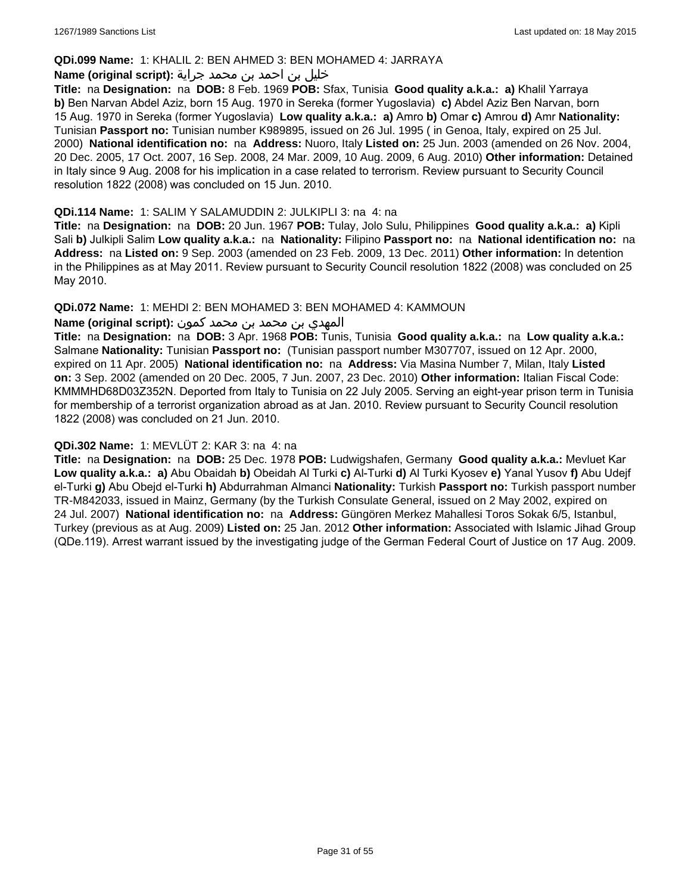#### **QDi.099 Name:** 1: KHALIL 2: BEN AHMED 3: BEN MOHAMED 4: JARRAYA

#### خليل بن احمد بن محمد جراية **:(script original (Name**

**Title:** na **Designation:** na **DOB:** 8 Feb. 1969 **POB:** Sfax, Tunisia **Good quality a.k.a.: a)** Khalil Yarraya **b)** Ben Narvan Abdel Aziz, born 15 Aug. 1970 in Sereka (former Yugoslavia) **c)** Abdel Aziz Ben Narvan, born 15 Aug. 1970 in Sereka (former Yugoslavia) **Low quality a.k.a.: a)** Amro **b)** Omar **c)** Amrou **d)** Amr **Nationality:** Tunisian **Passport no:** Tunisian number K989895, issued on 26 Jul. 1995 ( in Genoa, Italy, expired on 25 Jul. 2000) **National identification no:** na **Address:** Nuoro, Italy **Listed on:** 25 Jun. 2003 (amended on 26 Nov. 2004, 20 Dec. 2005, 17 Oct. 2007, 16 Sep. 2008, 24 Mar. 2009, 10 Aug. 2009, 6 Aug. 2010) **Other information:** Detained in Italy since 9 Aug. 2008 for his implication in a case related to terrorism. Review pursuant to Security Council resolution 1822 (2008) was concluded on 15 Jun. 2010.

#### **QDi.114 Name:** 1: SALIM Y SALAMUDDIN 2: JULKIPLI 3: na 4: na

**Title:** na **Designation:** na **DOB:** 20 Jun. 1967 **POB:** Tulay, Jolo Sulu, Philippines **Good quality a.k.a.: a)** Kipli Sali **b)** Julkipli Salim **Low quality a.k.a.:** na **Nationality:** Filipino **Passport no:** na **National identification no:** na **Address:** na **Listed on:** 9 Sep. 2003 (amended on 23 Feb. 2009, 13 Dec. 2011) **Other information:** In detention in the Philippines as at May 2011. Review pursuant to Security Council resolution 1822 (2008) was concluded on 25 May 2010.

### **QDi.072 Name:** 1: MEHDI 2: BEN MOHAMED 3: BEN MOHAMED 4: KAMMOUN

### المهدي بن محمد بن محمد كمون **:(script original (Name**

**Title:** na **Designation:** na **DOB:** 3 Apr. 1968 **POB:** Tunis, Tunisia **Good quality a.k.a.:** na **Low quality a.k.a.:** Salmane **Nationality:** Tunisian **Passport no:** (Tunisian passport number M307707, issued on 12 Apr. 2000, expired on 11 Apr. 2005) **National identification no:** na **Address:** Via Masina Number 7, Milan, Italy **Listed on:** 3 Sep. 2002 (amended on 20 Dec. 2005, 7 Jun. 2007, 23 Dec. 2010) **Other information:** Italian Fiscal Code: KMMMHD68D03Z352N. Deported from Italy to Tunisia on 22 July 2005. Serving an eight-year prison term in Tunisia for membership of a terrorist organization abroad as at Jan. 2010. Review pursuant to Security Council resolution 1822 (2008) was concluded on 21 Jun. 2010.

#### **QDi.302 Name:** 1: MEVLÜT 2: KAR 3: na 4: na

**Title:** na **Designation:** na **DOB:** 25 Dec. 1978 **POB:** Ludwigshafen, Germany **Good quality a.k.a.:** Mevluet Kar **Low quality a.k.a.: a)** Abu Obaidah **b)** Obeidah Al Turki **c)** Al-Turki **d)** Al Turki Kyosev **e)** Yanal Yusov **f)** Abu Udejf el-Turki **g)** Abu Obejd el-Turki **h)** Abdurrahman Almanci **Nationality:** Turkish **Passport no:** Turkish passport number TR-M842033, issued in Mainz, Germany (by the Turkish Consulate General, issued on 2 May 2002, expired on 24 Jul. 2007) **National identification no:** na **Address:** Güngören Merkez Mahallesi Toros Sokak 6/5, Istanbul, Turkey (previous as at Aug. 2009) **Listed on:** 25 Jan. 2012 **Other information:** Associated with Islamic Jihad Group (QDe.119). Arrest warrant issued by the investigating judge of the German Federal Court of Justice on 17 Aug. 2009.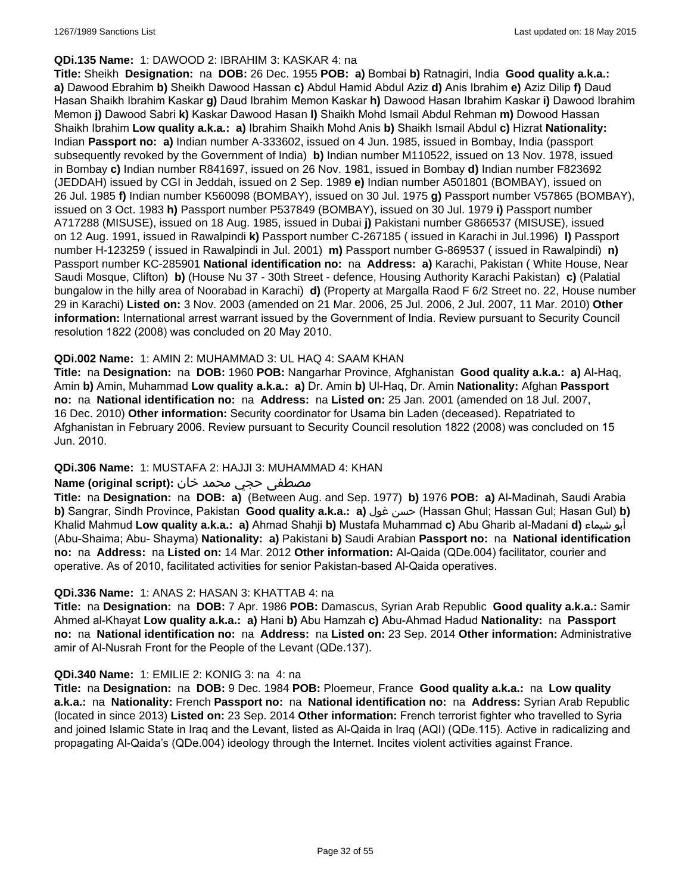#### **QDi.135 Name:** 1: DAWOOD 2: IBRAHIM 3: KASKAR 4: na

**Title:** Sheikh **Designation:** na **DOB:** 26 Dec. 1955 **POB: a)** Bombai **b)** Ratnagiri, India **Good quality a.k.a.: a)** Dawood Ebrahim **b)** Sheikh Dawood Hassan **c)** Abdul Hamid Abdul Aziz **d)** Anis Ibrahim **e)** Aziz Dilip **f)** Daud Hasan Shaikh Ibrahim Kaskar **g)** Daud Ibrahim Memon Kaskar **h)** Dawood Hasan Ibrahim Kaskar **i)** Dawood Ibrahim Memon **j)** Dawood Sabri **k)** Kaskar Dawood Hasan **l)** Shaikh Mohd Ismail Abdul Rehman **m)** Dowood Hassan Shaikh Ibrahim **Low quality a.k.a.: a)** Ibrahim Shaikh Mohd Anis **b)** Shaikh Ismail Abdul **c)** Hizrat **Nationality:** Indian **Passport no: a)** Indian number A-333602, issued on 4 Jun. 1985, issued in Bombay, India (passport subsequently revoked by the Government of India) **b)** Indian number M110522, issued on 13 Nov. 1978, issued in Bombay **c)** Indian number R841697, issued on 26 Nov. 1981, issued in Bombay **d)** Indian number F823692 (JEDDAH) issued by CGI in Jeddah, issued on 2 Sep. 1989 **e)** Indian number A501801 (BOMBAY), issued on 26 Jul. 1985 **f)** Indian number K560098 (BOMBAY), issued on 30 Jul. 1975 **g)** Passport number V57865 (BOMBAY), issued on 3 Oct. 1983 **h)** Passport number P537849 (BOMBAY), issued on 30 Jul. 1979 **i)** Passport number A717288 (MISUSE), issued on 18 Aug. 1985, issued in Dubai **j)** Pakistani number G866537 (MISUSE), issued on 12 Aug. 1991, issued in Rawalpindi **k)** Passport number C-267185 ( issued in Karachi in Jul.1996) **l)** Passport number H-123259 ( issued in Rawalpindi in Jul. 2001) **m)** Passport number G-869537 ( issued in Rawalpindi) **n)** Passport number KC-285901 **National identification no:** na **Address: a)** Karachi, Pakistan ( White House, Near Saudi Mosque, Clifton) **b)** (House Nu 37 - 30th Street - defence, Housing Authority Karachi Pakistan) **c)** (Palatial bungalow in the hilly area of Noorabad in Karachi) **d)** (Property at Margalla Raod F 6/2 Street no. 22, House number 29 in Karachi) **Listed on:** 3 Nov. 2003 (amended on 21 Mar. 2006, 25 Jul. 2006, 2 Jul. 2007, 11 Mar. 2010) **Other information:** International arrest warrant issued by the Government of India. Review pursuant to Security Council resolution 1822 (2008) was concluded on 20 May 2010.

### **QDi.002 Name:** 1: AMIN 2: MUHAMMAD 3: UL HAQ 4: SAAM KHAN

**Title:** na **Designation:** na **DOB:** 1960 **POB:** Nangarhar Province, Afghanistan **Good quality a.k.a.: a)** Al-Haq, Amin **b)** Amin, Muhammad **Low quality a.k.a.: a)** Dr. Amin **b)** Ul-Haq, Dr. Amin **Nationality:** Afghan **Passport no:** na **National identification no:** na **Address:** na **Listed on:** 25 Jan. 2001 (amended on 18 Jul. 2007, 16 Dec. 2010) **Other information:** Security coordinator for Usama bin Laden (deceased). Repatriated to Afghanistan in February 2006. Review pursuant to Security Council resolution 1822 (2008) was concluded on 15 Jun. 2010.

### **QDi.306 Name:** 1: MUSTAFA 2: HAJJI 3: MUHAMMAD 4: KHAN

### مصطفى حجي محمد خان **:Name (original script)**

**Title:** na **Designation:** na **DOB: a)** (Between Aug. and Sep. 1977) **b)** 1976 **POB: a)** Al-Madinah, Saudi Arabia **b)** Sangrar, Sindh Province, Pakistan **Good quality a.k.a.: a)** غول حسن) Hassan Ghul; Hassan Gul; Hasan Gul) **b)** Khalid Mahmud **Low quality a.k.a.: a)** Ahmad Shahji **b)** Mustafa Muhammad **c)** Abu Gharib al-Madani **d)** شيماء أبو (Abu-Shaima; Abu- Shayma) **Nationality: a)** Pakistani **b)** Saudi Arabian **Passport no:** na **National identification no:** na **Address:** na **Listed on:** 14 Mar. 2012 **Other information:** Al-Qaida (QDe.004) facilitator, courier and operative. As of 2010, facilitated activities for senior Pakistan-based Al-Qaida operatives.

#### **QDi.336 Name:** 1: ANAS 2: HASAN 3: KHATTAB 4: na

**Title:** na **Designation:** na **DOB:** 7 Apr. 1986 **POB:** Damascus, Syrian Arab Republic **Good quality a.k.a.:** Samir Ahmed al-Khayat **Low quality a.k.a.: a)** Hani **b)** Abu Hamzah **c)** Abu-Ahmad Hadud **Nationality:** na **Passport no:** na **National identification no:** na **Address:** na **Listed on:** 23 Sep. 2014 **Other information:** Administrative amir of Al-Nusrah Front for the People of the Levant (QDe.137).

#### **QDi.340 Name:** 1: EMILIE 2: KONIG 3: na 4: na

**Title:** na **Designation:** na **DOB:** 9 Dec. 1984 **POB:** Ploemeur, France **Good quality a.k.a.:** na **Low quality a.k.a.:** na **Nationality:** French **Passport no:** na **National identification no:** na **Address:** Syrian Arab Republic (located in since 2013) **Listed on:** 23 Sep. 2014 **Other information:** French terrorist fighter who travelled to Syria and joined Islamic State in Iraq and the Levant, listed as Al-Qaida in Iraq (AQI) (QDe.115). Active in radicalizing and propagating Al-Qaida's (QDe.004) ideology through the Internet. Incites violent activities against France.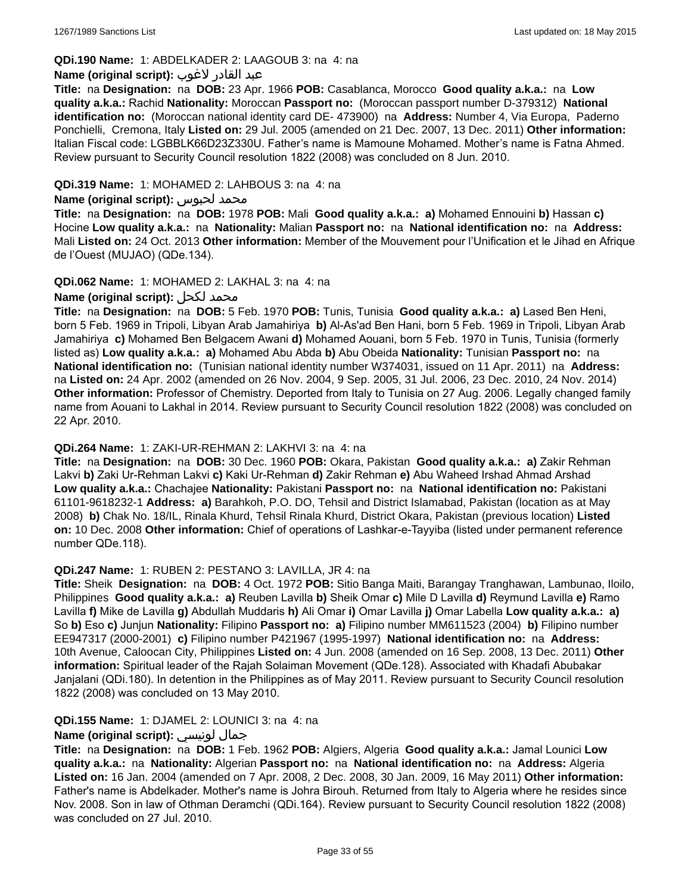### **QDi.190 Name:** 1: ABDELKADER 2: LAAGOUB 3: na 4: na

#### عبد القادر لاغوب **:(script original (Name**

**Title:** na **Designation:** na **DOB:** 23 Apr. 1966 **POB:** Casablanca, Morocco **Good quality a.k.a.:** na **Low quality a.k.a.:** Rachid **Nationality:** Moroccan **Passport no:** (Moroccan passport number D-379312) **National identification no:** (Moroccan national identity card DE- 473900) na **Address:** Number 4, Via Europa, Paderno Ponchielli, Cremona, Italy **Listed on:** 29 Jul. 2005 (amended on 21 Dec. 2007, 13 Dec. 2011) **Other information:** Italian Fiscal code: LGBBLK66D23Z330U. Father's name is Mamoune Mohamed. Mother's name is Fatna Ahmed. Review pursuant to Security Council resolution 1822 (2008) was concluded on 8 Jun. 2010.

### **QDi.319 Name:** 1: MOHAMED 2: LAHBOUS 3: na 4: na

#### **Name (original script):** لحبوس محمد

**Title:** na **Designation:** na **DOB:** 1978 **POB:** Mali **Good quality a.k.a.: a)** Mohamed Ennouini **b)** Hassan **c)** Hocine **Low quality a.k.a.:** na **Nationality:** Malian **Passport no:** na **National identification no:** na **Address:** Mali **Listed on:** 24 Oct. 2013 **Other information:** Member of the Mouvement pour l'Unification et le Jihad en Afrique de l'Ouest (MUJAO) (QDe.134).

### **QDi.062 Name:** 1: MOHAMED 2: LAKHAL 3: na 4: na

### **Name (original script):** لكحل محمد

**Title:** na **Designation:** na **DOB:** 5 Feb. 1970 **POB:** Tunis, Tunisia **Good quality a.k.a.: a)** Lased Ben Heni, born 5 Feb. 1969 in Tripoli, Libyan Arab Jamahiriya **b)** Al-As'ad Ben Hani, born 5 Feb. 1969 in Tripoli, Libyan Arab Jamahiriya **c)** Mohamed Ben Belgacem Awani **d)** Mohamed Aouani, born 5 Feb. 1970 in Tunis, Tunisia (formerly listed as) **Low quality a.k.a.: a)** Mohamed Abu Abda **b)** Abu Obeida **Nationality:** Tunisian **Passport no:** na **National identification no:** (Tunisian national identity number W374031, issued on 11 Apr. 2011) na **Address:**  na **Listed on:** 24 Apr. 2002 (amended on 26 Nov. 2004, 9 Sep. 2005, 31 Jul. 2006, 23 Dec. 2010, 24 Nov. 2014) **Other information:** Professor of Chemistry. Deported from Italy to Tunisia on 27 Aug. 2006. Legally changed family name from Aouani to Lakhal in 2014. Review pursuant to Security Council resolution 1822 (2008) was concluded on 22 Apr. 2010.

#### **QDi.264 Name:** 1: ZAKI-UR-REHMAN 2: LAKHVI 3: na 4: na

**Title:** na **Designation:** na **DOB:** 30 Dec. 1960 **POB:** Okara, Pakistan **Good quality a.k.a.: a)** Zakir Rehman Lakvi **b)** Zaki Ur-Rehman Lakvi **c)** Kaki Ur-Rehman **d)** Zakir Rehman **e)** Abu Waheed Irshad Ahmad Arshad **Low quality a.k.a.:** Chachajee **Nationality:** Pakistani **Passport no:** na **National identification no:** Pakistani 61101-9618232-1 **Address: a)** Barahkoh, P.O. DO, Tehsil and District Islamabad, Pakistan (location as at May 2008) **b)** Chak No. 18/IL, Rinala Khurd, Tehsil Rinala Khurd, District Okara, Pakistan (previous location) **Listed on:** 10 Dec. 2008 **Other information:** Chief of operations of Lashkar-e-Tayyiba (listed under permanent reference number QDe.118).

#### **QDi.247 Name:** 1: RUBEN 2: PESTANO 3: LAVILLA, JR 4: na

**Title:** Sheik **Designation:** na **DOB:** 4 Oct. 1972 **POB:** Sitio Banga Maiti, Barangay Tranghawan, Lambunao, Iloilo, Philippines **Good quality a.k.a.: a)** Reuben Lavilla **b)** Sheik Omar **c)** Mile D Lavilla **d)** Reymund Lavilla **e)** Ramo Lavilla **f)** Mike de Lavilla **g)** Abdullah Muddaris **h)** Ali Omar **i)** Omar Lavilla **j)** Omar Labella **Low quality a.k.a.: a)** So **b)** Eso **c)** Junjun **Nationality:** Filipino **Passport no: a)** Filipino number MM611523 (2004) **b)** Filipino number EE947317 (2000-2001) **c)** Filipino number P421967 (1995-1997) **National identification no:** na **Address:** 10th Avenue, Caloocan City, Philippines **Listed on:** 4 Jun. 2008 (amended on 16 Sep. 2008, 13 Dec. 2011) **Other information:** Spiritual leader of the Rajah Solaiman Movement (QDe.128). Associated with Khadafi Abubakar Janjalani (QDi.180). In detention in the Philippines as of May 2011. Review pursuant to Security Council resolution 1822 (2008) was concluded on 13 May 2010.

#### **QDi.155 Name:** 1: DJAMEL 2: LOUNICI 3: na 4: na

### **Name (original script):** لونيسي جمال

**Title:** na **Designation:** na **DOB:** 1 Feb. 1962 **POB:** Algiers, Algeria **Good quality a.k.a.:** Jamal Lounici **Low quality a.k.a.:** na **Nationality:** Algerian **Passport no:** na **National identification no:** na **Address:** Algeria **Listed on:** 16 Jan. 2004 (amended on 7 Apr. 2008, 2 Dec. 2008, 30 Jan. 2009, 16 May 2011) **Other information:** Father's name is Abdelkader. Mother's name is Johra Birouh. Returned from Italy to Algeria where he resides since Nov. 2008. Son in law of Othman Deramchi (QDi.164). Review pursuant to Security Council resolution 1822 (2008) was concluded on 27 Jul. 2010.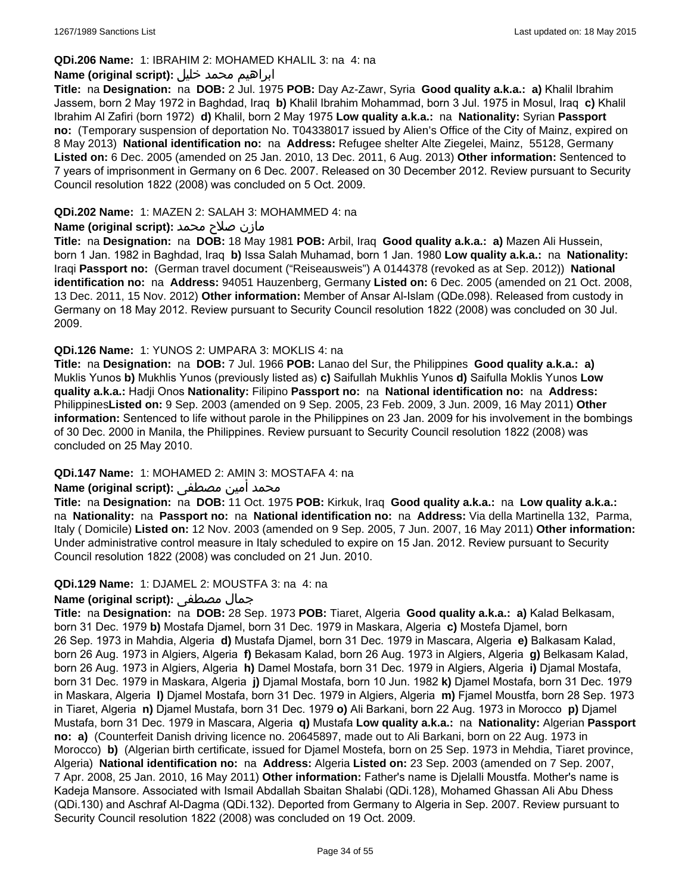#### **QDi.206 Name:** 1: IBRAHIM 2: MOHAMED KHALIL 3: na 4: na

### ابراهيم محمد خليل **:(script original (Name**

**Title:** na **Designation:** na **DOB:** 2 Jul. 1975 **POB:** Day Az-Zawr, Syria **Good quality a.k.a.: a)** Khalil Ibrahim Jassem, born 2 May 1972 in Baghdad, Iraq **b)** Khalil Ibrahim Mohammad, born 3 Jul. 1975 in Mosul, Iraq **c)** Khalil Ibrahim Al Zafiri (born 1972) **d)** Khalil, born 2 May 1975 **Low quality a.k.a.:** na **Nationality:** Syrian **Passport no:** (Temporary suspension of deportation No. T04338017 issued by Alien's Office of the City of Mainz, expired on 8 May 2013) **National identification no:** na **Address:** Refugee shelter Alte Ziegelei, Mainz, 55128, Germany **Listed on:** 6 Dec. 2005 (amended on 25 Jan. 2010, 13 Dec. 2011, 6 Aug. 2013) **Other information:** Sentenced to 7 years of imprisonment in Germany on 6 Dec. 2007. Released on 30 December 2012. Review pursuant to Security Council resolution 1822 (2008) was concluded on 5 Oct. 2009.

#### **QDi.202 Name:** 1: MAZEN 2: SALAH 3: MOHAMMED 4: na

### مازن صلاح محمد **:Name (original script)**

**Title:** na **Designation:** na **DOB:** 18 May 1981 **POB:** Arbil, Iraq **Good quality a.k.a.: a)** Mazen Ali Hussein, born 1 Jan. 1982 in Baghdad, Iraq **b)** Issa Salah Muhamad, born 1 Jan. 1980 **Low quality a.k.a.:** na **Nationality:** Iraqi **Passport no:** (German travel document ("Reiseausweis") A 0144378 (revoked as at Sep. 2012)) **National identification no:** na **Address:** 94051 Hauzenberg, Germany **Listed on:** 6 Dec. 2005 (amended on 21 Oct. 2008, 13 Dec. 2011, 15 Nov. 2012) **Other information:** Member of Ansar Al-Islam (QDe.098). Released from custody in Germany on 18 May 2012. Review pursuant to Security Council resolution 1822 (2008) was concluded on 30 Jul. 2009.

### **QDi.126 Name:** 1: YUNOS 2: UMPARA 3: MOKLIS 4: na

**Title:** na **Designation:** na **DOB:** 7 Jul. 1966 **POB:** Lanao del Sur, the Philippines **Good quality a.k.a.: a)** Muklis Yunos **b)** Mukhlis Yunos (previously listed as) **c)** Saifullah Mukhlis Yunos **d)** Saifulla Moklis Yunos **Low quality a.k.a.:** Hadji Onos **Nationality:** Filipino **Passport no:** na **National identification no:** na **Address:** Philippines**Listed on:** 9 Sep. 2003 (amended on 9 Sep. 2005, 23 Feb. 2009, 3 Jun. 2009, 16 May 2011) **Other information:** Sentenced to life without parole in the Philippines on 23 Jan. 2009 for his involvement in the bombings of 30 Dec. 2000 in Manila, the Philippines. Review pursuant to Security Council resolution 1822 (2008) was concluded on 25 May 2010.

#### **QDi.147 Name:** 1: MOHAMED 2: AMIN 3: MOSTAFA 4: na

# محمد أمين مصطفى :**Name (original script)**

**Title:** na **Designation:** na **DOB:** 11 Oct. 1975 **POB:** Kirkuk, Iraq **Good quality a.k.a.:** na **Low quality a.k.a.:**  na **Nationality:** na **Passport no:** na **National identification no:** na **Address:** Via della Martinella 132, Parma, Italy ( Domicile) **Listed on:** 12 Nov. 2003 (amended on 9 Sep. 2005, 7 Jun. 2007, 16 May 2011) **Other information:** Under administrative control measure in Italy scheduled to expire on 15 Jan. 2012. Review pursuant to Security Council resolution 1822 (2008) was concluded on 21 Jun. 2010.

#### **QDi.129 Name:** 1: DJAMEL 2: MOUSTFA 3: na 4: na

# **Name (original script):** مصطفى جمال

**Title:** na **Designation:** na **DOB:** 28 Sep. 1973 **POB:** Tiaret, Algeria **Good quality a.k.a.: a)** Kalad Belkasam, born 31 Dec. 1979 **b)** Mostafa Djamel, born 31 Dec. 1979 in Maskara, Algeria **c)** Mostefa Djamel, born 26 Sep. 1973 in Mahdia, Algeria **d)** Mustafa Djamel, born 31 Dec. 1979 in Mascara, Algeria **e)** Balkasam Kalad, born 26 Aug. 1973 in Algiers, Algeria **f)** Bekasam Kalad, born 26 Aug. 1973 in Algiers, Algeria **g)** Belkasam Kalad, born 26 Aug. 1973 in Algiers, Algeria **h)** Damel Mostafa, born 31 Dec. 1979 in Algiers, Algeria **i)** Djamal Mostafa, born 31 Dec. 1979 in Maskara, Algeria **j)** Djamal Mostafa, born 10 Jun. 1982 **k)** Djamel Mostafa, born 31 Dec. 1979 in Maskara, Algeria **l)** Djamel Mostafa, born 31 Dec. 1979 in Algiers, Algeria **m)** Fjamel Moustfa, born 28 Sep. 1973 in Tiaret, Algeria **n)** Djamel Mustafa, born 31 Dec. 1979 **o)** Ali Barkani, born 22 Aug. 1973 in Morocco **p)** Djamel Mustafa, born 31 Dec. 1979 in Mascara, Algeria **q)** Mustafa **Low quality a.k.a.:** na **Nationality:** Algerian **Passport no: a)** (Counterfeit Danish driving licence no. 20645897, made out to Ali Barkani, born on 22 Aug. 1973 in Morocco) **b)** (Algerian birth certificate, issued for Djamel Mostefa, born on 25 Sep. 1973 in Mehdia, Tiaret province, Algeria) **National identification no:** na **Address:** Algeria **Listed on:** 23 Sep. 2003 (amended on 7 Sep. 2007, 7 Apr. 2008, 25 Jan. 2010, 16 May 2011) **Other information:** Father's name is Djelalli Moustfa. Mother's name is Kadeja Mansore. Associated with Ismail Abdallah Sbaitan Shalabi (QDi.128), Mohamed Ghassan Ali Abu Dhess (QDi.130) and Aschraf Al-Dagma (QDi.132). Deported from Germany to Algeria in Sep. 2007. Review pursuant to Security Council resolution 1822 (2008) was concluded on 19 Oct. 2009.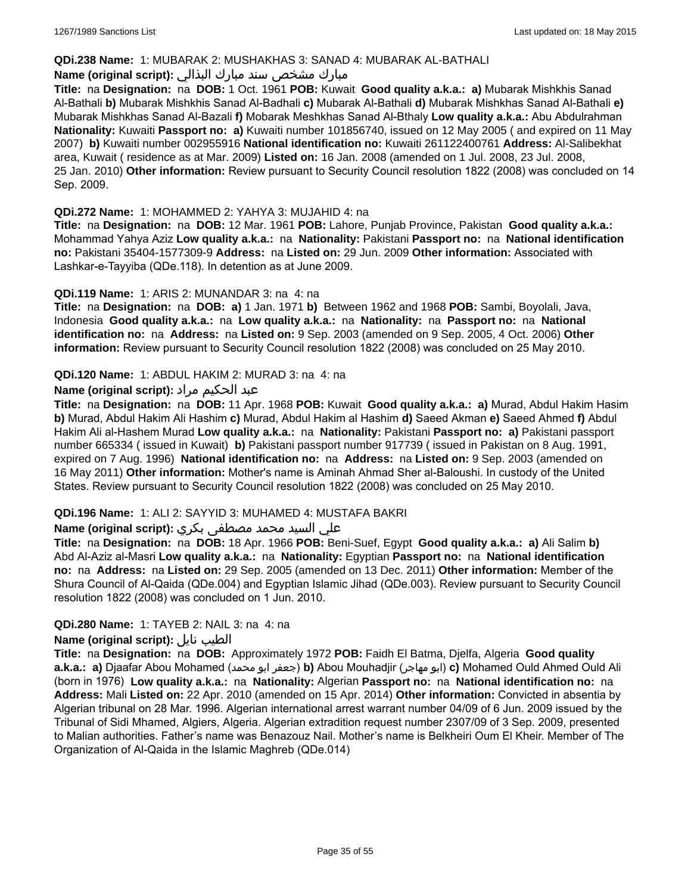#### **QDi.238 Name:** 1: MUBARAK 2: MUSHAKHAS 3: SANAD 4: MUBARAK AL-BATHALI

### مبارك مشخص سند مبارك البذالي **:Name (original script)**

**Title:** na **Designation:** na **DOB:** 1 Oct. 1961 **POB:** Kuwait **Good quality a.k.a.: a)** Mubarak Mishkhis Sanad Al-Bathali **b)** Mubarak Mishkhis Sanad Al-Badhali **c)** Mubarak Al-Bathali **d)** Mubarak Mishkhas Sanad Al-Bathali **e)** Mubarak Mishkhas Sanad Al-Bazali **f)** Mobarak Meshkhas Sanad Al-Bthaly **Low quality a.k.a.:** Abu Abdulrahman **Nationality:** Kuwaiti **Passport no: a)** Kuwaiti number 101856740, issued on 12 May 2005 ( and expired on 11 May 2007) **b)** Kuwaiti number 002955916 **National identification no:** Kuwaiti 261122400761 **Address:** Al-Salibekhat area, Kuwait ( residence as at Mar. 2009) **Listed on:** 16 Jan. 2008 (amended on 1 Jul. 2008, 23 Jul. 2008, 25 Jan. 2010) **Other information:** Review pursuant to Security Council resolution 1822 (2008) was concluded on 14 Sep. 2009.

#### **QDi.272 Name:** 1: MOHAMMED 2: YAHYA 3: MUJAHID 4: na

**Title:** na **Designation:** na **DOB:** 12 Mar. 1961 **POB:** Lahore, Punjab Province, Pakistan **Good quality a.k.a.:** Mohammad Yahya Aziz **Low quality a.k.a.:** na **Nationality:** Pakistani **Passport no:** na **National identification no:** Pakistani 35404-1577309-9 **Address:** na **Listed on:** 29 Jun. 2009 **Other information:** Associated with Lashkar-e-Tayyiba (QDe.118). In detention as at June 2009.

### **QDi.119 Name:** 1: ARIS 2: MUNANDAR 3: na 4: na

**Title:** na **Designation:** na **DOB: a)** 1 Jan. 1971 **b)** Between 1962 and 1968 **POB:** Sambi, Boyolali, Java, Indonesia **Good quality a.k.a.:** na **Low quality a.k.a.:** na **Nationality:** na **Passport no:** na **National identification no:** na **Address:** na **Listed on:** 9 Sep. 2003 (amended on 9 Sep. 2005, 4 Oct. 2006) **Other information:** Review pursuant to Security Council resolution 1822 (2008) was concluded on 25 May 2010.

### **QDi.120 Name:** 1: ABDUL HAKIM 2: MURAD 3: na 4: na

### عبد الحكيم مراد **:(script original (Name**

**Title:** na **Designation:** na **DOB:** 11 Apr. 1968 **POB:** Kuwait **Good quality a.k.a.: a)** Murad, Abdul Hakim Hasim **b)** Murad, Abdul Hakim Ali Hashim **c)** Murad, Abdul Hakim al Hashim **d)** Saeed Akman **e)** Saeed Ahmed **f)** Abdul Hakim Ali al-Hashem Murad **Low quality a.k.a.:** na **Nationality:** Pakistani **Passport no: a)** Pakistani passport number 665334 ( issued in Kuwait) **b)** Pakistani passport number 917739 ( issued in Pakistan on 8 Aug. 1991, expired on 7 Aug. 1996) **National identification no:** na **Address:** na **Listed on:** 9 Sep. 2003 (amended on 16 May 2011) **Other information:** Mother's name is Aminah Ahmad Sher al-Baloushi. In custody of the United States. Review pursuant to Security Council resolution 1822 (2008) was concluded on 25 May 2010.

### **QDi.196 Name:** 1: ALI 2: SAYYID 3: MUHAMED 4: MUSTAFA BAKRI

### علي السيد محمد مصطفى بكري **:(script original (Name**

**Title:** na **Designation:** na **DOB:** 18 Apr. 1966 **POB:** Beni-Suef, Egypt **Good quality a.k.a.: a)** Ali Salim **b)** Abd Al-Aziz al-Masri **Low quality a.k.a.:** na **Nationality:** Egyptian **Passport no:** na **National identification no:** na **Address:** na **Listed on:** 29 Sep. 2005 (amended on 13 Dec. 2011) **Other information:** Member of the Shura Council of Al-Qaida (QDe.004) and Egyptian Islamic Jihad (QDe.003). Review pursuant to Security Council resolution 1822 (2008) was concluded on 1 Jun. 2010.

### **QDi.280 Name:** 1: TAYEB 2: NAIL 3: na 4: na

#### **Name (original script):** نايل الطيب

**Title:** na **Designation:** na **DOB:** Approximately 1972 **POB:** Faidh El Batma, Djelfa, Algeria **Good quality a.k.a.: a)** Djaafar Abou Mohamed (محمد ابو جعفر(**b)** Abou Mouhadjir (مهاجر ابو(**c)** Mohamed Ould Ahmed Ould Ali (born in 1976) **Low quality a.k.a.:** na **Nationality:** Algerian **Passport no:** na **National identification no:** na **Address:** Mali **Listed on:** 22 Apr. 2010 (amended on 15 Apr. 2014) **Other information:** Convicted in absentia by Algerian tribunal on 28 Mar. 1996. Algerian international arrest warrant number 04/09 of 6 Jun. 2009 issued by the Tribunal of Sidi Mhamed, Algiers, Algeria. Algerian extradition request number 2307/09 of 3 Sep. 2009, presented to Malian authorities. Father's name was Benazouz Nail. Mother's name is Belkheiri Oum El Kheir. Member of The Organization of Al-Qaida in the Islamic Maghreb (QDe.014)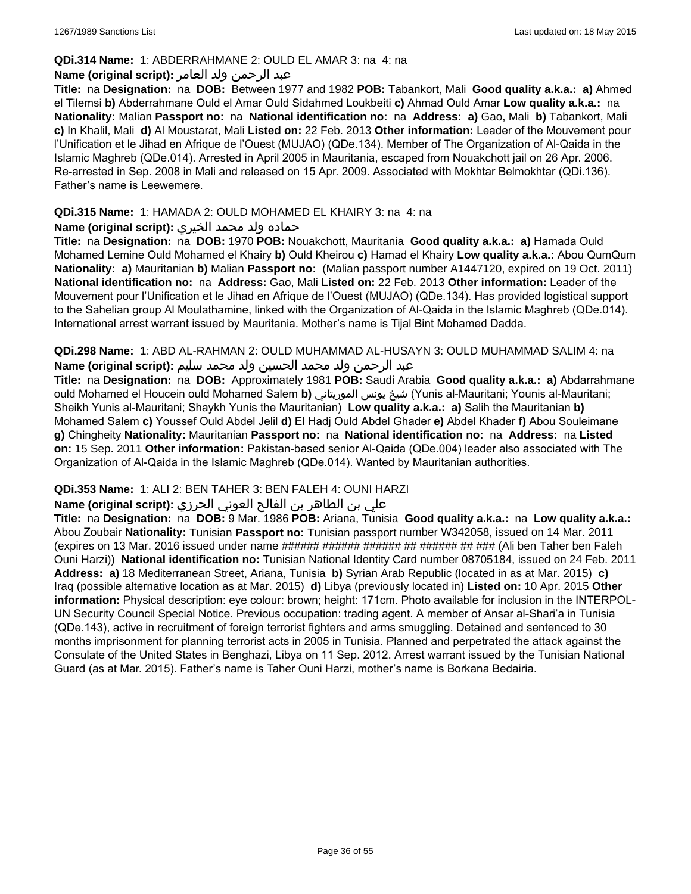### **QDi.314 Name:** 1: ABDERRAHMANE 2: OULD EL AMAR 3: na 4: na

### عبد الرحمن ولد العامر **:(script original (Name**

**Title:** na **Designation:** na **DOB:** Between 1977 and 1982 **POB:** Tabankort, Mali **Good quality a.k.a.: a)** Ahmed el Tilemsi **b)** Abderrahmane Ould el Amar Ould Sidahmed Loukbeiti **c)** Ahmad Ould Amar **Low quality a.k.a.:** na **Nationality:** Malian **Passport no:** na **National identification no:** na **Address: a)** Gao, Mali **b)** Tabankort, Mali **c)** In Khalil, Mali **d)** Al Moustarat, Mali **Listed on:** 22 Feb. 2013 **Other information:** Leader of the Mouvement pour l'Unification et le Jihad en Afrique de l'Ouest (MUJAO) (QDe.134). Member of The Organization of Al-Qaida in the Islamic Maghreb (QDe.014). Arrested in April 2005 in Mauritania, escaped from Nouakchott jail on 26 Apr. 2006. Re-arrested in Sep. 2008 in Mali and released on 15 Apr. 2009. Associated with Mokhtar Belmokhtar (QDi.136). Father's name is Leewemere.

### **QDi.315 Name:** 1: HAMADA 2: OULD MOHAMED EL KHAIRY 3: na 4: na

### حماده ولد محمد الخيري **:(script original (Name**

**Title:** na **Designation:** na **DOB:** 1970 **POB:** Nouakchott, Mauritania **Good quality a.k.a.: a)** Hamada Ould Mohamed Lemine Ould Mohamed el Khairy **b)** Ould Kheirou **c)** Hamad el Khairy **Low quality a.k.a.:** Abou QumQum **Nationality: a)** Mauritanian **b)** Malian **Passport no:** (Malian passport number A1447120, expired on 19 Oct. 2011) **National identification no:** na **Address:** Gao, Mali **Listed on:** 22 Feb. 2013 **Other information:** Leader of the Mouvement pour l'Unification et le Jihad en Afrique de l'Ouest (MUJAO) (QDe.134). Has provided logistical support to the Sahelian group Al Moulathamine, linked with the Organization of Al-Qaida in the Islamic Maghreb (QDe.014). International arrest warrant issued by Mauritania. Mother's name is Tijal Bint Mohamed Dadda.

**QDi.298 Name:** 1: ABD AL-RAHMAN 2: OULD MUHAMMAD AL-HUSAYN 3: OULD MUHAMMAD SALIM 4: na عبد الرحمن ولد محمد الحسين ولد محمد سليم **:(script original (Name**

**Title:** na **Designation:** na **DOB:** Approximately 1981 **POB:** Saudi Arabia **Good quality a.k.a.: a)** Abdarrahmane ould Mohamed el Houcein ould Mohamed Salem **b)** الموريتاني يونس شيخ) Yunis al-Mauritani; Younis al-Mauritani; Sheikh Yunis al-Mauritani; Shaykh Yunis the Mauritanian) **Low quality a.k.a.: a)** Salih the Mauritanian **b)** Mohamed Salem **c)** Youssef Ould Abdel Jelil **d)** El Hadj Ould Abdel Ghader **e)** Abdel Khader **f)** Abou Souleimane **g)** Chingheity **Nationality:** Mauritanian **Passport no:** na **National identification no:** na **Address:** na **Listed on:** 15 Sep. 2011 **Other information:** Pakistan-based senior Al-Qaida (QDe.004) leader also associated with The Organization of Al-Qaida in the Islamic Maghreb (QDe.014). Wanted by Mauritanian authorities.

### **QDi.353 Name:** 1: ALI 2: BEN TAHER 3: BEN FALEH 4: OUNI HARZI

### علي بن الطاھر بن الفالح العوني الحرزي **:(script original (Name**

**Title:** na **Designation:** na **DOB:** 9 Mar. 1986 **POB:** Ariana, Tunisia **Good quality a.k.a.:** na **Low quality a.k.a.:** Abou Zoubair **Nationality:** Tunisian **Passport no:** Tunisian passport number W342058, issued on 14 Mar. 2011 (expires on 13 Mar. 2016 issued under name ###### ###### ####### ######### (Ali ben Taher ben Faleh Ouni Harzi)) **National identification no:** Tunisian National Identity Card number 08705184, issued on 24 Feb. 2011 **Address: a)** 18 Mediterranean Street, Ariana, Tunisia **b)** Syrian Arab Republic (located in as at Mar. 2015) **c)** Iraq (possible alternative location as at Mar. 2015) **d)** Libya (previously located in) **Listed on:** 10 Apr. 2015 **Other information:** Physical description: eye colour: brown; height: 171cm. Photo available for inclusion in the INTERPOL-UN Security Council Special Notice. Previous occupation: trading agent. A member of Ansar al-Shari'a in Tunisia (QDe.143), active in recruitment of foreign terrorist fighters and arms smuggling. Detained and sentenced to 30 months imprisonment for planning terrorist acts in 2005 in Tunisia. Planned and perpetrated the attack against the Consulate of the United States in Benghazi, Libya on 11 Sep. 2012. Arrest warrant issued by the Tunisian National Guard (as at Mar. 2015). Father's name is Taher Ouni Harzi, mother's name is Borkana Bedairia.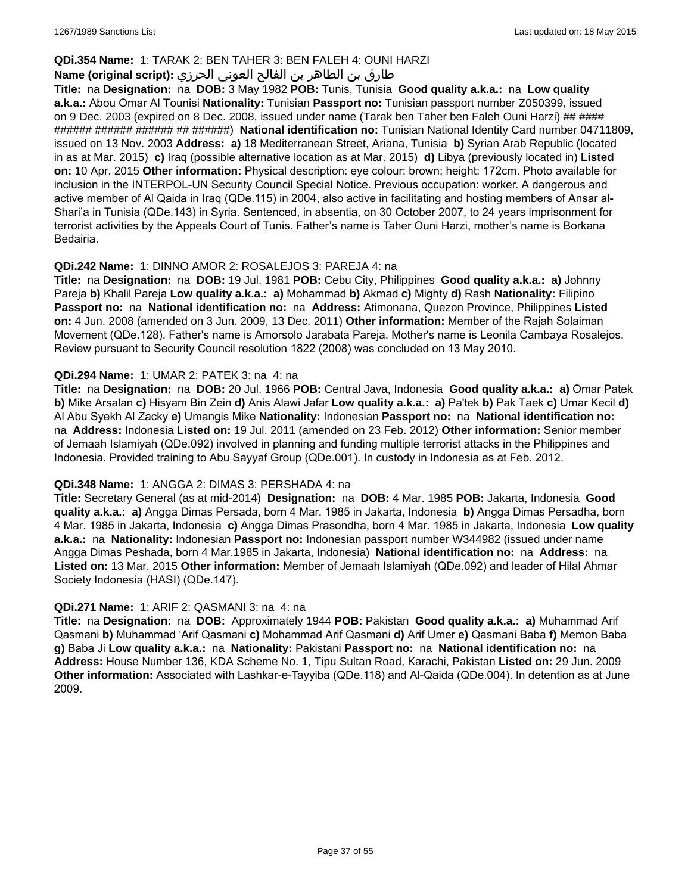### **QDi.354 Name:** 1: TARAK 2: BEN TAHER 3: BEN FALEH 4: OUNI HARZI

# طارق بن الطاھر بن الفالح العوني الحرزي **:(script original (Name**

**Title:** na **Designation:** na **DOB:** 3 May 1982 **POB:** Tunis, Tunisia **Good quality a.k.a.:** na **Low quality a.k.a.:** Abou Omar Al Tounisi **Nationality:** Tunisian **Passport no:** Tunisian passport number Z050399, issued on 9 Dec. 2003 (expired on 8 Dec. 2008, issued under name (Tarak ben Taher ben Faleh Ouni Harzi) ## #### ###### ###### ###### ## ######) **National identification no:** Tunisian National Identity Card number 04711809, issued on 13 Nov. 2003 **Address: a)** 18 Mediterranean Street, Ariana, Tunisia **b)** Syrian Arab Republic (located in as at Mar. 2015) **c)** Iraq (possible alternative location as at Mar. 2015) **d)** Libya (previously located in) **Listed on:** 10 Apr. 2015 **Other information:** Physical description: eye colour: brown; height: 172cm. Photo available for inclusion in the INTERPOL-UN Security Council Special Notice. Previous occupation: worker. A dangerous and active member of Al Qaida in Iraq (QDe.115) in 2004, also active in facilitating and hosting members of Ansar al-Shari'a in Tunisia (QDe.143) in Syria. Sentenced, in absentia, on 30 October 2007, to 24 years imprisonment for terrorist activities by the Appeals Court of Tunis. Father's name is Taher Ouni Harzi, mother's name is Borkana Bedairia.

### **QDi.242 Name:** 1: DINNO AMOR 2: ROSALEJOS 3: PAREJA 4: na

**Title:** na **Designation:** na **DOB:** 19 Jul. 1981 **POB:** Cebu City, Philippines **Good quality a.k.a.: a)** Johnny Pareja **b)** Khalil Pareja **Low quality a.k.a.: a)** Mohammad **b)** Akmad **c)** Mighty **d)** Rash **Nationality:** Filipino **Passport no:** na **National identification no:** na **Address:** Atimonana, Quezon Province, Philippines **Listed on:** 4 Jun. 2008 (amended on 3 Jun. 2009, 13 Dec. 2011) **Other information:** Member of the Rajah Solaiman Movement (QDe.128). Father's name is Amorsolo Jarabata Pareja. Mother's name is Leonila Cambaya Rosalejos. Review pursuant to Security Council resolution 1822 (2008) was concluded on 13 May 2010.

### **QDi.294 Name:** 1: UMAR 2: PATEK 3: na 4: na

**Title:** na **Designation:** na **DOB:** 20 Jul. 1966 **POB:** Central Java, Indonesia **Good quality a.k.a.: a)** Omar Patek **b)** Mike Arsalan **c)** Hisyam Bin Zein **d)** Anis Alawi Jafar **Low quality a.k.a.: a)** Pa'tek **b)** Pak Taek **c)** Umar Kecil **d)** Al Abu Syekh Al Zacky **e)** Umangis Mike **Nationality:** Indonesian **Passport no:** na **National identification no:**  na **Address:** Indonesia **Listed on:** 19 Jul. 2011 (amended on 23 Feb. 2012) **Other information:** Senior member of Jemaah Islamiyah (QDe.092) involved in planning and funding multiple terrorist attacks in the Philippines and Indonesia. Provided training to Abu Sayyaf Group (QDe.001). In custody in Indonesia as at Feb. 2012.

#### **QDi.348 Name:** 1: ANGGA 2: DIMAS 3: PERSHADA 4: na

**Title:** Secretary General (as at mid-2014) **Designation:** na **DOB:** 4 Mar. 1985 **POB:** Jakarta, Indonesia **Good quality a.k.a.: a)** Angga Dimas Persada, born 4 Mar. 1985 in Jakarta, Indonesia **b)** Angga Dimas Persadha, born 4 Mar. 1985 in Jakarta, Indonesia **c)** Angga Dimas Prasondha, born 4 Mar. 1985 in Jakarta, Indonesia **Low quality a.k.a.:** na **Nationality:** Indonesian **Passport no:** Indonesian passport number W344982 (issued under name Angga Dimas Peshada, born 4 Mar.1985 in Jakarta, Indonesia) **National identification no:** na **Address:** na **Listed on:** 13 Mar. 2015 **Other information:** Member of Jemaah Islamiyah (QDe.092) and leader of Hilal Ahmar Society Indonesia (HASI) (QDe.147).

#### **QDi.271 Name:** 1: ARIF 2: QASMANI 3: na 4: na

**Title:** na **Designation:** na **DOB:** Approximately 1944 **POB:** Pakistan **Good quality a.k.a.: a)** Muhammad Arif Qasmani **b)** Muhammad 'Arif Qasmani **c)** Mohammad Arif Qasmani **d)** Arif Umer **e)** Qasmani Baba **f)** Memon Baba **g)** Baba Ji **Low quality a.k.a.:** na **Nationality:** Pakistani **Passport no:** na **National identification no:** na **Address:** House Number 136, KDA Scheme No. 1, Tipu Sultan Road, Karachi, Pakistan **Listed on:** 29 Jun. 2009 **Other information:** Associated with Lashkar-e-Tayyiba (QDe.118) and Al-Qaida (QDe.004). In detention as at June 2009.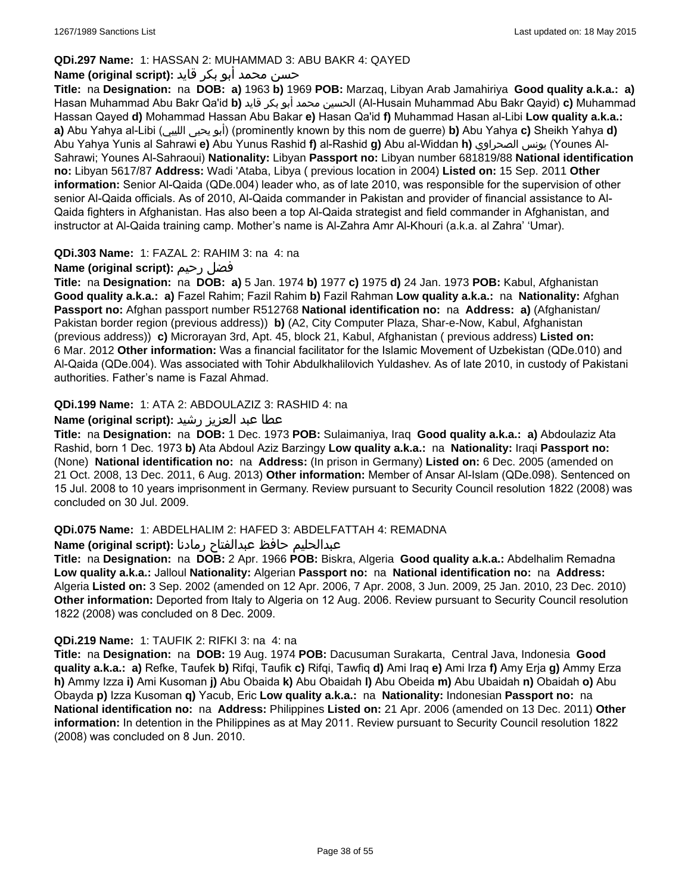### **QDi.297 Name:** 1: HASSAN 2: MUHAMMAD 3: ABU BAKR 4: QAYED

# حسن محمد أبو بكر قايد **:(script original (Name**

**Title:** na **Designation:** na **DOB: a)** 1963 **b)** 1969 **POB:** Marzaq, Libyan Arab Jamahiriya **Good quality a.k.a.: a)** Hasan Muhammad Abu Bakr Qa'id **b)** قايد بكر أبو محمد الحسين) Al-Husain Muhammad Abu Bakr Qayid) **c)** Muhammad Hassan Qayed **d)** Mohammad Hassan Abu Bakar **e)** Hasan Qa'id **f)** Muhammad Hasan al-Libi **Low quality a.k.a.: a)** Abu Yahya al-Libi (الليبي يحيى أبو) (prominently known by this nom de guerre) **b)** Abu Yahya **c)** Sheikh Yahya **d)** Abu Yahya Yunis al Sahrawi **e)** Abu Yunus Rashid **f)** al-Rashid **g)** Abu al-Widdan **h)** الصحراوي يونس) Younes Al-Sahrawi; Younes Al-Sahraoui) **Nationality:** Libyan **Passport no:** Libyan number 681819/88 **National identification no:** Libyan 5617/87 **Address:** Wadi 'Ataba, Libya ( previous location in 2004) **Listed on:** 15 Sep. 2011 **Other information:** Senior Al-Qaida (QDe.004) leader who, as of late 2010, was responsible for the supervision of other senior Al-Qaida officials. As of 2010, Al-Qaida commander in Pakistan and provider of financial assistance to Al-Qaida fighters in Afghanistan. Has also been a top Al-Qaida strategist and field commander in Afghanistan, and instructor at Al-Qaida training camp. Mother's name is Al-Zahra Amr Al-Khouri (a.k.a. al Zahra' 'Umar).

### **QDi.303 Name:** 1: FAZAL 2: RAHIM 3: na 4: na

# **Name (original script):** رحيم فضل

**Title:** na **Designation:** na **DOB: a)** 5 Jan. 1974 **b)** 1977 **c)** 1975 **d)** 24 Jan. 1973 **POB:** Kabul, Afghanistan **Good quality a.k.a.: a)** Fazel Rahim; Fazil Rahim **b)** Fazil Rahman **Low quality a.k.a.:** na **Nationality:** Afghan **Passport no:** Afghan passport number R512768 **National identification no:** na **Address: a)** (Afghanistan/ Pakistan border region (previous address)) **b)** (A2, City Computer Plaza, Shar-e-Now, Kabul, Afghanistan (previous address)) **c)** Microrayan 3rd, Apt. 45, block 21, Kabul, Afghanistan ( previous address) **Listed on:** 6 Mar. 2012 **Other information:** Was a financial facilitator for the Islamic Movement of Uzbekistan (QDe.010) and Al-Qaida (QDe.004). Was associated with Tohir Abdulkhalilovich Yuldashev. As of late 2010, in custody of Pakistani authorities. Father's name is Fazal Ahmad.

### **QDi.199 Name:** 1: ATA 2: ABDOULAZIZ 3: RASHID 4: na

### عطا عبد العزيز رشيد **:(script original (Name**

**Title:** na **Designation:** na **DOB:** 1 Dec. 1973 **POB:** Sulaimaniya, Iraq **Good quality a.k.a.: a)** Abdoulaziz Ata Rashid, born 1 Dec. 1973 **b)** Ata Abdoul Aziz Barzingy **Low quality a.k.a.:** na **Nationality:** Iraqi **Passport no:**  (None) **National identification no:** na **Address:** (In prison in Germany) **Listed on:** 6 Dec. 2005 (amended on 21 Oct. 2008, 13 Dec. 2011, 6 Aug. 2013) **Other information:** Member of Ansar Al-Islam (QDe.098). Sentenced on 15 Jul. 2008 to 10 years imprisonment in Germany. Review pursuant to Security Council resolution 1822 (2008) was concluded on 30 Jul. 2009.

### **QDi.075 Name:** 1: ABDELHALIM 2: HAFED 3: ABDELFATTAH 4: REMADNA

### عبدالحليم حافظ عبدالفتاح رمادنا **:(script original (Name**

**Title:** na **Designation:** na **DOB:** 2 Apr. 1966 **POB:** Biskra, Algeria **Good quality a.k.a.:** Abdelhalim Remadna **Low quality a.k.a.:** Jalloul **Nationality:** Algerian **Passport no:** na **National identification no:** na **Address:** Algeria **Listed on:** 3 Sep. 2002 (amended on 12 Apr. 2006, 7 Apr. 2008, 3 Jun. 2009, 25 Jan. 2010, 23 Dec. 2010) **Other information:** Deported from Italy to Algeria on 12 Aug. 2006. Review pursuant to Security Council resolution 1822 (2008) was concluded on 8 Dec. 2009.

### **QDi.219 Name:** 1: TAUFIK 2: RIFKI 3: na 4: na

**Title:** na **Designation:** na **DOB:** 19 Aug. 1974 **POB:** Dacusuman Surakarta, Central Java, Indonesia **Good quality a.k.a.: a)** Refke, Taufek **b)** Rifqi, Taufik **c)** Rifqi, Tawfiq **d)** Ami Iraq **e)** Ami Irza **f)** Amy Erja **g)** Ammy Erza **h)** Ammy Izza **i)** Ami Kusoman **j)** Abu Obaida **k)** Abu Obaidah **l)** Abu Obeida **m)** Abu Ubaidah **n)** Obaidah **o)** Abu Obayda **p)** Izza Kusoman **q)** Yacub, Eric **Low quality a.k.a.:** na **Nationality:** Indonesian **Passport no:** na **National identification no:** na **Address:** Philippines **Listed on:** 21 Apr. 2006 (amended on 13 Dec. 2011) **Other information:** In detention in the Philippines as at May 2011. Review pursuant to Security Council resolution 1822 (2008) was concluded on 8 Jun. 2010.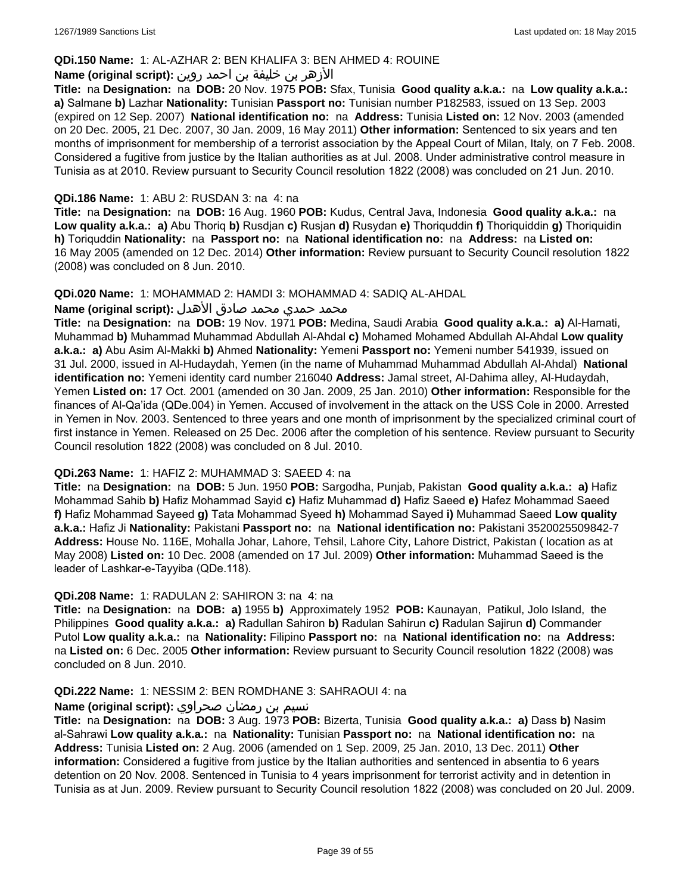### **QDi.150 Name:** 1: AL-AZHAR 2: BEN KHALIFA 3: BEN AHMED 4: ROUINE

### الأزهر بن خليفة بن احمد روين **:(script original (Name**

**Title:** na **Designation:** na **DOB:** 20 Nov. 1975 **POB:** Sfax, Tunisia **Good quality a.k.a.:** na **Low quality a.k.a.: a)** Salmane **b)** Lazhar **Nationality:** Tunisian **Passport no:** Tunisian number P182583, issued on 13 Sep. 2003 (expired on 12 Sep. 2007) **National identification no:** na **Address:** Tunisia **Listed on:** 12 Nov. 2003 (amended on 20 Dec. 2005, 21 Dec. 2007, 30 Jan. 2009, 16 May 2011) **Other information:** Sentenced to six years and ten months of imprisonment for membership of a terrorist association by the Appeal Court of Milan, Italy, on 7 Feb. 2008. Considered a fugitive from justice by the Italian authorities as at Jul. 2008. Under administrative control measure in Tunisia as at 2010. Review pursuant to Security Council resolution 1822 (2008) was concluded on 21 Jun. 2010.

### **QDi.186 Name:** 1: ABU 2: RUSDAN 3: na 4: na

**Title:** na **Designation:** na **DOB:** 16 Aug. 1960 **POB:** Kudus, Central Java, Indonesia **Good quality a.k.a.:** na **Low quality a.k.a.: a)** Abu Thoriq **b)** Rusdjan **c)** Rusjan **d)** Rusydan **e)** Thoriquddin **f)** Thoriquiddin **g)** Thoriquidin **h)** Toriquddin **Nationality:** na **Passport no:** na **National identification no:** na **Address:** na **Listed on:** 16 May 2005 (amended on 12 Dec. 2014) **Other information:** Review pursuant to Security Council resolution 1822 (2008) was concluded on 8 Jun. 2010.

#### **QDi.020 Name:** 1: MOHAMMAD 2: HAMDI 3: MOHAMMAD 4: SADIQ AL-AHDAL

#### محمد حمدي محمد صادق الأهدل **:Name (original script**)

**Title:** na **Designation:** na **DOB:** 19 Nov. 1971 **POB:** Medina, Saudi Arabia **Good quality a.k.a.: a)** Al-Hamati, Muhammad **b)** Muhammad Muhammad Abdullah Al-Ahdal **c)** Mohamed Mohamed Abdullah Al-Ahdal **Low quality a.k.a.: a)** Abu Asim Al-Makki **b)** Ahmed **Nationality:** Yemeni **Passport no:** Yemeni number 541939, issued on 31 Jul. 2000, issued in Al-Hudaydah, Yemen (in the name of Muhammad Muhammad Abdullah Al-Ahdal) **National identification no:** Yemeni identity card number 216040 **Address:** Jamal street, Al-Dahima alley, Al-Hudaydah, Yemen **Listed on:** 17 Oct. 2001 (amended on 30 Jan. 2009, 25 Jan. 2010) **Other information:** Responsible for the finances of Al-Qa'ida (QDe.004) in Yemen. Accused of involvement in the attack on the USS Cole in 2000. Arrested in Yemen in Nov. 2003. Sentenced to three years and one month of imprisonment by the specialized criminal court of first instance in Yemen. Released on 25 Dec. 2006 after the completion of his sentence. Review pursuant to Security Council resolution 1822 (2008) was concluded on 8 Jul. 2010.

#### **QDi.263 Name:** 1: HAFIZ 2: MUHAMMAD 3: SAEED 4: na

**Title:** na **Designation:** na **DOB:** 5 Jun. 1950 **POB:** Sargodha, Punjab, Pakistan **Good quality a.k.a.: a)** Hafiz Mohammad Sahib **b)** Hafiz Mohammad Sayid **c)** Hafiz Muhammad **d)** Hafiz Saeed **e)** Hafez Mohammad Saeed **f)** Hafiz Mohammad Sayeed **g)** Tata Mohammad Syeed **h)** Mohammad Sayed **i)** Muhammad Saeed **Low quality a.k.a.:** Hafiz Ji **Nationality:** Pakistani **Passport no:** na **National identification no:** Pakistani 3520025509842-7 **Address:** House No. 116E, Mohalla Johar, Lahore, Tehsil, Lahore City, Lahore District, Pakistan ( location as at May 2008) **Listed on:** 10 Dec. 2008 (amended on 17 Jul. 2009) **Other information:** Muhammad Saeed is the leader of Lashkar-e-Tayyiba (QDe.118).

#### **QDi.208 Name:** 1: RADULAN 2: SAHIRON 3: na 4: na

**Title:** na **Designation:** na **DOB: a)** 1955 **b)** Approximately 1952 **POB:** Kaunayan, Patikul, Jolo Island, the Philippines **Good quality a.k.a.: a)** Radullan Sahiron **b)** Radulan Sahirun **c)** Radulan Sajirun **d)** Commander Putol **Low quality a.k.a.:** na **Nationality:** Filipino **Passport no:** na **National identification no:** na **Address:**  na **Listed on:** 6 Dec. 2005 **Other information:** Review pursuant to Security Council resolution 1822 (2008) was concluded on 8 Jun. 2010.

#### **QDi.222 Name:** 1: NESSIM 2: BEN ROMDHANE 3: SAHRAOUI 4: na

#### نسيم بن رمضان صحراوي **:(script original (Name**

**Title:** na **Designation:** na **DOB:** 3 Aug. 1973 **POB:** Bizerta, Tunisia **Good quality a.k.a.: a)** Dass **b)** Nasim al-Sahrawi **Low quality a.k.a.:** na **Nationality:** Tunisian **Passport no:** na **National identification no:** na **Address:** Tunisia **Listed on:** 2 Aug. 2006 (amended on 1 Sep. 2009, 25 Jan. 2010, 13 Dec. 2011) **Other information:** Considered a fugitive from justice by the Italian authorities and sentenced in absentia to 6 years detention on 20 Nov. 2008. Sentenced in Tunisia to 4 years imprisonment for terrorist activity and in detention in Tunisia as at Jun. 2009. Review pursuant to Security Council resolution 1822 (2008) was concluded on 20 Jul. 2009.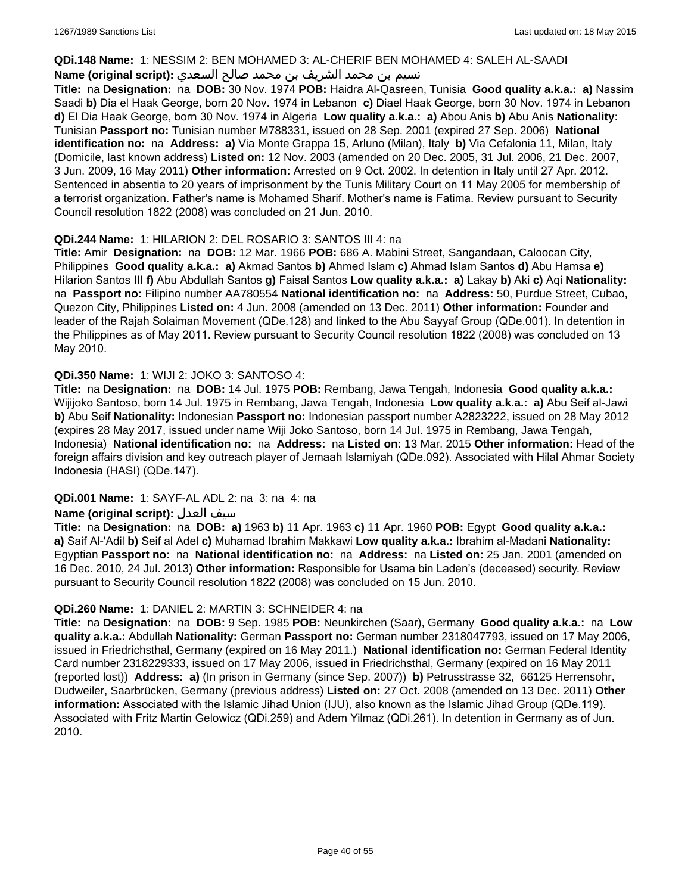#### **QDi.148 Name:** 1: NESSIM 2: BEN MOHAMED 3: AL-CHERIF BEN MOHAMED 4: SALEH AL-SAADI

### نسيم بن محمد الشريف بن محمد صالح السعدي **:Name (original script**)

**Title:** na **Designation:** na **DOB:** 30 Nov. 1974 **POB:** Haidra Al-Qasreen, Tunisia **Good quality a.k.a.: a)** Nassim Saadi **b)** Dia el Haak George, born 20 Nov. 1974 in Lebanon **c)** Diael Haak George, born 30 Nov. 1974 in Lebanon **d)** El Dia Haak George, born 30 Nov. 1974 in Algeria **Low quality a.k.a.: a)** Abou Anis **b)** Abu Anis **Nationality:** Tunisian **Passport no:** Tunisian number M788331, issued on 28 Sep. 2001 (expired 27 Sep. 2006) **National identification no:** na **Address: a)** Via Monte Grappa 15, Arluno (Milan), Italy **b)** Via Cefalonia 11, Milan, Italy (Domicile, last known address) **Listed on:** 12 Nov. 2003 (amended on 20 Dec. 2005, 31 Jul. 2006, 21 Dec. 2007, 3 Jun. 2009, 16 May 2011) **Other information:** Arrested on 9 Oct. 2002. In detention in Italy until 27 Apr. 2012. Sentenced in absentia to 20 years of imprisonment by the Tunis Military Court on 11 May 2005 for membership of a terrorist organization. Father's name is Mohamed Sharif. Mother's name is Fatima. Review pursuant to Security Council resolution 1822 (2008) was concluded on 21 Jun. 2010.

### **QDi.244 Name:** 1: HILARION 2: DEL ROSARIO 3: SANTOS III 4: na

**Title:** Amir **Designation:** na **DOB:** 12 Mar. 1966 **POB:** 686 A. Mabini Street, Sangandaan, Caloocan City, Philippines **Good quality a.k.a.: a)** Akmad Santos **b)** Ahmed Islam **c)** Ahmad Islam Santos **d)** Abu Hamsa **e)** Hilarion Santos III **f)** Abu Abdullah Santos **g)** Faisal Santos **Low quality a.k.a.: a)** Lakay **b)** Aki **c)** Aqi **Nationality:**  na **Passport no:** Filipino number AA780554 **National identification no:** na **Address:** 50, Purdue Street, Cubao, Quezon City, Philippines **Listed on:** 4 Jun. 2008 (amended on 13 Dec. 2011) **Other information:** Founder and leader of the Rajah Solaiman Movement (QDe.128) and linked to the Abu Sayyaf Group (QDe.001). In detention in the Philippines as of May 2011. Review pursuant to Security Council resolution 1822 (2008) was concluded on 13 May 2010.

### **QDi.350 Name:** 1: WIJI 2: JOKO 3: SANTOSO 4:

**Title:** na **Designation:** na **DOB:** 14 Jul. 1975 **POB:** Rembang, Jawa Tengah, Indonesia **Good quality a.k.a.:** Wijijoko Santoso, born 14 Jul. 1975 in Rembang, Jawa Tengah, Indonesia **Low quality a.k.a.: a)** Abu Seif al-Jawi **b)** Abu Seif **Nationality:** Indonesian **Passport no:** Indonesian passport number A2823222, issued on 28 May 2012 (expires 28 May 2017, issued under name Wiji Joko Santoso, born 14 Jul. 1975 in Rembang, Jawa Tengah, Indonesia) **National identification no:** na **Address:** na **Listed on:** 13 Mar. 2015 **Other information:** Head of the foreign affairs division and key outreach player of Jemaah Islamiyah (QDe.092). Associated with Hilal Ahmar Society Indonesia (HASI) (QDe.147).

### **QDi.001 Name:** 1: SAYF-AL ADL 2: na 3: na 4: na

### **Name (original script):** العدل سيف

**Title:** na **Designation:** na **DOB: a)** 1963 **b)** 11 Apr. 1963 **c)** 11 Apr. 1960 **POB:** Egypt **Good quality a.k.a.: a)** Saif Al-'Adil **b)** Seif al Adel **c)** Muhamad Ibrahim Makkawi **Low quality a.k.a.:** Ibrahim al-Madani **Nationality:** Egyptian **Passport no:** na **National identification no:** na **Address:** na **Listed on:** 25 Jan. 2001 (amended on 16 Dec. 2010, 24 Jul. 2013) **Other information:** Responsible for Usama bin Laden's (deceased) security. Review pursuant to Security Council resolution 1822 (2008) was concluded on 15 Jun. 2010.

### **QDi.260 Name:** 1: DANIEL 2: MARTIN 3: SCHNEIDER 4: na

**Title:** na **Designation:** na **DOB:** 9 Sep. 1985 **POB:** Neunkirchen (Saar), Germany **Good quality a.k.a.:** na **Low quality a.k.a.:** Abdullah **Nationality:** German **Passport no:** German number 2318047793, issued on 17 May 2006, issued in Friedrichsthal, Germany (expired on 16 May 2011.) **National identification no:** German Federal Identity Card number 2318229333, issued on 17 May 2006, issued in Friedrichsthal, Germany (expired on 16 May 2011 (reported lost)) **Address: a)** (In prison in Germany (since Sep. 2007)) **b)** Petrusstrasse 32, 66125 Herrensohr, Dudweiler, Saarbrücken, Germany (previous address) **Listed on:** 27 Oct. 2008 (amended on 13 Dec. 2011) **Other information:** Associated with the Islamic Jihad Union (IJU), also known as the Islamic Jihad Group (QDe.119). Associated with Fritz Martin Gelowicz (QDi.259) and Adem Yilmaz (QDi.261). In detention in Germany as of Jun. 2010.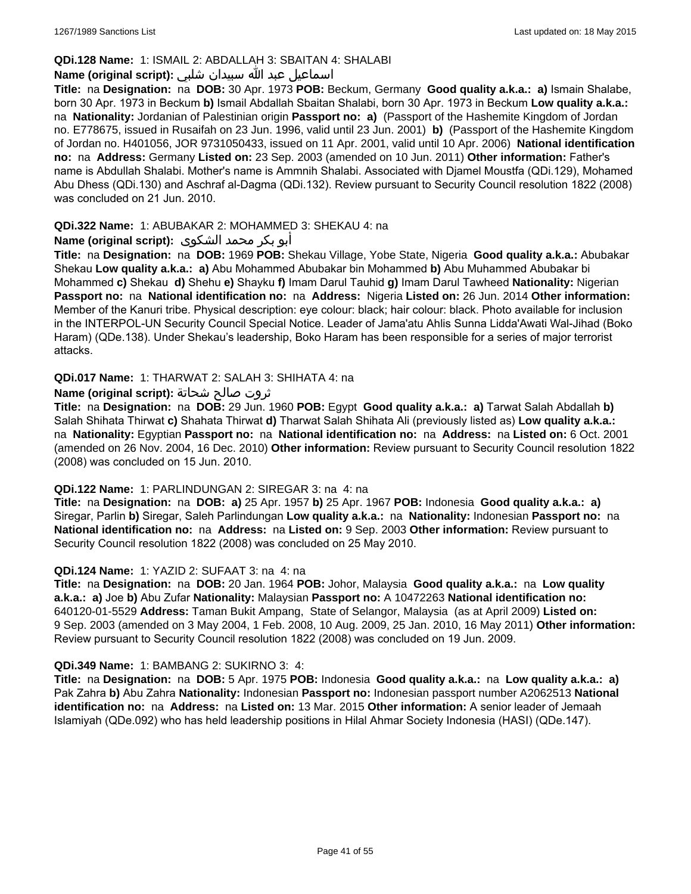### **QDi.128 Name:** 1: ISMAIL 2: ABDALLAH 3: SBAITAN 4: SHALABI

### اسماعيل عبد الله سبيدان شلبي **:(script original (Name**

**Title:** na **Designation:** na **DOB:** 30 Apr. 1973 **POB:** Beckum, Germany **Good quality a.k.a.: a)** Ismain Shalabe, born 30 Apr. 1973 in Beckum **b)** Ismail Abdallah Sbaitan Shalabi, born 30 Apr. 1973 in Beckum **Low quality a.k.a.:**  na **Nationality:** Jordanian of Palestinian origin **Passport no: a)** (Passport of the Hashemite Kingdom of Jordan no. E778675, issued in Rusaifah on 23 Jun. 1996, valid until 23 Jun. 2001) **b)** (Passport of the Hashemite Kingdom of Jordan no. H401056, JOR 9731050433, issued on 11 Apr. 2001, valid until 10 Apr. 2006) **National identification no:** na **Address:** Germany **Listed on:** 23 Sep. 2003 (amended on 10 Jun. 2011) **Other information:** Father's name is Abdullah Shalabi. Mother's name is Ammnih Shalabi. Associated with Djamel Moustfa (QDi.129), Mohamed Abu Dhess (QDi.130) and Aschraf al-Dagma (QDi.132). Review pursuant to Security Council resolution 1822 (2008) was concluded on 21 Jun. 2010.

### **QDi.322 Name:** 1: ABUBAKAR 2: MOHAMMED 3: SHEKAU 4: na

### أبو بكر محمد الشكوى **:(script original (Name**

**Title:** na **Designation:** na **DOB:** 1969 **POB:** Shekau Village, Yobe State, Nigeria **Good quality a.k.a.:** Abubakar Shekau **Low quality a.k.a.: a)** Abu Mohammed Abubakar bin Mohammed **b)** Abu Muhammed Abubakar bi Mohammed **c)** Shekau **d)** Shehu **e)** Shayku **f)** Imam Darul Tauhid **g)** Imam Darul Tawheed **Nationality:** Nigerian **Passport no:** na **National identification no:** na **Address:** Nigeria **Listed on:** 26 Jun. 2014 **Other information:** Member of the Kanuri tribe. Physical description: eye colour: black; hair colour: black. Photo available for inclusion in the INTERPOL-UN Security Council Special Notice. Leader of Jama'atu Ahlis Sunna Lidda'Awati Wal-Jihad (Boko Haram) (QDe.138). Under Shekau's leadership, Boko Haram has been responsible for a series of major terrorist attacks.

### **QDi.017 Name:** 1: THARWAT 2: SALAH 3: SHIHATA 4: na

### ثروت صالح شحاتة **:(script original (Name**

**Title:** na **Designation:** na **DOB:** 29 Jun. 1960 **POB:** Egypt **Good quality a.k.a.: a)** Tarwat Salah Abdallah **b)** Salah Shihata Thirwat **c)** Shahata Thirwat **d)** Tharwat Salah Shihata Ali (previously listed as) **Low quality a.k.a.:**  na **Nationality:** Egyptian **Passport no:** na **National identification no:** na **Address:** na **Listed on:** 6 Oct. 2001 (amended on 26 Nov. 2004, 16 Dec. 2010) **Other information:** Review pursuant to Security Council resolution 1822 (2008) was concluded on 15 Jun. 2010.

#### **QDi.122 Name:** 1: PARLINDUNGAN 2: SIREGAR 3: na 4: na

**Title:** na **Designation:** na **DOB: a)** 25 Apr. 1957 **b)** 25 Apr. 1967 **POB:** Indonesia **Good quality a.k.a.: a)** Siregar, Parlin **b)** Siregar, Saleh Parlindungan **Low quality a.k.a.:** na **Nationality:** Indonesian **Passport no:** na **National identification no:** na **Address:** na **Listed on:** 9 Sep. 2003 **Other information:** Review pursuant to Security Council resolution 1822 (2008) was concluded on 25 May 2010.

#### **QDi.124 Name:** 1: YAZID 2: SUFAAT 3: na 4: na

**Title:** na **Designation:** na **DOB:** 20 Jan. 1964 **POB:** Johor, Malaysia **Good quality a.k.a.:** na **Low quality a.k.a.: a)** Joe **b)** Abu Zufar **Nationality:** Malaysian **Passport no:** A 10472263 **National identification no:** 640120-01-5529 **Address:** Taman Bukit Ampang, State of Selangor, Malaysia (as at April 2009) **Listed on:** 9 Sep. 2003 (amended on 3 May 2004, 1 Feb. 2008, 10 Aug. 2009, 25 Jan. 2010, 16 May 2011) **Other information:** Review pursuant to Security Council resolution 1822 (2008) was concluded on 19 Jun. 2009.

#### **QDi.349 Name:** 1: BAMBANG 2: SUKIRNO 3: 4:

**Title:** na **Designation:** na **DOB:** 5 Apr. 1975 **POB:** Indonesia **Good quality a.k.a.:** na **Low quality a.k.a.: a)** Pak Zahra **b)** Abu Zahra **Nationality:** Indonesian **Passport no:** Indonesian passport number A2062513 **National identification no:** na **Address:** na **Listed on:** 13 Mar. 2015 **Other information:** A senior leader of Jemaah Islamiyah (QDe.092) who has held leadership positions in Hilal Ahmar Society Indonesia (HASI) (QDe.147).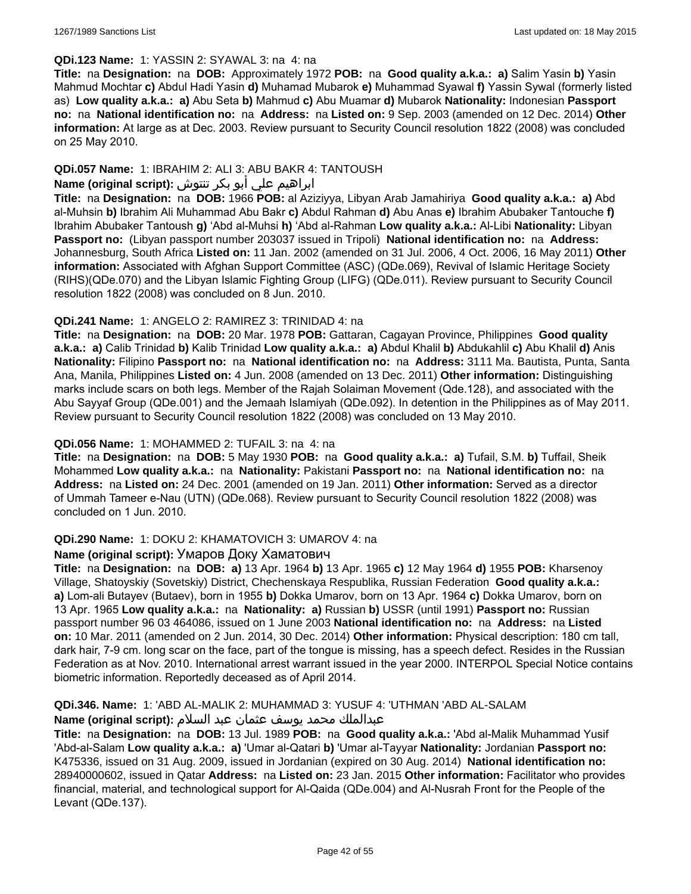#### **QDi.123 Name:** 1: YASSIN 2: SYAWAL 3: na 4: na

**Title:** na **Designation:** na **DOB:** Approximately 1972 **POB:** na **Good quality a.k.a.: a)** Salim Yasin **b)** Yasin Mahmud Mochtar **c)** Abdul Hadi Yasin **d)** Muhamad Mubarok **e)** Muhammad Syawal **f)** Yassin Sywal (formerly listed as) **Low quality a.k.a.: a)** Abu Seta **b)** Mahmud **c)** Abu Muamar **d)** Mubarok **Nationality:** Indonesian **Passport no:** na **National identification no:** na **Address:** na **Listed on:** 9 Sep. 2003 (amended on 12 Dec. 2014) **Other information:** At large as at Dec. 2003. Review pursuant to Security Council resolution 1822 (2008) was concluded on 25 May 2010.

### **QDi.057 Name:** 1: IBRAHIM 2: ALI 3: ABU BAKR 4: TANTOUSH

# ابراهيم علي أبو بكر تنتوش **:(script original (Name**

**Title:** na **Designation:** na **DOB:** 1966 **POB:** al Aziziyya, Libyan Arab Jamahiriya **Good quality a.k.a.: a)** Abd al-Muhsin **b)** Ibrahim Ali Muhammad Abu Bakr **c)** Abdul Rahman **d)** Abu Anas **e)** Ibrahim Abubaker Tantouche **f)** Ibrahim Abubaker Tantoush **g)** 'Abd al-Muhsi **h)** 'Abd al-Rahman **Low quality a.k.a.:** Al-Libi **Nationality:** Libyan **Passport no:** (Libyan passport number 203037 issued in Tripoli) **National identification no:** na **Address:** Johannesburg, South Africa **Listed on:** 11 Jan. 2002 (amended on 31 Jul. 2006, 4 Oct. 2006, 16 May 2011) **Other information:** Associated with Afghan Support Committee (ASC) (QDe.069), Revival of Islamic Heritage Society (RIHS)(QDe.070) and the Libyan Islamic Fighting Group (LIFG) (QDe.011). Review pursuant to Security Council resolution 1822 (2008) was concluded on 8 Jun. 2010.

### **QDi.241 Name:** 1: ANGELO 2: RAMIREZ 3: TRINIDAD 4: na

**Title:** na **Designation:** na **DOB:** 20 Mar. 1978 **POB:** Gattaran, Cagayan Province, Philippines **Good quality a.k.a.: a)** Calib Trinidad **b)** Kalib Trinidad **Low quality a.k.a.: a)** Abdul Khalil **b)** Abdukahlil **c)** Abu Khalil **d)** Anis **Nationality:** Filipino **Passport no:** na **National identification no:** na **Address:** 3111 Ma. Bautista, Punta, Santa Ana, Manila, Philippines **Listed on:** 4 Jun. 2008 (amended on 13 Dec. 2011) **Other information:** Distinguishing marks include scars on both legs. Member of the Rajah Solaiman Movement (Qde.128), and associated with the Abu Sayyaf Group (QDe.001) and the Jemaah Islamiyah (QDe.092). In detention in the Philippines as of May 2011. Review pursuant to Security Council resolution 1822 (2008) was concluded on 13 May 2010.

### **QDi.056 Name:** 1: MOHAMMED 2: TUFAIL 3: na 4: na

**Title:** na **Designation:** na **DOB:** 5 May 1930 **POB:** na **Good quality a.k.a.: a)** Tufail, S.M. **b)** Tuffail, Sheik Mohammed **Low quality a.k.a.:** na **Nationality:** Pakistani **Passport no:** na **National identification no:** na **Address:** na **Listed on:** 24 Dec. 2001 (amended on 19 Jan. 2011) **Other information:** Served as a director of Ummah Tameer e-Nau (UTN) (QDe.068). Review pursuant to Security Council resolution 1822 (2008) was concluded on 1 Jun. 2010.

#### **QDi.290 Name:** 1: DOKU 2: KHAMATOVICH 3: UMAROV 4: na

#### **Name (original script):** Умаров Доку Хаматович

**Title:** na **Designation:** na **DOB: a)** 13 Apr. 1964 **b)** 13 Apr. 1965 **c)** 12 May 1964 **d)** 1955 **POB:** Kharsenoy Village, Shatoyskiy (Sovetskiy) District, Chechenskaya Respublika, Russian Federation **Good quality a.k.a.: a)** Lom-ali Butayev (Butaev), born in 1955 **b)** Dokka Umarov, born on 13 Apr. 1964 **c)** Dokka Umarov, born on 13 Apr. 1965 **Low quality a.k.a.:** na **Nationality: a)** Russian **b)** USSR (until 1991) **Passport no:** Russian passport number 96 03 464086, issued on 1 June 2003 **National identification no:** na **Address:** na **Listed on:** 10 Mar. 2011 (amended on 2 Jun. 2014, 30 Dec. 2014) **Other information:** Physical description: 180 cm tall, dark hair, 7-9 cm. long scar on the face, part of the tongue is missing, has a speech defect. Resides in the Russian Federation as at Nov. 2010. International arrest warrant issued in the year 2000. INTERPOL Special Notice contains biometric information. Reportedly deceased as of April 2014.

### **QDi.346. Name:** 1: 'ABD AL-MALIK 2: MUHAMMAD 3: YUSUF 4: 'UTHMAN 'ABD AL-SALAM

### عبدالملك محمد يوسف عثمان عبد السلام **:(script original (Name**

**Title:** na **Designation:** na **DOB:** 13 Jul. 1989 **POB:** na **Good quality a.k.a.:** 'Abd al-Malik Muhammad Yusif 'Abd-al-Salam **Low quality a.k.a.: a)** 'Umar al-Qatari **b)** 'Umar al-Tayyar **Nationality:** Jordanian **Passport no:** K475336, issued on 31 Aug. 2009, issued in Jordanian (expired on 30 Aug. 2014) **National identification no:** 28940000602, issued in Qatar **Address:** na **Listed on:** 23 Jan. 2015 **Other information:** Facilitator who provides financial, material, and technological support for Al-Qaida (QDe.004) and Al-Nusrah Front for the People of the Levant (QDe.137).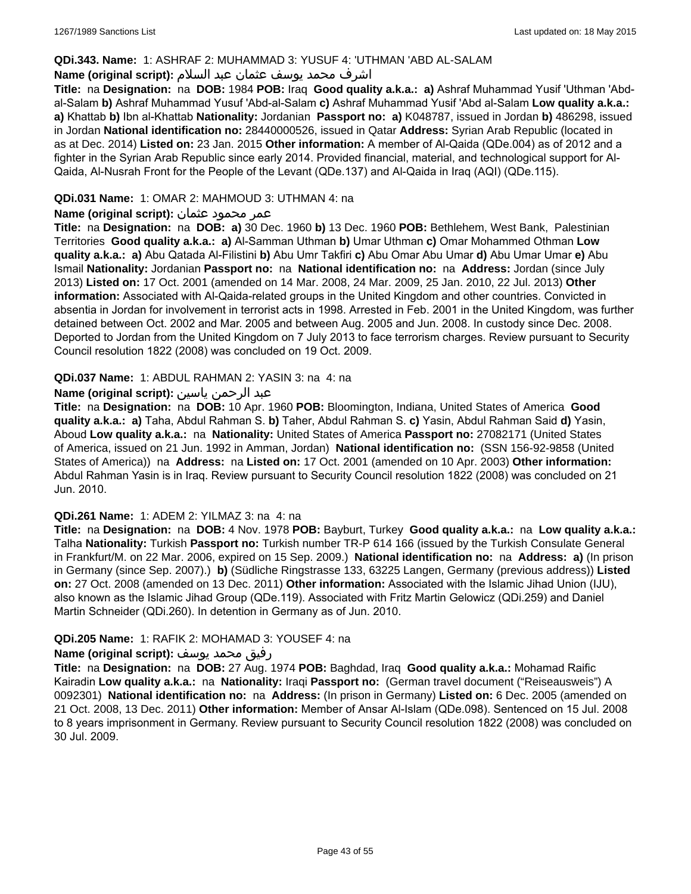### **QDi.343. Name:** 1: ASHRAF 2: MUHAMMAD 3: YUSUF 4: 'UTHMAN 'ABD AL-SALAM

### اشرف محمد يوسف عثمان عبد السلام **:(script original (Name**

**Title:** na **Designation:** na **DOB:** 1984 **POB:** Iraq **Good quality a.k.a.: a)** Ashraf Muhammad Yusif 'Uthman 'Abdal-Salam **b)** Ashraf Muhammad Yusuf 'Abd-al-Salam **c)** Ashraf Muhammad Yusif 'Abd al-Salam **Low quality a.k.a.: a)** Khattab **b)** Ibn al-Khattab **Nationality:** Jordanian **Passport no: a)** K048787, issued in Jordan **b)** 486298, issued in Jordan **National identification no:** 28440000526, issued in Qatar **Address:** Syrian Arab Republic (located in as at Dec. 2014) **Listed on:** 23 Jan. 2015 **Other information:** A member of Al-Qaida (QDe.004) as of 2012 and a fighter in the Syrian Arab Republic since early 2014. Provided financial, material, and technological support for Al-Qaida, Al-Nusrah Front for the People of the Levant (QDe.137) and Al-Qaida in Iraq (AQI) (QDe.115).

### **QDi.031 Name:** 1: OMAR 2: MAHMOUD 3: UTHMAN 4: na

#### عمر محمود عثمان **:(script original (Name**

**Title:** na **Designation:** na **DOB: a)** 30 Dec. 1960 **b)** 13 Dec. 1960 **POB:** Bethlehem, West Bank, Palestinian Territories **Good quality a.k.a.: a)** Al-Samman Uthman **b)** Umar Uthman **c)** Omar Mohammed Othman **Low quality a.k.a.: a)** Abu Qatada Al-Filistini **b)** Abu Umr Takfiri **c)** Abu Omar Abu Umar **d)** Abu Umar Umar **e)** Abu Ismail **Nationality:** Jordanian **Passport no:** na **National identification no:** na **Address:** Jordan (since July 2013) **Listed on:** 17 Oct. 2001 (amended on 14 Mar. 2008, 24 Mar. 2009, 25 Jan. 2010, 22 Jul. 2013) **Other information:** Associated with Al-Qaida-related groups in the United Kingdom and other countries. Convicted in absentia in Jordan for involvement in terrorist acts in 1998. Arrested in Feb. 2001 in the United Kingdom, was further detained between Oct. 2002 and Mar. 2005 and between Aug. 2005 and Jun. 2008. In custody since Dec. 2008. Deported to Jordan from the United Kingdom on 7 July 2013 to face terrorism charges. Review pursuant to Security Council resolution 1822 (2008) was concluded on 19 Oct. 2009.

### **QDi.037 Name:** 1: ABDUL RAHMAN 2: YASIN 3: na 4: na

### عبد الرحمن ياسين **:(script original (Name**

**Title:** na **Designation:** na **DOB:** 10 Apr. 1960 **POB:** Bloomington, Indiana, United States of America **Good quality a.k.a.: a)** Taha, Abdul Rahman S. **b)** Taher, Abdul Rahman S. **c)** Yasin, Abdul Rahman Said **d)** Yasin, Aboud **Low quality a.k.a.:** na **Nationality:** United States of America **Passport no:** 27082171 (United States of America, issued on 21 Jun. 1992 in Amman, Jordan) **National identification no:** (SSN 156-92-9858 (United States of America)) na **Address:** na **Listed on:** 17 Oct. 2001 (amended on 10 Apr. 2003) **Other information:** Abdul Rahman Yasin is in Iraq. Review pursuant to Security Council resolution 1822 (2008) was concluded on 21 Jun. 2010.

#### **QDi.261 Name:** 1: ADEM 2: YILMAZ 3: na 4: na

**Title:** na **Designation:** na **DOB:** 4 Nov. 1978 **POB:** Bayburt, Turkey **Good quality a.k.a.:** na **Low quality a.k.a.:** Talha **Nationality:** Turkish **Passport no:** Turkish number TR-P 614 166 (issued by the Turkish Consulate General in Frankfurt/M. on 22 Mar. 2006, expired on 15 Sep. 2009.) **National identification no:** na **Address: a)** (In prison in Germany (since Sep. 2007).) **b)** (Südliche Ringstrasse 133, 63225 Langen, Germany (previous address)) **Listed on:** 27 Oct. 2008 (amended on 13 Dec. 2011) **Other information:** Associated with the Islamic Jihad Union (IJU), also known as the Islamic Jihad Group (QDe.119). Associated with Fritz Martin Gelowicz (QDi.259) and Daniel Martin Schneider (QDi.260). In detention in Germany as of Jun. 2010.

#### **QDi.205 Name:** 1: RAFIK 2: MOHAMAD 3: YOUSEF 4: na

#### رفيق محمد يوسف **:(script original (Name**

**Title:** na **Designation:** na **DOB:** 27 Aug. 1974 **POB:** Baghdad, Iraq **Good quality a.k.a.:** Mohamad Raific Kairadin **Low quality a.k.a.:** na **Nationality:** Iraqi **Passport no:** (German travel document ("Reiseausweis") A 0092301) **National identification no:** na **Address:** (In prison in Germany) **Listed on:** 6 Dec. 2005 (amended on 21 Oct. 2008, 13 Dec. 2011) **Other information:** Member of Ansar Al-Islam (QDe.098). Sentenced on 15 Jul. 2008 to 8 years imprisonment in Germany. Review pursuant to Security Council resolution 1822 (2008) was concluded on 30 Jul. 2009.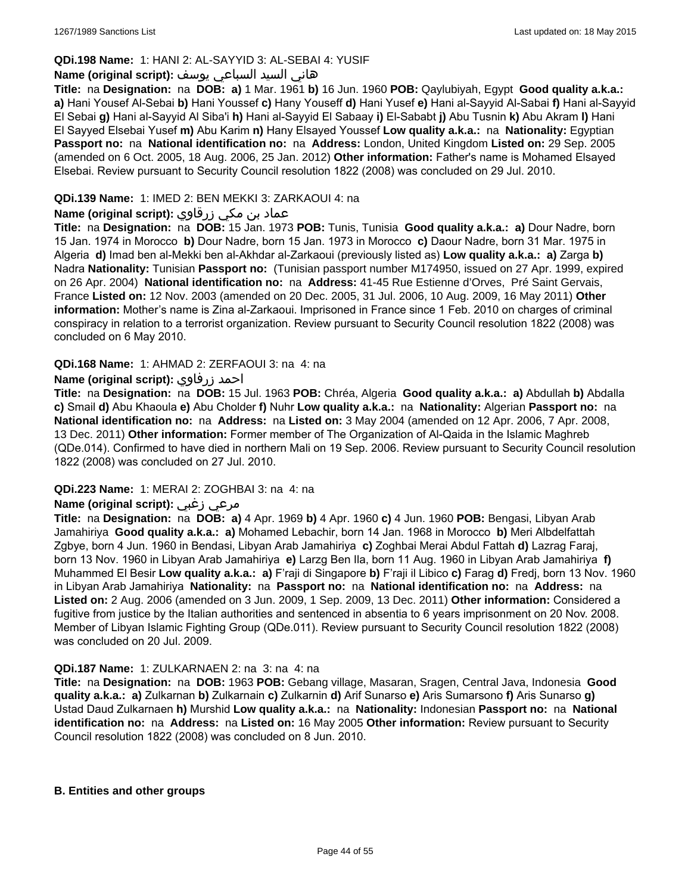### **QDi.198 Name:** 1: HANI 2: AL-SAYYID 3: AL-SEBAI 4: YUSIF

### هاني السيد السباعي يوسف **:(script original (Name**

**Title:** na **Designation:** na **DOB: a)** 1 Mar. 1961 **b)** 16 Jun. 1960 **POB:** Qaylubiyah, Egypt **Good quality a.k.a.: a)** Hani Yousef Al-Sebai **b)** Hani Youssef **c)** Hany Youseff **d)** Hani Yusef **e)** Hani al-Sayyid Al-Sabai **f)** Hani al-Sayyid El Sebai **g)** Hani al-Sayyid Al Siba'i **h)** Hani al-Sayyid El Sabaay **i)** El-Sababt **j)** Abu Tusnin **k)** Abu Akram **l)** Hani El Sayyed Elsebai Yusef **m)** Abu Karim **n)** Hany Elsayed Youssef **Low quality a.k.a.:** na **Nationality:** Egyptian **Passport no:** na **National identification no:** na **Address:** London, United Kingdom **Listed on:** 29 Sep. 2005 (amended on 6 Oct. 2005, 18 Aug. 2006, 25 Jan. 2012) **Other information:** Father's name is Mohamed Elsayed Elsebai. Review pursuant to Security Council resolution 1822 (2008) was concluded on 29 Jul. 2010.

### **QDi.139 Name:** 1: IMED 2: BEN MEKKI 3: ZARKAOUI 4: na

### عماد بن مكي زرقاوي **:(script original (Name**

**Title:** na **Designation:** na **DOB:** 15 Jan. 1973 **POB:** Tunis, Tunisia **Good quality a.k.a.: a)** Dour Nadre, born 15 Jan. 1974 in Morocco **b)** Dour Nadre, born 15 Jan. 1973 in Morocco **c)** Daour Nadre, born 31 Mar. 1975 in Algeria **d)** Imad ben al-Mekki ben al-Akhdar al-Zarkaoui (previously listed as) **Low quality a.k.a.: a)** Zarga **b)** Nadra **Nationality:** Tunisian **Passport no:** (Tunisian passport number M174950, issued on 27 Apr. 1999, expired on 26 Apr. 2004) **National identification no:** na **Address:** 41-45 Rue Estienne d'Orves, Pré Saint Gervais, France **Listed on:** 12 Nov. 2003 (amended on 20 Dec. 2005, 31 Jul. 2006, 10 Aug. 2009, 16 May 2011) **Other information:** Mother's name is Zina al-Zarkaoui. Imprisoned in France since 1 Feb. 2010 on charges of criminal conspiracy in relation to a terrorist organization. Review pursuant to Security Council resolution 1822 (2008) was concluded on 6 May 2010.

### **QDi.168 Name:** 1: AHMAD 2: ZERFAOUI 3: na 4: na

### **Name (original script):** زرفاوي احمد

**Title:** na **Designation:** na **DOB:** 15 Jul. 1963 **POB:** Chréa, Algeria **Good quality a.k.a.: a)** Abdullah **b)** Abdalla **c)** Smail **d)** Abu Khaoula **e)** Abu Cholder **f)** Nuhr **Low quality a.k.a.:** na **Nationality:** Algerian **Passport no:** na **National identification no:** na **Address:** na **Listed on:** 3 May 2004 (amended on 12 Apr. 2006, 7 Apr. 2008, 13 Dec. 2011) **Other information:** Former member of The Organization of Al-Qaida in the Islamic Maghreb (QDe.014). Confirmed to have died in northern Mali on 19 Sep. 2006. Review pursuant to Security Council resolution 1822 (2008) was concluded on 27 Jul. 2010.

#### **QDi.223 Name:** 1: MERAI 2: ZOGHBAI 3: na 4: na

# **Name (original script):** زغبي مرعي

**Title:** na **Designation:** na **DOB: a)** 4 Apr. 1969 **b)** 4 Apr. 1960 **c)** 4 Jun. 1960 **POB:** Bengasi, Libyan Arab Jamahiriya **Good quality a.k.a.: a)** Mohamed Lebachir, born 14 Jan. 1968 in Morocco **b)** Meri Albdelfattah Zgbye, born 4 Jun. 1960 in Bendasi, Libyan Arab Jamahiriya **c)** Zoghbai Merai Abdul Fattah **d)** Lazrag Faraj, born 13 Nov. 1960 in Libyan Arab Jamahiriya **e)** Larzg Ben Ila, born 11 Aug. 1960 in Libyan Arab Jamahiriya **f)** Muhammed El Besir **Low quality a.k.a.: a)** F'raji di Singapore **b)** F'raji il Libico **c)** Farag **d)** Fredj, born 13 Nov. 1960 in Libyan Arab Jamahiriya **Nationality:** na **Passport no:** na **National identification no:** na **Address:** na **Listed on:** 2 Aug. 2006 (amended on 3 Jun. 2009, 1 Sep. 2009, 13 Dec. 2011) **Other information:** Considered a fugitive from justice by the Italian authorities and sentenced in absentia to 6 years imprisonment on 20 Nov. 2008. Member of Libyan Islamic Fighting Group (QDe.011). Review pursuant to Security Council resolution 1822 (2008) was concluded on 20 Jul. 2009.

#### **QDi.187 Name:** 1: ZULKARNAEN 2: na 3: na 4: na

**Title:** na **Designation:** na **DOB:** 1963 **POB:** Gebang village, Masaran, Sragen, Central Java, Indonesia **Good quality a.k.a.: a)** Zulkarnan **b)** Zulkarnain **c)** Zulkarnin **d)** Arif Sunarso **e)** Aris Sumarsono **f)** Aris Sunarso **g)** Ustad Daud Zulkarnaen **h)** Murshid **Low quality a.k.a.:** na **Nationality:** Indonesian **Passport no:** na **National identification no:** na **Address:** na **Listed on:** 16 May 2005 **Other information:** Review pursuant to Security Council resolution 1822 (2008) was concluded on 8 Jun. 2010.

#### **B. Entities and other groups**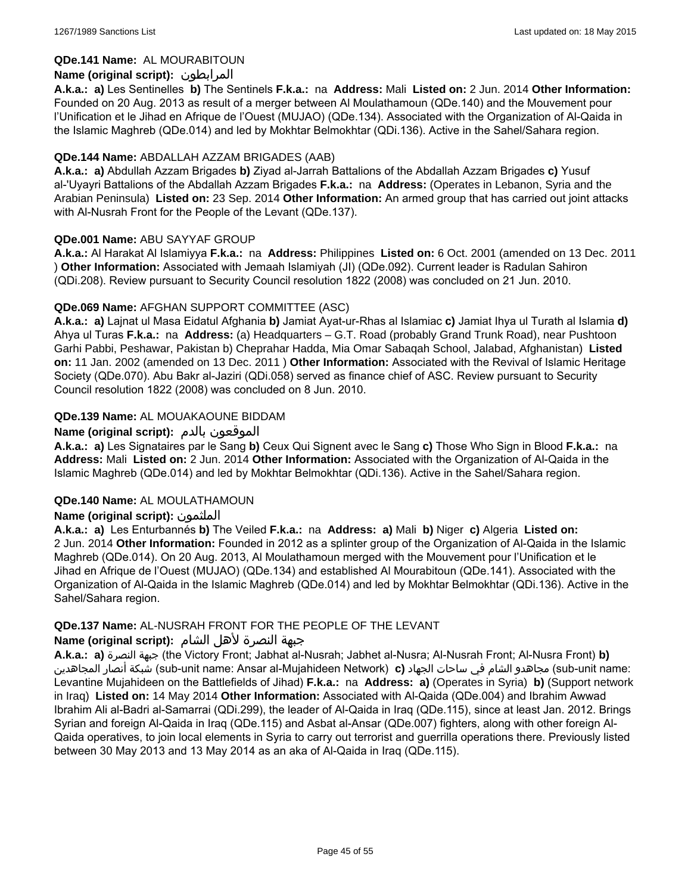### **QDe.141 Name:** AL MOURABITOUN

### **Name (original script):** المرابطون

**A.k.a.: a)** Les Sentinelles **b)** The Sentinels **F.k.a.:** na **Address:** Mali **Listed on:** 2 Jun. 2014 **Other Information:**  Founded on 20 Aug. 2013 as result of a merger between Al Moulathamoun (QDe.140) and the Mouvement pour l'Unification et le Jihad en Afrique de l'Ouest (MUJAO) (QDe.134). Associated with the Organization of Al-Qaida in the Islamic Maghreb (QDe.014) and led by Mokhtar Belmokhtar (QDi.136). Active in the Sahel/Sahara region.

### **QDe.144 Name:** ABDALLAH AZZAM BRIGADES (AAB)

**A.k.a.: a)** Abdullah Azzam Brigades **b)** Ziyad al-Jarrah Battalions of the Abdallah Azzam Brigades **c)** Yusuf al-'Uyayri Battalions of the Abdallah Azzam Brigades **F.k.a.:** na **Address:** (Operates in Lebanon, Syria and the Arabian Peninsula) **Listed on:** 23 Sep. 2014 **Other Information:** An armed group that has carried out joint attacks with Al-Nusrah Front for the People of the Levant (QDe.137).

### **QDe.001 Name:** ABU SAYYAF GROUP

**A.k.a.:** Al Harakat Al Islamiyya **F.k.a.:** na **Address:** Philippines **Listed on:** 6 Oct. 2001 (amended on 13 Dec. 2011 ) **Other Information:** Associated with Jemaah Islamiyah (JI) (QDe.092). Current leader is Radulan Sahiron (QDi.208). Review pursuant to Security Council resolution 1822 (2008) was concluded on 21 Jun. 2010.

### **QDe.069 Name:** AFGHAN SUPPORT COMMITTEE (ASC)

**A.k.a.: a)** Lajnat ul Masa Eidatul Afghania **b)** Jamiat Ayat-ur-Rhas al Islamiac **c)** Jamiat Ihya ul Turath al Islamia **d)** Ahya ul Turas **F.k.a.:** na **Address:** (a) Headquarters – G.T. Road (probably Grand Trunk Road), near Pushtoon Garhi Pabbi, Peshawar, Pakistan b) Cheprahar Hadda, Mia Omar Sabaqah School, Jalabad, Afghanistan) **Listed on:** 11 Jan. 2002 (amended on 13 Dec. 2011 ) **Other Information:** Associated with the Revival of Islamic Heritage Society (QDe.070). Abu Bakr al-Jaziri (QDi.058) served as finance chief of ASC. Review pursuant to Security Council resolution 1822 (2008) was concluded on 8 Jun. 2010.

### **QDe.139 Name:** AL MOUAKAOUNE BIDDAM

### **Name (original script):** بالدم الموقعون

**A.k.a.: a)** Les Signataires par le Sang **b)** Ceux Qui Signent avec le Sang **c)** Those Who Sign in Blood **F.k.a.:** na **Address:** Mali **Listed on:** 2 Jun. 2014 **Other Information:** Associated with the Organization of Al-Qaida in the Islamic Maghreb (QDe.014) and led by Mokhtar Belmokhtar (QDi.136). Active in the Sahel/Sahara region.

#### **QDe.140 Name:** AL MOULATHAMOUN

### **Name (original script):** الملثمون

**A.k.a.: a)** Les Enturbannés **b)** The Veiled **F.k.a.:** na **Address: a)** Mali **b)** Niger **c)** Algeria **Listed on:** 2 Jun. 2014 **Other Information:** Founded in 2012 as a splinter group of the Organization of Al-Qaida in the Islamic Maghreb (QDe.014). On 20 Aug. 2013, Al Moulathamoun merged with the Mouvement pour l'Unification et le Jihad en Afrique de l'Ouest (MUJAO) (QDe.134) and established Al Mourabitoun (QDe.141). Associated with the Organization of Al-Qaida in the Islamic Maghreb (QDe.014) and led by Mokhtar Belmokhtar (QDi.136). Active in the Sahel/Sahara region.

#### **QDe.137 Name:** AL-NUSRAH FRONT FOR THE PEOPLE OF THE LEVANT

#### جبهة النصرة لأهل الشام **:(script original (Name**

**A.k.a.: a)** النصرة جبهة) the Victory Front; Jabhat al-Nusrah; Jabhet al-Nusra; Al-Nusrah Front; Al-Nusra Front) **b)**  المجاهدين أنصار شبكة) sub-unit name: Ansar al-Mujahideen Network) **c)** الجهاد ساحات في الشام مجاهدو) sub-unit name: Levantine Mujahideen on the Battlefields of Jihad) **F.k.a.:** na **Address: a)** (Operates in Syria) **b)** (Support network in Iraq) **Listed on:** 14 May 2014 **Other Information:** Associated with Al-Qaida (QDe.004) and Ibrahim Awwad Ibrahim Ali al-Badri al-Samarrai (QDi.299), the leader of Al-Qaida in Iraq (QDe.115), since at least Jan. 2012. Brings Syrian and foreign Al-Qaida in Iraq (QDe.115) and Asbat al-Ansar (QDe.007) fighters, along with other foreign Al-Qaida operatives, to join local elements in Syria to carry out terrorist and guerrilla operations there. Previously listed between 30 May 2013 and 13 May 2014 as an aka of Al-Qaida in Iraq (QDe.115).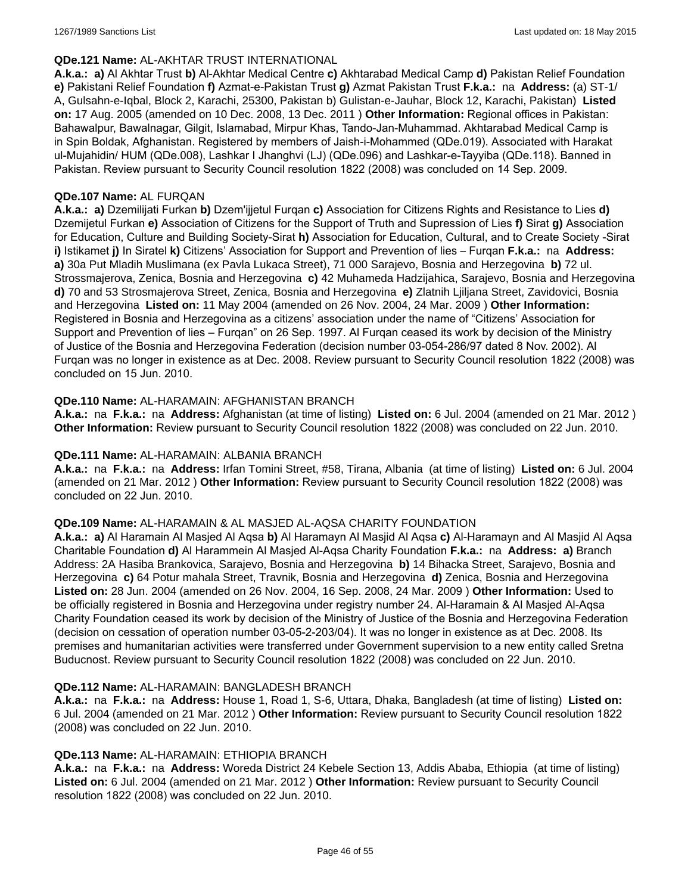#### **QDe.121 Name:** AL-AKHTAR TRUST INTERNATIONAL

**A.k.a.: a)** Al Akhtar Trust **b)** Al-Akhtar Medical Centre **c)** Akhtarabad Medical Camp **d)** Pakistan Relief Foundation **e)** Pakistani Relief Foundation **f)** Azmat-e-Pakistan Trust **g)** Azmat Pakistan Trust **F.k.a.:** na **Address:** (a) ST-1/ A, Gulsahn-e-Iqbal, Block 2, Karachi, 25300, Pakistan b) Gulistan-e-Jauhar, Block 12, Karachi, Pakistan) **Listed on:** 17 Aug. 2005 (amended on 10 Dec. 2008, 13 Dec. 2011 ) **Other Information:** Regional offices in Pakistan: Bahawalpur, Bawalnagar, Gilgit, Islamabad, Mirpur Khas, Tando-Jan-Muhammad. Akhtarabad Medical Camp is in Spin Boldak, Afghanistan. Registered by members of Jaish-i-Mohammed (QDe.019). Associated with Harakat ul-Mujahidin/ HUM (QDe.008), Lashkar I Jhanghvi (LJ) (QDe.096) and Lashkar-e-Tayyiba (QDe.118). Banned in Pakistan. Review pursuant to Security Council resolution 1822 (2008) was concluded on 14 Sep. 2009.

#### **QDe.107 Name:** AL FURQAN

**A.k.a.: a)** Dzemilijati Furkan **b)** Dzem'ijjetul Furqan **c)** Association for Citizens Rights and Resistance to Lies **d)** Dzemijetul Furkan **e)** Association of Citizens for the Support of Truth and Supression of Lies **f)** Sirat **g)** Association for Education, Culture and Building Society-Sirat **h)** Association for Education, Cultural, and to Create Society -Sirat **i)** Istikamet **j)** In Siratel **k)** Citizens' Association for Support and Prevention of lies – Furqan **F.k.a.:** na **Address: a)** 30a Put Mladih Muslimana (ex Pavla Lukaca Street), 71 000 Sarajevo, Bosnia and Herzegovina **b)** 72 ul. Strossmajerova, Zenica, Bosnia and Herzegovina **c)** 42 Muhameda Hadzijahica, Sarajevo, Bosnia and Herzegovina **d)** 70 and 53 Strosmajerova Street, Zenica, Bosnia and Herzegovina **e)** Zlatnih Ljiljana Street, Zavidovici, Bosnia and Herzegovina **Listed on:** 11 May 2004 (amended on 26 Nov. 2004, 24 Mar. 2009 ) **Other Information:** Registered in Bosnia and Herzegovina as a citizens' association under the name of "Citizens' Association for Support and Prevention of lies – Furqan" on 26 Sep. 1997. Al Furqan ceased its work by decision of the Ministry of Justice of the Bosnia and Herzegovina Federation (decision number 03-054-286/97 dated 8 Nov. 2002). Al Furqan was no longer in existence as at Dec. 2008. Review pursuant to Security Council resolution 1822 (2008) was concluded on 15 Jun. 2010.

### **QDe.110 Name:** AL-HARAMAIN: AFGHANISTAN BRANCH

**A.k.a.:** na **F.k.a.:** na **Address:** Afghanistan (at time of listing) **Listed on:** 6 Jul. 2004 (amended on 21 Mar. 2012 ) **Other Information:** Review pursuant to Security Council resolution 1822 (2008) was concluded on 22 Jun. 2010.

#### **QDe.111 Name:** AL-HARAMAIN: ALBANIA BRANCH

**A.k.a.:** na **F.k.a.:** na **Address:** Irfan Tomini Street, #58, Tirana, Albania (at time of listing) **Listed on:** 6 Jul. 2004 (amended on 21 Mar. 2012 ) **Other Information:** Review pursuant to Security Council resolution 1822 (2008) was concluded on 22 Jun. 2010.

#### **QDe.109 Name:** AL-HARAMAIN & AL MASJED AL-AQSA CHARITY FOUNDATION

**A.k.a.: a)** Al Haramain Al Masjed Al Aqsa **b)** Al Haramayn Al Masjid Al Aqsa **c)** Al-Haramayn and Al Masjid Al Aqsa Charitable Foundation **d)** Al Harammein Al Masjed Al-Aqsa Charity Foundation **F.k.a.:** na **Address: a)** Branch Address: 2A Hasiba Brankovica, Sarajevo, Bosnia and Herzegovina **b)** 14 Bihacka Street, Sarajevo, Bosnia and Herzegovina **c)** 64 Potur mahala Street, Travnik, Bosnia and Herzegovina **d)** Zenica, Bosnia and Herzegovina **Listed on:** 28 Jun. 2004 (amended on 26 Nov. 2004, 16 Sep. 2008, 24 Mar. 2009 ) **Other Information:** Used to be officially registered in Bosnia and Herzegovina under registry number 24. Al-Haramain & Al Masjed Al-Aqsa Charity Foundation ceased its work by decision of the Ministry of Justice of the Bosnia and Herzegovina Federation (decision on cessation of operation number 03-05-2-203/04). It was no longer in existence as at Dec. 2008. Its premises and humanitarian activities were transferred under Government supervision to a new entity called Sretna Buducnost. Review pursuant to Security Council resolution 1822 (2008) was concluded on 22 Jun. 2010.

#### **QDe.112 Name:** AL-HARAMAIN: BANGLADESH BRANCH

**A.k.a.:** na **F.k.a.:** na **Address:** House 1, Road 1, S-6, Uttara, Dhaka, Bangladesh (at time of listing) **Listed on:** 6 Jul. 2004 (amended on 21 Mar. 2012 ) **Other Information:** Review pursuant to Security Council resolution 1822 (2008) was concluded on 22 Jun. 2010.

#### **QDe.113 Name:** AL-HARAMAIN: ETHIOPIA BRANCH

**A.k.a.:** na **F.k.a.:** na **Address:** Woreda District 24 Kebele Section 13, Addis Ababa, Ethiopia (at time of listing) **Listed on:** 6 Jul. 2004 (amended on 21 Mar. 2012 ) **Other Information:** Review pursuant to Security Council resolution 1822 (2008) was concluded on 22 Jun. 2010.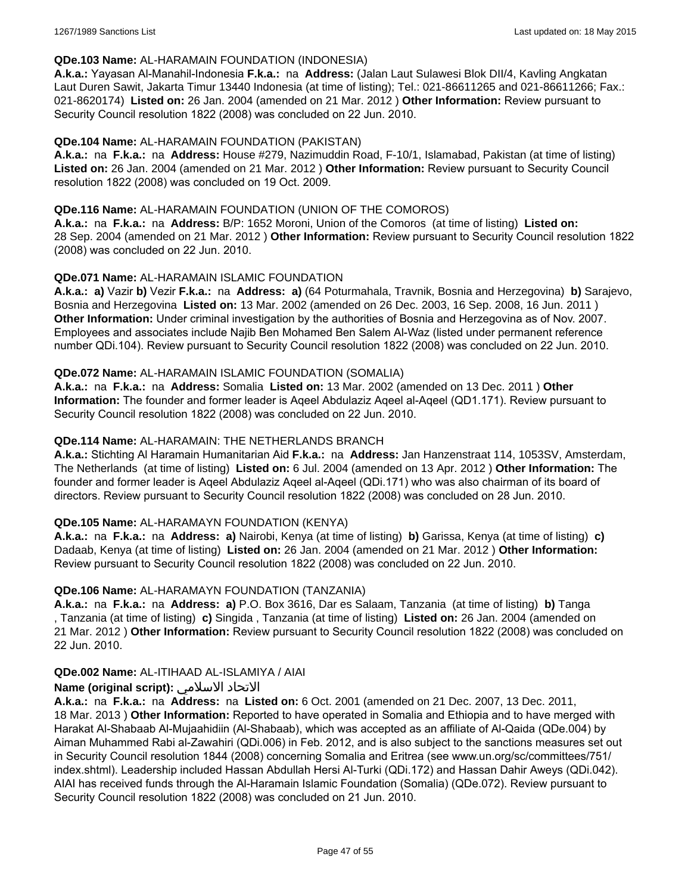#### **QDe.103 Name:** AL-HARAMAIN FOUNDATION (INDONESIA)

**A.k.a.:** Yayasan Al-Manahil-Indonesia **F.k.a.:** na **Address:** (Jalan Laut Sulawesi Blok DII/4, Kavling Angkatan Laut Duren Sawit, Jakarta Timur 13440 Indonesia (at time of listing); Tel.: 021-86611265 and 021-86611266; Fax.: 021-8620174) **Listed on:** 26 Jan. 2004 (amended on 21 Mar. 2012 ) **Other Information:** Review pursuant to Security Council resolution 1822 (2008) was concluded on 22 Jun. 2010.

### **QDe.104 Name:** AL-HARAMAIN FOUNDATION (PAKISTAN)

**A.k.a.:** na **F.k.a.:** na **Address:** House #279, Nazimuddin Road, F-10/1, Islamabad, Pakistan (at time of listing) **Listed on:** 26 Jan. 2004 (amended on 21 Mar. 2012 ) **Other Information:** Review pursuant to Security Council resolution 1822 (2008) was concluded on 19 Oct. 2009.

### **QDe.116 Name:** AL-HARAMAIN FOUNDATION (UNION OF THE COMOROS)

**A.k.a.:** na **F.k.a.:** na **Address:** B/P: 1652 Moroni, Union of the Comoros (at time of listing) **Listed on:** 28 Sep. 2004 (amended on 21 Mar. 2012 ) **Other Information:** Review pursuant to Security Council resolution 1822 (2008) was concluded on 22 Jun. 2010.

### **QDe.071 Name:** AL-HARAMAIN ISLAMIC FOUNDATION

**A.k.a.: a)** Vazir **b)** Vezir **F.k.a.:** na **Address: a)** (64 Poturmahala, Travnik, Bosnia and Herzegovina) **b)** Sarajevo, Bosnia and Herzegovina **Listed on:** 13 Mar. 2002 (amended on 26 Dec. 2003, 16 Sep. 2008, 16 Jun. 2011 ) **Other Information:** Under criminal investigation by the authorities of Bosnia and Herzegovina as of Nov. 2007. Employees and associates include Najib Ben Mohamed Ben Salem Al-Waz (listed under permanent reference number QDi.104). Review pursuant to Security Council resolution 1822 (2008) was concluded on 22 Jun. 2010.

### **QDe.072 Name:** AL-HARAMAIN ISLAMIC FOUNDATION (SOMALIA)

**A.k.a.:** na **F.k.a.:** na **Address:** Somalia **Listed on:** 13 Mar. 2002 (amended on 13 Dec. 2011 ) **Other Information:** The founder and former leader is Aqeel Abdulaziz Aqeel al-Aqeel (QD1.171). Review pursuant to Security Council resolution 1822 (2008) was concluded on 22 Jun. 2010.

### **QDe.114 Name:** AL-HARAMAIN: THE NETHERLANDS BRANCH

**A.k.a.:** Stichting Al Haramain Humanitarian Aid **F.k.a.:** na **Address:** Jan Hanzenstraat 114, 1053SV, Amsterdam, The Netherlands (at time of listing) **Listed on:** 6 Jul. 2004 (amended on 13 Apr. 2012 ) **Other Information:** The founder and former leader is Aqeel Abdulaziz Aqeel al-Aqeel (QDi.171) who was also chairman of its board of directors. Review pursuant to Security Council resolution 1822 (2008) was concluded on 28 Jun. 2010.

### **QDe.105 Name:** AL-HARAMAYN FOUNDATION (KENYA)

**A.k.a.:** na **F.k.a.:** na **Address: a)** Nairobi, Kenya (at time of listing) **b)** Garissa, Kenya (at time of listing) **c)** Dadaab, Kenya (at time of listing) **Listed on:** 26 Jan. 2004 (amended on 21 Mar. 2012 ) **Other Information:** Review pursuant to Security Council resolution 1822 (2008) was concluded on 22 Jun. 2010.

#### **QDe.106 Name:** AL-HARAMAYN FOUNDATION (TANZANIA)

**A.k.a.:** na **F.k.a.:** na **Address: a)** P.O. Box 3616, Dar es Salaam, Tanzania (at time of listing) **b)** Tanga , Tanzania (at time of listing) **c)** Singida , Tanzania (at time of listing) **Listed on:** 26 Jan. 2004 (amended on 21 Mar. 2012 ) **Other Information:** Review pursuant to Security Council resolution 1822 (2008) was concluded on 22 Jun. 2010.

#### **QDe.002 Name:** AL-ITIHAAD AL-ISLAMIYA / AIAI

### **Name (original script):** الاسلامي الاتحاد

**A.k.a.:** na **F.k.a.:** na **Address:** na **Listed on:** 6 Oct. 2001 (amended on 21 Dec. 2007, 13 Dec. 2011, 18 Mar. 2013 ) **Other Information:** Reported to have operated in Somalia and Ethiopia and to have merged with Harakat Al-Shabaab Al-Mujaahidiin (Al-Shabaab), which was accepted as an affiliate of Al-Qaida (QDe.004) by Aiman Muhammed Rabi al-Zawahiri (QDi.006) in Feb. 2012, and is also subject to the sanctions measures set out in Security Council resolution 1844 (2008) concerning Somalia and Eritrea (see www.un.org/sc/committees/751/ index.shtml). Leadership included Hassan Abdullah Hersi Al-Turki (QDi.172) and Hassan Dahir Aweys (QDi.042). AIAI has received funds through the Al-Haramain Islamic Foundation (Somalia) (QDe.072). Review pursuant to Security Council resolution 1822 (2008) was concluded on 21 Jun. 2010.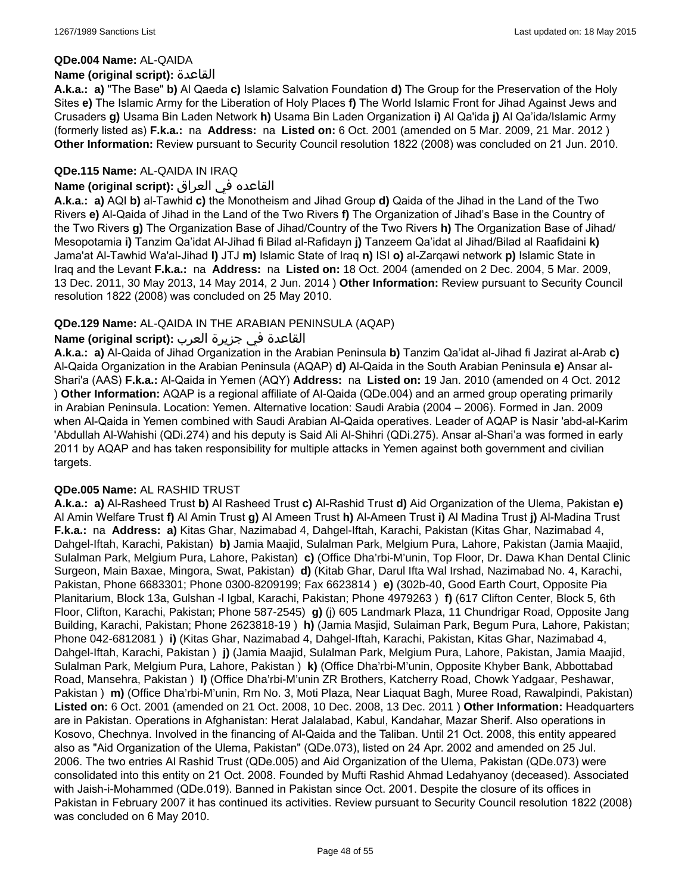#### **QDe.004 Name:** AL-QAIDA

#### **Name (original script):** القاعدة

**A.k.a.: a)** "The Base" **b)** Al Qaeda **c)** Islamic Salvation Foundation **d)** The Group for the Preservation of the Holy Sites **e)** The Islamic Army for the Liberation of Holy Places **f)** The World Islamic Front for Jihad Against Jews and Crusaders **g)** Usama Bin Laden Network **h)** Usama Bin Laden Organization **i)** Al Qa'ida **j)** Al Qa'ida/Islamic Army (formerly listed as) **F.k.a.:** na **Address:** na **Listed on:** 6 Oct. 2001 (amended on 5 Mar. 2009, 21 Mar. 2012 ) **Other Information:** Review pursuant to Security Council resolution 1822 (2008) was concluded on 21 Jun. 2010.

### **QDe.115 Name:** AL-QAIDA IN IRAQ

### القاعده في العراق **:(script original (Name**

**A.k.a.: a)** AQI **b)** al-Tawhid **c)** the Monotheism and Jihad Group **d)** Qaida of the Jihad in the Land of the Two Rivers **e)** Al-Qaida of Jihad in the Land of the Two Rivers **f)** The Organization of Jihad's Base in the Country of the Two Rivers **g)** The Organization Base of Jihad/Country of the Two Rivers **h)** The Organization Base of Jihad/ Mesopotamia **i)** Tanzim Qa'idat Al-Jihad fi Bilad al-Rafidayn **j)** Tanzeem Qa'idat al Jihad/Bilad al Raafidaini **k)** Jama'at Al-Tawhid Wa'al-Jihad **l)** JTJ **m)** Islamic State of Iraq **n)** ISI **o)** al-Zarqawi network **p)** Islamic State in Iraq and the Levant **F.k.a.:** na **Address:** na **Listed on:** 18 Oct. 2004 (amended on 2 Dec. 2004, 5 Mar. 2009, 13 Dec. 2011, 30 May 2013, 14 May 2014, 2 Jun. 2014 ) **Other Information:** Review pursuant to Security Council resolution 1822 (2008) was concluded on 25 May 2010.

### **QDe.129 Name:** AL-QAIDA IN THE ARABIAN PENINSULA (AQAP)

### القاعدة في جزيرة العرب **:(script original (Name**

**A.k.a.: a)** Al-Qaida of Jihad Organization in the Arabian Peninsula **b)** Tanzim Qa'idat al-Jihad fi Jazirat al-Arab **c)** Al-Qaida Organization in the Arabian Peninsula (AQAP) **d)** Al-Qaida in the South Arabian Peninsula **e)** Ansar al-Shari'a (AAS) **F.k.a.:** Al-Qaida in Yemen (AQY) **Address:** na **Listed on:** 19 Jan. 2010 (amended on 4 Oct. 2012 ) **Other Information:** AQAP is a regional affiliate of Al-Qaida (QDe.004) and an armed group operating primarily in Arabian Peninsula. Location: Yemen. Alternative location: Saudi Arabia (2004 – 2006). Formed in Jan. 2009 when Al-Qaida in Yemen combined with Saudi Arabian Al-Qaida operatives. Leader of AQAP is Nasir 'abd-al-Karim 'Abdullah Al-Wahishi (QDi.274) and his deputy is Said Ali Al-Shihri (QDi.275). Ansar al-Shari'a was formed in early 2011 by AQAP and has taken responsibility for multiple attacks in Yemen against both government and civilian targets.

#### **QDe.005 Name:** AL RASHID TRUST

**A.k.a.: a)** Al-Rasheed Trust **b)** Al Rasheed Trust **c)** Al-Rashid Trust **d)** Aid Organization of the Ulema, Pakistan **e)** Al Amin Welfare Trust **f)** Al Amin Trust **g)** Al Ameen Trust **h)** Al-Ameen Trust **i)** Al Madina Trust **j)** Al-Madina Trust **F.k.a.:** na **Address: a)** Kitas Ghar, Nazimabad 4, Dahgel-Iftah, Karachi, Pakistan (Kitas Ghar, Nazimabad 4, Dahgel-Iftah, Karachi, Pakistan) **b)** Jamia Maajid, Sulalman Park, Melgium Pura, Lahore, Pakistan (Jamia Maajid, Sulalman Park, Melgium Pura, Lahore, Pakistan) **c)** (Office Dha'rbi-M'unin, Top Floor, Dr. Dawa Khan Dental Clinic Surgeon, Main Baxae, Mingora, Swat, Pakistan) **d)** (Kitab Ghar, Darul Ifta Wal Irshad, Nazimabad No. 4, Karachi, Pakistan, Phone 6683301; Phone 0300-8209199; Fax 6623814 ) **e)** (302b-40, Good Earth Court, Opposite Pia Planitarium, Block 13a, Gulshan -l Igbal, Karachi, Pakistan; Phone 4979263 ) **f)** (617 Clifton Center, Block 5, 6th Floor, Clifton, Karachi, Pakistan; Phone 587-2545) **g)** (j) 605 Landmark Plaza, 11 Chundrigar Road, Opposite Jang Building, Karachi, Pakistan; Phone 2623818-19 ) **h)** (Jamia Masjid, Sulaiman Park, Begum Pura, Lahore, Pakistan; Phone 042-6812081 ) **i)** (Kitas Ghar, Nazimabad 4, Dahgel-Iftah, Karachi, Pakistan, Kitas Ghar, Nazimabad 4, Dahgel-Iftah, Karachi, Pakistan ) **j)** (Jamia Maajid, Sulalman Park, Melgium Pura, Lahore, Pakistan, Jamia Maajid, Sulalman Park, Melgium Pura, Lahore, Pakistan ) **k)** (Office Dha'rbi-M'unin, Opposite Khyber Bank, Abbottabad Road, Mansehra, Pakistan ) **l)** (Office Dha'rbi-M'unin ZR Brothers, Katcherry Road, Chowk Yadgaar, Peshawar, Pakistan ) **m)** (Office Dha'rbi-M'unin, Rm No. 3, Moti Plaza, Near Liaquat Bagh, Muree Road, Rawalpindi, Pakistan) **Listed on:** 6 Oct. 2001 (amended on 21 Oct. 2008, 10 Dec. 2008, 13 Dec. 2011 ) **Other Information:** Headquarters are in Pakistan. Operations in Afghanistan: Herat Jalalabad, Kabul, Kandahar, Mazar Sherif. Also operations in Kosovo, Chechnya. Involved in the financing of Al-Qaida and the Taliban. Until 21 Oct. 2008, this entity appeared also as "Aid Organization of the Ulema, Pakistan" (QDe.073), listed on 24 Apr. 2002 and amended on 25 Jul. 2006. The two entries Al Rashid Trust (QDe.005) and Aid Organization of the Ulema, Pakistan (QDe.073) were consolidated into this entity on 21 Oct. 2008. Founded by Mufti Rashid Ahmad Ledahyanoy (deceased). Associated with Jaish-i-Mohammed (QDe.019). Banned in Pakistan since Oct. 2001. Despite the closure of its offices in Pakistan in February 2007 it has continued its activities. Review pursuant to Security Council resolution 1822 (2008) was concluded on 6 May 2010.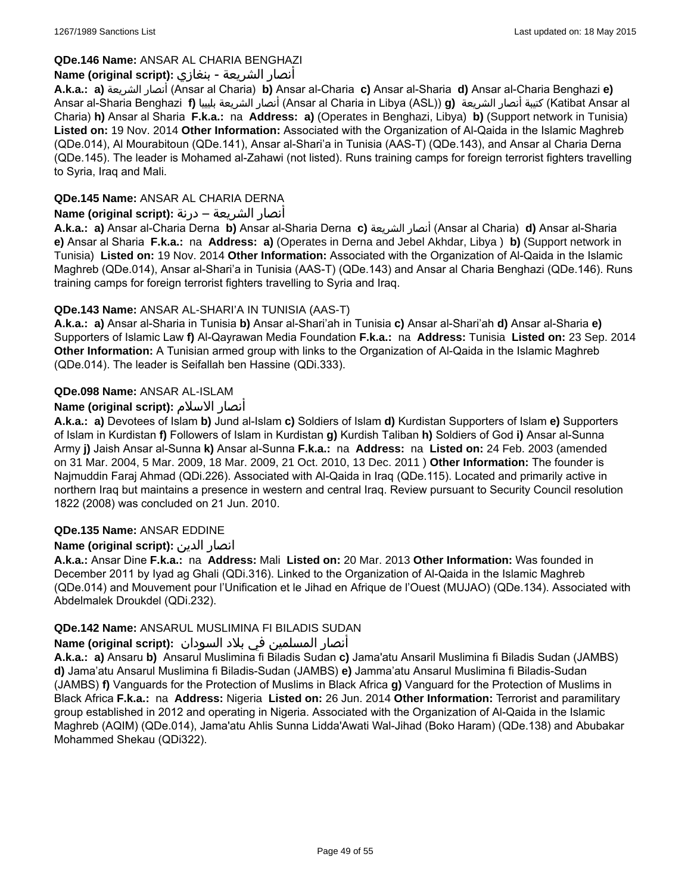### **QDe.146 Name:** ANSAR AL CHARIA BENGHAZI

### أنصار الشريعة - بنغازي **:(script original (Name**

**A.k.a.: a)** الشريعة أنصار) Ansar al Charia) **b)** Ansar al-Charia **c)** Ansar al-Sharia **d)** Ansar al-Charia Benghazi **e)** Ansar al-Sharia Benghazi **f)** بليبيا الشريعة أنصار) Ansar al Charia in Libya (ASL)) **g)** الشريعة أنصار كتيبة) Katibat Ansar al Charia) **h)** Ansar al Sharia **F.k.a.:** na **Address: a)** (Operates in Benghazi, Libya) **b)** (Support network in Tunisia) **Listed on:** 19 Nov. 2014 **Other Information:** Associated with the Organization of Al-Qaida in the Islamic Maghreb (QDe.014), Al Mourabitoun (QDe.141), Ansar al-Shari'a in Tunisia (AAS-T) (QDe.143), and Ansar al Charia Derna (QDe.145). The leader is Mohamed al-Zahawi (not listed). Runs training camps for foreign terrorist fighters travelling to Syria, Iraq and Mali.

### **QDe.145 Name:** ANSAR AL CHARIA DERNA

### أنصار الشريعة – درنة **:(script original (Name**

**A.k.a.: a)** Ansar al-Charia Derna **b)** Ansar al-Sharia Derna **c)** الشريعة أنصار) Ansar al Charia) **d)** Ansar al-Sharia **e)** Ansar al Sharia **F.k.a.:** na **Address: a)** (Operates in Derna and Jebel Akhdar, Libya ) **b)** (Support network in Tunisia) **Listed on:** 19 Nov. 2014 **Other Information:** Associated with the Organization of Al-Qaida in the Islamic Maghreb (QDe.014), Ansar al-Shari'a in Tunisia (AAS-T) (QDe.143) and Ansar al Charia Benghazi (QDe.146). Runs training camps for foreign terrorist fighters travelling to Syria and Iraq.

### **QDe.143 Name:** ANSAR AL-SHARI'A IN TUNISIA (AAS-T)

**A.k.a.: a)** Ansar al-Sharia in Tunisia **b)** Ansar al-Shari'ah in Tunisia **c)** Ansar al-Shari'ah **d)** Ansar al-Sharia **e)** Supporters of Islamic Law **f)** Al-Qayrawan Media Foundation **F.k.a.:** na **Address:** Tunisia **Listed on:** 23 Sep. 2014 **Other Information:** A Tunisian armed group with links to the Organization of Al-Qaida in the Islamic Maghreb (QDe.014). The leader is Seifallah ben Hassine (QDi.333).

# **QDe.098 Name:** ANSAR AL-ISLAM

# **Name (original script):** الاسلام أنصار

**A.k.a.: a)** Devotees of Islam **b)** Jund al-Islam **c)** Soldiers of Islam **d)** Kurdistan Supporters of Islam **e)** Supporters of Islam in Kurdistan **f)** Followers of Islam in Kurdistan **g)** Kurdish Taliban **h)** Soldiers of God **i)** Ansar al-Sunna Army **j)** Jaish Ansar al-Sunna **k)** Ansar al-Sunna **F.k.a.:** na **Address:** na **Listed on:** 24 Feb. 2003 (amended on 31 Mar. 2004, 5 Mar. 2009, 18 Mar. 2009, 21 Oct. 2010, 13 Dec. 2011 ) **Other Information:** The founder is Najmuddin Faraj Ahmad (QDi.226). Associated with Al-Qaida in Iraq (QDe.115). Located and primarily active in northern Iraq but maintains a presence in western and central Iraq. Review pursuant to Security Council resolution 1822 (2008) was concluded on 21 Jun. 2010.

### **QDe.135 Name:** ANSAR EDDINE

### **Name (original script):** الدين انصار

**A.k.a.:** Ansar Dine **F.k.a.:** na **Address:** Mali **Listed on:** 20 Mar. 2013 **Other Information:** Was founded in December 2011 by Iyad ag Ghali (QDi.316). Linked to the Organization of Al-Qaida in the Islamic Maghreb (QDe.014) and Mouvement pour l'Unification et le Jihad en Afrique de l'Ouest (MUJAO) (QDe.134). Associated with Abdelmalek Droukdel (QDi.232).

### **QDe.142 Name:** ANSARUL MUSLIMINA FI BILADIS SUDAN

### أنصار المسلمین في بلاد السودان **:(script original (Name**

**A.k.a.: a)** Ansaru **b)** Ansarul Muslimina fi Biladis Sudan **c)** Jama'atu Ansaril Muslimina fi Biladis Sudan (JAMBS) **d)** Jama'atu Ansarul Muslimina fi Biladis-Sudan (JAMBS) **e)** Jamma'atu Ansarul Muslimina fi Biladis-Sudan (JAMBS) **f)** Vanguards for the Protection of Muslims in Black Africa **g)** Vanguard for the Protection of Muslims in Black Africa **F.k.a.:** na **Address:** Nigeria **Listed on:** 26 Jun. 2014 **Other Information:** Terrorist and paramilitary group established in 2012 and operating in Nigeria. Associated with the Organization of Al-Qaida in the Islamic Maghreb (AQIM) (QDe.014), Jama'atu Ahlis Sunna Lidda'Awati Wal-Jihad (Boko Haram) (QDe.138) and Abubakar Mohammed Shekau (QDi322).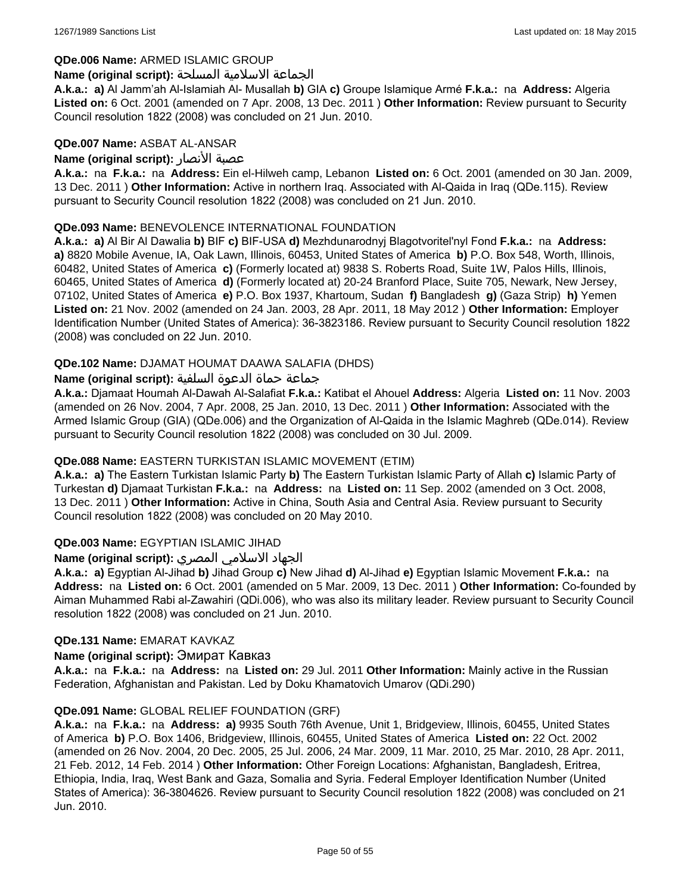#### **QDe.006 Name:** ARMED ISLAMIC GROUP

#### الجماعة الاسلامية المسلحة **:(script original (Name**

**A.k.a.: a)** Al Jamm'ah Al-Islamiah Al- Musallah **b)** GIA **c)** Groupe Islamique Armé **F.k.a.:** na **Address:** Algeria **Listed on:** 6 Oct. 2001 (amended on 7 Apr. 2008, 13 Dec. 2011 ) **Other Information:** Review pursuant to Security Council resolution 1822 (2008) was concluded on 21 Jun. 2010.

#### **QDe.007 Name:** ASBAT AL-ANSAR

### **Name (original script):** الأنصار عصبة

**A.k.a.:** na **F.k.a.:** na **Address:** Ein el-Hilweh camp, Lebanon **Listed on:** 6 Oct. 2001 (amended on 30 Jan. 2009, 13 Dec. 2011 ) **Other Information:** Active in northern Iraq. Associated with Al-Qaida in Iraq (QDe.115). Review pursuant to Security Council resolution 1822 (2008) was concluded on 21 Jun. 2010.

### **QDe.093 Name:** BENEVOLENCE INTERNATIONAL FOUNDATION

**A.k.a.: a)** Al Bir Al Dawalia **b)** BIF **c)** BIF-USA **d)** Mezhdunarodnyj Blagotvoritel'nyl Fond **F.k.a.:** na **Address: a)** 8820 Mobile Avenue, IA, Oak Lawn, Illinois, 60453, United States of America **b)** P.O. Box 548, Worth, Illinois, 60482, United States of America **c)** (Formerly located at) 9838 S. Roberts Road, Suite 1W, Palos Hills, Illinois, 60465, United States of America **d)** (Formerly located at) 20-24 Branford Place, Suite 705, Newark, New Jersey, 07102, United States of America **e)** P.O. Box 1937, Khartoum, Sudan **f)** Bangladesh **g)** (Gaza Strip) **h)** Yemen **Listed on:** 21 Nov. 2002 (amended on 24 Jan. 2003, 28 Apr. 2011, 18 May 2012 ) **Other Information:** Employer Identification Number (United States of America): 36-3823186. Review pursuant to Security Council resolution 1822 (2008) was concluded on 22 Jun. 2010.

### **QDe.102 Name:** DJAMAT HOUMAT DAAWA SALAFIA (DHDS)

### جماعة حماة الدعوة السلفية **:(script original (Name**

**A.k.a.:** Djamaat Houmah Al-Dawah Al-Salafiat **F.k.a.:** Katibat el Ahouel **Address:** Algeria **Listed on:** 11 Nov. 2003 (amended on 26 Nov. 2004, 7 Apr. 2008, 25 Jan. 2010, 13 Dec. 2011 ) **Other Information:** Associated with the Armed Islamic Group (GIA) (QDe.006) and the Organization of Al-Qaida in the Islamic Maghreb (QDe.014). Review pursuant to Security Council resolution 1822 (2008) was concluded on 30 Jul. 2009.

#### **QDe.088 Name:** EASTERN TURKISTAN ISLAMIC MOVEMENT (ETIM)

**A.k.a.: a)** The Eastern Turkistan Islamic Party **b)** The Eastern Turkistan Islamic Party of Allah **c)** Islamic Party of Turkestan **d)** Djamaat Turkistan **F.k.a.:** na **Address:** na **Listed on:** 11 Sep. 2002 (amended on 3 Oct. 2008, 13 Dec. 2011 ) **Other Information:** Active in China, South Asia and Central Asia. Review pursuant to Security Council resolution 1822 (2008) was concluded on 20 May 2010.

### **QDe.003 Name:** EGYPTIAN ISLAMIC JIHAD

### الجهاد الاسلامي المصري **:(script original (Name**

**A.k.a.: a)** Egyptian Al-Jihad **b)** Jihad Group **c)** New Jihad **d)** Al-Jihad **e)** Egyptian Islamic Movement **F.k.a.:** na **Address:** na **Listed on:** 6 Oct. 2001 (amended on 5 Mar. 2009, 13 Dec. 2011 ) **Other Information:** Co-founded by Aiman Muhammed Rabi al-Zawahiri (QDi.006), who was also its military leader. Review pursuant to Security Council resolution 1822 (2008) was concluded on 21 Jun. 2010.

#### **QDe.131 Name:** EMARAT KAVKAZ

#### **Name (original script):** Эмират Кавказ

**A.k.a.:** na **F.k.a.:** na **Address:** na **Listed on:** 29 Jul. 2011 **Other Information:** Mainly active in the Russian Federation, Afghanistan and Pakistan. Led by Doku Khamatovich Umarov (QDi.290)

#### **QDe.091 Name:** GLOBAL RELIEF FOUNDATION (GRF)

**A.k.a.:** na **F.k.a.:** na **Address: a)** 9935 South 76th Avenue, Unit 1, Bridgeview, Illinois, 60455, United States of America **b)** P.O. Box 1406, Bridgeview, Illinois, 60455, United States of America **Listed on:** 22 Oct. 2002 (amended on 26 Nov. 2004, 20 Dec. 2005, 25 Jul. 2006, 24 Mar. 2009, 11 Mar. 2010, 25 Mar. 2010, 28 Apr. 2011, 21 Feb. 2012, 14 Feb. 2014 ) **Other Information:** Other Foreign Locations: Afghanistan, Bangladesh, Eritrea, Ethiopia, India, Iraq, West Bank and Gaza, Somalia and Syria. Federal Employer Identification Number (United States of America): 36-3804626. Review pursuant to Security Council resolution 1822 (2008) was concluded on 21 Jun. 2010.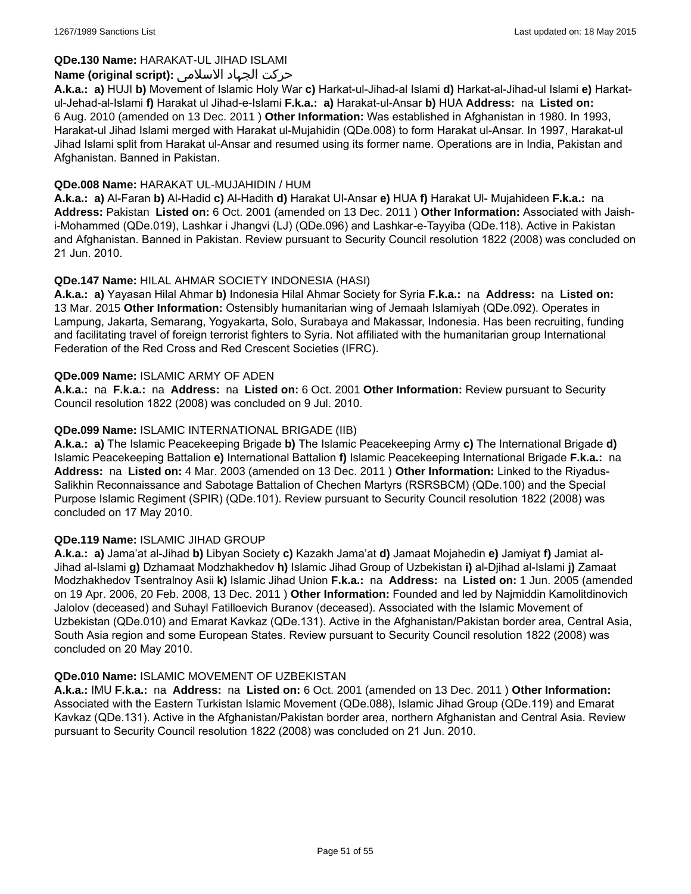### **QDe.130 Name:** HARAKAT-UL JIHAD ISLAMI

### حرکت الجہاد الاسلامی **:(script original (Name**

**A.k.a.: a)** HUJI **b)** Movement of Islamic Holy War **c)** Harkat-ul-Jihad-al Islami **d)** Harkat-al-Jihad-ul Islami **e)** Harkatul-Jehad-al-Islami **f)** Harakat ul Jihad-e-Islami **F.k.a.: a)** Harakat-ul-Ansar **b)** HUA **Address:** na **Listed on:** 6 Aug. 2010 (amended on 13 Dec. 2011 ) **Other Information:** Was established in Afghanistan in 1980. In 1993, Harakat-ul Jihad Islami merged with Harakat ul-Mujahidin (QDe.008) to form Harakat ul-Ansar. In 1997, Harakat-ul Jihad Islami split from Harakat ul-Ansar and resumed using its former name. Operations are in India, Pakistan and Afghanistan. Banned in Pakistan.

### **QDe.008 Name:** HARAKAT UL-MUJAHIDIN / HUM

**A.k.a.: a)** Al-Faran **b)** Al-Hadid **c)** Al-Hadith **d)** Harakat Ul-Ansar **e)** HUA **f)** Harakat Ul- Mujahideen **F.k.a.:** na **Address:** Pakistan **Listed on:** 6 Oct. 2001 (amended on 13 Dec. 2011 ) **Other Information:** Associated with Jaishi-Mohammed (QDe.019), Lashkar i Jhangvi (LJ) (QDe.096) and Lashkar-e-Tayyiba (QDe.118). Active in Pakistan and Afghanistan. Banned in Pakistan. Review pursuant to Security Council resolution 1822 (2008) was concluded on 21 Jun. 2010.

### **QDe.147 Name:** HILAL AHMAR SOCIETY INDONESIA (HASI)

**A.k.a.: a)** Yayasan Hilal Ahmar **b)** Indonesia Hilal Ahmar Society for Syria **F.k.a.:** na **Address:** na **Listed on:** 13 Mar. 2015 **Other Information:** Ostensibly humanitarian wing of Jemaah Islamiyah (QDe.092). Operates in Lampung, Jakarta, Semarang, Yogyakarta, Solo, Surabaya and Makassar, Indonesia. Has been recruiting, funding and facilitating travel of foreign terrorist fighters to Syria. Not affiliated with the humanitarian group International Federation of the Red Cross and Red Crescent Societies (IFRC).

#### **QDe.009 Name:** ISLAMIC ARMY OF ADEN

**A.k.a.:** na **F.k.a.:** na **Address:** na **Listed on:** 6 Oct. 2001 **Other Information:** Review pursuant to Security Council resolution 1822 (2008) was concluded on 9 Jul. 2010.

### **QDe.099 Name:** ISLAMIC INTERNATIONAL BRIGADE (IIB)

**A.k.a.: a)** The Islamic Peacekeeping Brigade **b)** The Islamic Peacekeeping Army **c)** The International Brigade **d)** Islamic Peacekeeping Battalion **e)** International Battalion **f)** Islamic Peacekeeping International Brigade **F.k.a.:** na **Address:** na **Listed on:** 4 Mar. 2003 (amended on 13 Dec. 2011 ) **Other Information:** Linked to the Riyadus-Salikhin Reconnaissance and Sabotage Battalion of Chechen Martyrs (RSRSBCM) (QDe.100) and the Special Purpose Islamic Regiment (SPIR) (QDe.101). Review pursuant to Security Council resolution 1822 (2008) was concluded on 17 May 2010.

#### **QDe.119 Name:** ISLAMIC JIHAD GROUP

**A.k.a.: a)** Jama'at al-Jihad **b)** Libyan Society **c)** Kazakh Jama'at **d)** Jamaat Mojahedin **e)** Jamiyat **f)** Jamiat al-Jihad al-Islami **g)** Dzhamaat Modzhakhedov **h)** Islamic Jihad Group of Uzbekistan **i)** al-Djihad al-Islami **j)** Zamaat Modzhakhedov Tsentralnoy Asii **k)** Islamic Jihad Union **F.k.a.:** na **Address:** na **Listed on:** 1 Jun. 2005 (amended on 19 Apr. 2006, 20 Feb. 2008, 13 Dec. 2011 ) **Other Information:** Founded and led by Najmiddin Kamolitdinovich Jalolov (deceased) and Suhayl Fatilloevich Buranov (deceased). Associated with the Islamic Movement of Uzbekistan (QDe.010) and Emarat Kavkaz (QDe.131). Active in the Afghanistan/Pakistan border area, Central Asia, South Asia region and some European States. Review pursuant to Security Council resolution 1822 (2008) was concluded on 20 May 2010.

#### **QDe.010 Name:** ISLAMIC MOVEMENT OF UZBEKISTAN

**A.k.a.:** IMU **F.k.a.:** na **Address:** na **Listed on:** 6 Oct. 2001 (amended on 13 Dec. 2011 ) **Other Information:** Associated with the Eastern Turkistan Islamic Movement (QDe.088), Islamic Jihad Group (QDe.119) and Emarat Kavkaz (QDe.131). Active in the Afghanistan/Pakistan border area, northern Afghanistan and Central Asia. Review pursuant to Security Council resolution 1822 (2008) was concluded on 21 Jun. 2010.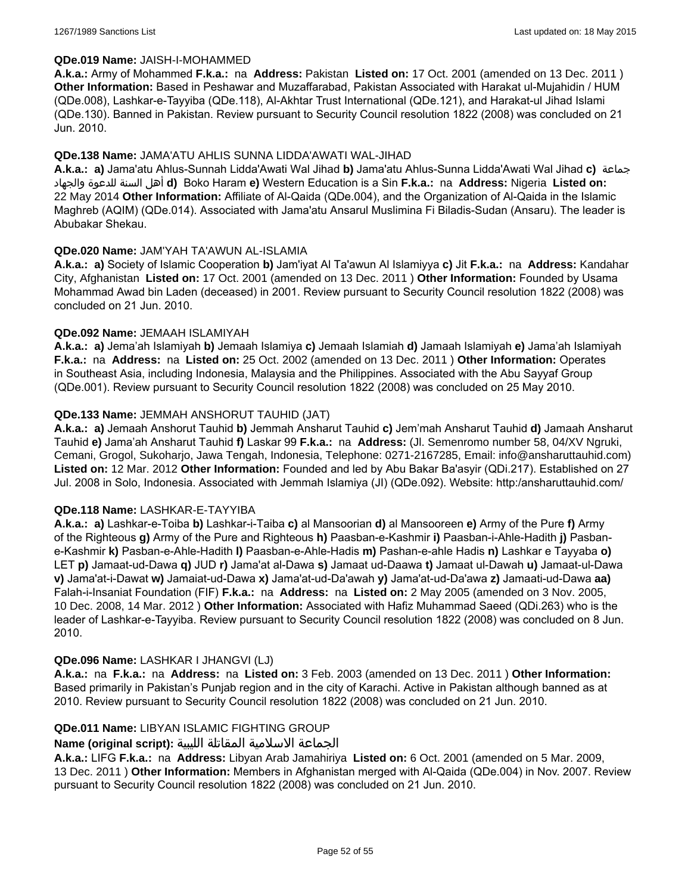#### **QDe.019 Name:** JAISH-I-MOHAMMED

**A.k.a.:** Army of Mohammed **F.k.a.:** na **Address:** Pakistan **Listed on:** 17 Oct. 2001 (amended on 13 Dec. 2011 ) **Other Information:** Based in Peshawar and Muzaffarabad, Pakistan Associated with Harakat ul-Mujahidin / HUM (QDe.008), Lashkar-e-Tayyiba (QDe.118), Al-Akhtar Trust International (QDe.121), and Harakat-ul Jihad Islami (QDe.130). Banned in Pakistan. Review pursuant to Security Council resolution 1822 (2008) was concluded on 21 Jun. 2010.

### **QDe.138 Name:** JAMA'ATU AHLIS SUNNA LIDDA'AWATI WAL-JIHAD

**A.k.a.: a)** Jama'atu Ahlus-Sunnah Lidda'Awati Wal Jihad **b)** Jama'atu Ahlus-Sunna Lidda'Awati Wal Jihad **c)** جماعة والجهاد للدعوة السنة أهل **d)** Boko Haram **e)** Western Education is a Sin **F.k.a.:** na **Address:** Nigeria **Listed on:** 22 May 2014 **Other Information:** Affiliate of Al-Qaida (QDe.004), and the Organization of Al-Qaida in the Islamic Maghreb (AQIM) (QDe.014). Associated with Jama'atu Ansarul Muslimina Fi Biladis-Sudan (Ansaru). The leader is Abubakar Shekau.

### **QDe.020 Name:** JAM'YAH TA'AWUN AL-ISLAMIA

**A.k.a.: a)** Society of Islamic Cooperation **b)** Jam'iyat Al Ta'awun Al Islamiyya **c)** Jit **F.k.a.:** na **Address:** Kandahar City, Afghanistan **Listed on:** 17 Oct. 2001 (amended on 13 Dec. 2011 ) **Other Information:** Founded by Usama Mohammad Awad bin Laden (deceased) in 2001. Review pursuant to Security Council resolution 1822 (2008) was concluded on 21 Jun. 2010.

### **QDe.092 Name:** JEMAAH ISLAMIYAH

**A.k.a.: a)** Jema'ah Islamiyah **b)** Jemaah Islamiya **c)** Jemaah Islamiah **d)** Jamaah Islamiyah **e)** Jama'ah Islamiyah **F.k.a.:** na **Address:** na **Listed on:** 25 Oct. 2002 (amended on 13 Dec. 2011 ) **Other Information:** Operates in Southeast Asia, including Indonesia, Malaysia and the Philippines. Associated with the Abu Sayyaf Group (QDe.001). Review pursuant to Security Council resolution 1822 (2008) was concluded on 25 May 2010.

### **QDe.133 Name:** JEMMAH ANSHORUT TAUHID (JAT)

**A.k.a.: a)** Jemaah Anshorut Tauhid **b)** Jemmah Ansharut Tauhid **c)** Jem'mah Ansharut Tauhid **d)** Jamaah Ansharut Tauhid **e)** Jama'ah Ansharut Tauhid **f)** Laskar 99 **F.k.a.:** na **Address:** (Jl. Semenromo number 58, 04/XV Ngruki, Cemani, Grogol, Sukoharjo, Jawa Tengah, Indonesia, Telephone: 0271-2167285, Email: info@ansharuttauhid.com) **Listed on:** 12 Mar. 2012 **Other Information:** Founded and led by Abu Bakar Ba'asyir (QDi.217). Established on 27 Jul. 2008 in Solo, Indonesia. Associated with Jemmah Islamiya (JI) (QDe.092). Website: http:/ansharuttauhid.com/

#### **QDe.118 Name:** LASHKAR-E-TAYYIBA

**A.k.a.: a)** Lashkar-e-Toiba **b)** Lashkar-i-Taiba **c)** al Mansoorian **d)** al Mansooreen **e)** Army of the Pure **f)** Army of the Righteous **g)** Army of the Pure and Righteous **h)** Paasban-e-Kashmir **i)** Paasban-i-Ahle-Hadith **j)** Pasbane-Kashmir **k)** Pasban-e-Ahle-Hadith **l)** Paasban-e-Ahle-Hadis **m)** Pashan-e-ahle Hadis **n)** Lashkar e Tayyaba **o)** LET **p)** Jamaat-ud-Dawa **q)** JUD **r)** Jama'at al-Dawa **s)** Jamaat ud-Daawa **t)** Jamaat ul-Dawah **u)** Jamaat-ul-Dawa **v)** Jama'at-i-Dawat **w)** Jamaiat-ud-Dawa **x)** Jama'at-ud-Da'awah **y)** Jama'at-ud-Da'awa **z)** Jamaati-ud-Dawa **aa)** Falah-i-Insaniat Foundation (FIF) **F.k.a.:** na **Address:** na **Listed on:** 2 May 2005 (amended on 3 Nov. 2005, 10 Dec. 2008, 14 Mar. 2012 ) **Other Information:** Associated with Hafiz Muhammad Saeed (QDi.263) who is the leader of Lashkar-e-Tayyiba. Review pursuant to Security Council resolution 1822 (2008) was concluded on 8 Jun. 2010.

#### **QDe.096 Name:** LASHKAR I JHANGVI (LJ)

**A.k.a.:** na **F.k.a.:** na **Address:** na **Listed on:** 3 Feb. 2003 (amended on 13 Dec. 2011 ) **Other Information:** Based primarily in Pakistan's Punjab region and in the city of Karachi. Active in Pakistan although banned as at 2010. Review pursuant to Security Council resolution 1822 (2008) was concluded on 21 Jun. 2010.

### **QDe.011 Name:** LIBYAN ISLAMIC FIGHTING GROUP

# الجماعة الاسلامية المقاتلة الليبية **:(script original (Name**

**A.k.a.:** LIFG **F.k.a.:** na **Address:** Libyan Arab Jamahiriya **Listed on:** 6 Oct. 2001 (amended on 5 Mar. 2009, 13 Dec. 2011 ) **Other Information:** Members in Afghanistan merged with Al-Qaida (QDe.004) in Nov. 2007. Review pursuant to Security Council resolution 1822 (2008) was concluded on 21 Jun. 2010.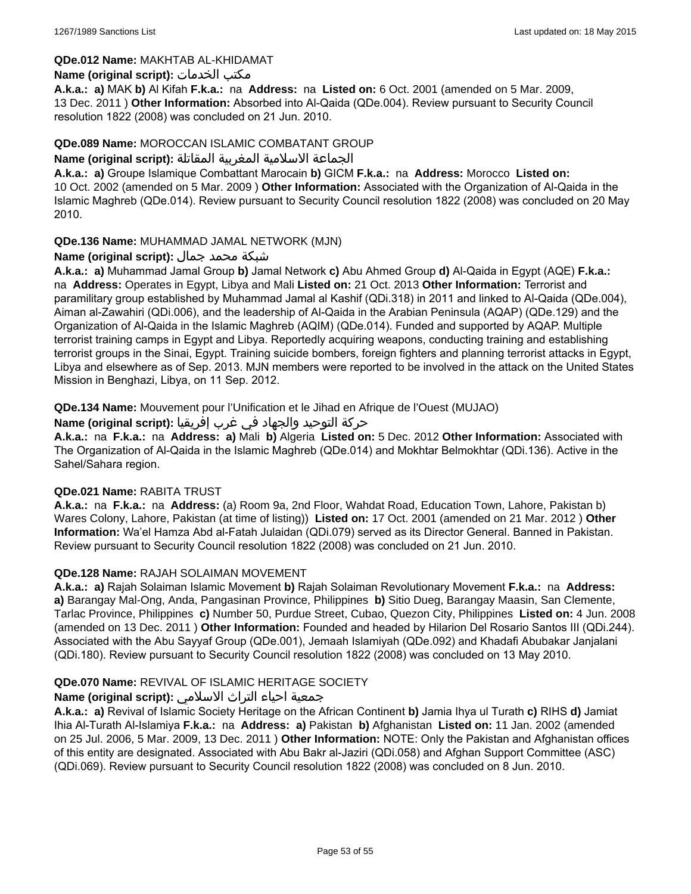### **QDe.012 Name:** MAKHTAB AL-KHIDAMAT

### **Name (original script):** الخدمات مكتب

**A.k.a.: a)** MAK **b)** Al Kifah **F.k.a.:** na **Address:** na **Listed on:** 6 Oct. 2001 (amended on 5 Mar. 2009, 13 Dec. 2011 ) **Other Information:** Absorbed into Al-Qaida (QDe.004). Review pursuant to Security Council resolution 1822 (2008) was concluded on 21 Jun. 2010.

### **QDe.089 Name:** MOROCCAN ISLAMIC COMBATANT GROUP

#### الجماعة الاسلامية المغربية المقاتلة **:(script original (Name**

**A.k.a.: a)** Groupe Islamique Combattant Marocain **b)** GICM **F.k.a.:** na **Address:** Morocco **Listed on:** 10 Oct. 2002 (amended on 5 Mar. 2009 ) **Other Information:** Associated with the Organization of Al-Qaida in the Islamic Maghreb (QDe.014). Review pursuant to Security Council resolution 1822 (2008) was concluded on 20 May 2010.

### **QDe.136 Name:** MUHAMMAD JAMAL NETWORK (MJN)

### شبكة محمد جمال **:(script original (Name**

**A.k.a.: a)** Muhammad Jamal Group **b)** Jamal Network **c)** Abu Ahmed Group **d)** Al-Qaida in Egypt (AQE) **F.k.a.:**  na **Address:** Operates in Egypt, Libya and Mali **Listed on:** 21 Oct. 2013 **Other Information:** Terrorist and paramilitary group established by Muhammad Jamal al Kashif (QDi.318) in 2011 and linked to Al-Qaida (QDe.004), Aiman al-Zawahiri (QDi.006), and the leadership of Al-Qaida in the Arabian Peninsula (AQAP) (QDe.129) and the Organization of Al-Qaida in the Islamic Maghreb (AQIM) (QDe.014). Funded and supported by AQAP. Multiple terrorist training camps in Egypt and Libya. Reportedly acquiring weapons, conducting training and establishing terrorist groups in the Sinai, Egypt. Training suicide bombers, foreign fighters and planning terrorist attacks in Egypt, Libya and elsewhere as of Sep. 2013. MJN members were reported to be involved in the attack on the United States Mission in Benghazi, Libya, on 11 Sep. 2012.

**QDe.134 Name:** Mouvement pour l'Unification et le Jihad en Afrique de l'Ouest (MUJAO)

حركة التوحيد والجهاد في غرب إفريقيا **:Name (original script)** 

**A.k.a.:** na **F.k.a.:** na **Address: a)** Mali **b)** Algeria **Listed on:** 5 Dec. 2012 **Other Information:** Associated with The Organization of Al-Qaida in the Islamic Maghreb (QDe.014) and Mokhtar Belmokhtar (QDi.136). Active in the Sahel/Sahara region.

#### **QDe.021 Name:** RABITA TRUST

**A.k.a.:** na **F.k.a.:** na **Address:** (a) Room 9a, 2nd Floor, Wahdat Road, Education Town, Lahore, Pakistan b) Wares Colony, Lahore, Pakistan (at time of listing)) **Listed on:** 17 Oct. 2001 (amended on 21 Mar. 2012 ) **Other Information:** Wa'el Hamza Abd al-Fatah Julaidan (QDi.079) served as its Director General. Banned in Pakistan. Review pursuant to Security Council resolution 1822 (2008) was concluded on 21 Jun. 2010.

### **QDe.128 Name:** RAJAH SOLAIMAN MOVEMENT

**A.k.a.: a)** Rajah Solaiman Islamic Movement **b)** Rajah Solaiman Revolutionary Movement **F.k.a.:** na **Address: a)** Barangay Mal-Ong, Anda, Pangasinan Province, Philippines **b)** Sitio Dueg, Barangay Maasin, San Clemente, Tarlac Province, Philippines **c)** Number 50, Purdue Street, Cubao, Quezon City, Philippines **Listed on:** 4 Jun. 2008 (amended on 13 Dec. 2011 ) **Other Information:** Founded and headed by Hilarion Del Rosario Santos III (QDi.244). Associated with the Abu Sayyaf Group (QDe.001), Jemaah Islamiyah (QDe.092) and Khadafi Abubakar Janjalani (QDi.180). Review pursuant to Security Council resolution 1822 (2008) was concluded on 13 May 2010.

### **QDe.070 Name:** REVIVAL OF ISLAMIC HERITAGE SOCIETY

### جمعية احياء التراث الاسلامي **:(script original (Name**

**A.k.a.: a)** Revival of Islamic Society Heritage on the African Continent **b)** Jamia Ihya ul Turath **c)** RIHS **d)** Jamiat Ihia Al-Turath Al-Islamiya **F.k.a.:** na **Address: a)** Pakistan **b)** Afghanistan **Listed on:** 11 Jan. 2002 (amended on 25 Jul. 2006, 5 Mar. 2009, 13 Dec. 2011 ) **Other Information:** NOTE: Only the Pakistan and Afghanistan offices of this entity are designated. Associated with Abu Bakr al-Jaziri (QDi.058) and Afghan Support Committee (ASC) (QDi.069). Review pursuant to Security Council resolution 1822 (2008) was concluded on 8 Jun. 2010.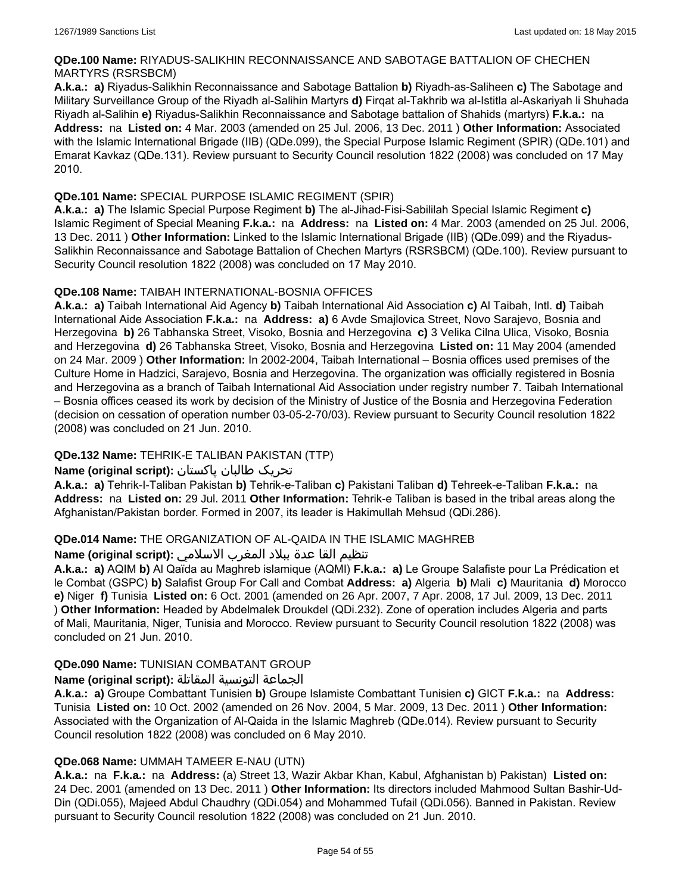### **QDe.100 Name:** RIYADUS-SALIKHIN RECONNAISSANCE AND SABOTAGE BATTALION OF CHECHEN MARTYRS (RSRSBCM)

**A.k.a.: a)** Riyadus-Salikhin Reconnaissance and Sabotage Battalion **b)** Riyadh-as-Saliheen **c)** The Sabotage and Military Surveillance Group of the Riyadh al-Salihin Martyrs **d)** Firqat al-Takhrib wa al-Istitla al-Askariyah li Shuhada Riyadh al-Salihin **e)** Riyadus-Salikhin Reconnaissance and Sabotage battalion of Shahids (martyrs) **F.k.a.:** na **Address:** na **Listed on:** 4 Mar. 2003 (amended on 25 Jul. 2006, 13 Dec. 2011 ) **Other Information:** Associated with the Islamic International Brigade (IIB) (QDe.099), the Special Purpose Islamic Regiment (SPIR) (QDe.101) and Emarat Kavkaz (QDe.131). Review pursuant to Security Council resolution 1822 (2008) was concluded on 17 May 2010.

### **QDe.101 Name:** SPECIAL PURPOSE ISLAMIC REGIMENT (SPIR)

**A.k.a.: a)** The Islamic Special Purpose Regiment **b)** The al-Jihad-Fisi-Sabililah Special Islamic Regiment **c)** Islamic Regiment of Special Meaning **F.k.a.:** na **Address:** na **Listed on:** 4 Mar. 2003 (amended on 25 Jul. 2006, 13 Dec. 2011 ) **Other Information:** Linked to the Islamic International Brigade (IIB) (QDe.099) and the Riyadus-Salikhin Reconnaissance and Sabotage Battalion of Chechen Martyrs (RSRSBCM) (QDe.100). Review pursuant to Security Council resolution 1822 (2008) was concluded on 17 May 2010.

### **QDe.108 Name:** TAIBAH INTERNATIONAL-BOSNIA OFFICES

**A.k.a.: a)** Taibah International Aid Agency **b)** Taibah International Aid Association **c)** Al Taibah, Intl. **d)** Taibah International Aide Association **F.k.a.:** na **Address: a)** 6 Avde Smajlovica Street, Novo Sarajevo, Bosnia and Herzegovina **b)** 26 Tabhanska Street, Visoko, Bosnia and Herzegovina **c)** 3 Velika Cilna Ulica, Visoko, Bosnia and Herzegovina **d)** 26 Tabhanska Street, Visoko, Bosnia and Herzegovina **Listed on:** 11 May 2004 (amended on 24 Mar. 2009 ) **Other Information:** In 2002-2004, Taibah International – Bosnia offices used premises of the Culture Home in Hadzici, Sarajevo, Bosnia and Herzegovina. The organization was officially registered in Bosnia and Herzegovina as a branch of Taibah International Aid Association under registry number 7. Taibah International – Bosnia offices ceased its work by decision of the Ministry of Justice of the Bosnia and Herzegovina Federation (decision on cessation of operation number 03-05-2-70/03). Review pursuant to Security Council resolution 1822 (2008) was concluded on 21 Jun. 2010.

# **QDe.132 Name:** TEHRIK-E TALIBAN PAKISTAN (TTP)

### تحریک طالبان پاکستان **:(script original (Name**

**A.k.a.: a)** Tehrik-I-Taliban Pakistan **b)** Tehrik-e-Taliban **c)** Pakistani Taliban **d)** Tehreek-e-Taliban **F.k.a.:** na **Address:** na **Listed on:** 29 Jul. 2011 **Other Information:** Tehrik-e Taliban is based in the tribal areas along the Afghanistan/Pakistan border. Formed in 2007, its leader is Hakimullah Mehsud (QDi.286).

### **QDe.014 Name:** THE ORGANIZATION OF AL-QAIDA IN THE ISLAMIC MAGHREB

### تنظيم القا عدة ببلاد المغرب الاسلامي **:(script original (Name**

**A.k.a.: a)** AQIM **b)** Al Qaïda au Maghreb islamique (AQMI) **F.k.a.: a)** Le Groupe Salafiste pour La Prédication et le Combat (GSPC) **b)** Salafist Group For Call and Combat **Address: a)** Algeria **b)** Mali **c)** Mauritania **d)** Morocco **e)** Niger **f)** Tunisia **Listed on:** 6 Oct. 2001 (amended on 26 Apr. 2007, 7 Apr. 2008, 17 Jul. 2009, 13 Dec. 2011 ) **Other Information:** Headed by Abdelmalek Droukdel (QDi.232). Zone of operation includes Algeria and parts of Mali, Mauritania, Niger, Tunisia and Morocco. Review pursuant to Security Council resolution 1822 (2008) was concluded on 21 Jun. 2010.

### **QDe.090 Name:** TUNISIAN COMBATANT GROUP

### الجماعة التونسية المقاتلة **:(script original (Name**

**A.k.a.: a)** Groupe Combattant Tunisien **b)** Groupe Islamiste Combattant Tunisien **c)** GICT **F.k.a.:** na **Address:** Tunisia **Listed on:** 10 Oct. 2002 (amended on 26 Nov. 2004, 5 Mar. 2009, 13 Dec. 2011 ) **Other Information:** Associated with the Organization of Al-Qaida in the Islamic Maghreb (QDe.014). Review pursuant to Security Council resolution 1822 (2008) was concluded on 6 May 2010.

### **QDe.068 Name:** UMMAH TAMEER E-NAU (UTN)

**A.k.a.:** na **F.k.a.:** na **Address:** (a) Street 13, Wazir Akbar Khan, Kabul, Afghanistan b) Pakistan) **Listed on:** 24 Dec. 2001 (amended on 13 Dec. 2011 ) **Other Information:** Its directors included Mahmood Sultan Bashir-Ud-Din (QDi.055), Majeed Abdul Chaudhry (QDi.054) and Mohammed Tufail (QDi.056). Banned in Pakistan. Review pursuant to Security Council resolution 1822 (2008) was concluded on 21 Jun. 2010.